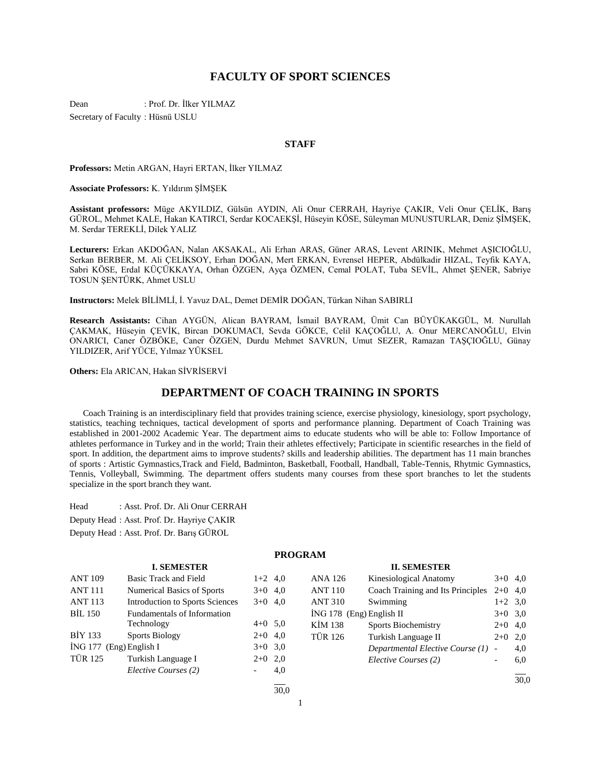# **FACULTY OF SPORT SCIENCES**

Dean : Prof. Dr. İlker YILMAZ Secretary of Faculty : Hüsnü USLU

#### **STAFF**

**Professors:** Metin ARGAN, Hayri ERTAN, İlker YILMAZ

**Associate Professors:** K. Yıldırım ŞİMŞEK

**Assistant professors:** Müge AKYILDIZ, Gülsün AYDIN, Ali Onur CERRAH, Hayriye ÇAKIR, Veli Onur ÇELİK, Barış GÜROL, Mehmet KALE, Hakan KATIRCI, Serdar KOCAEKŞİ, Hüseyin KÖSE, Süleyman MUNUSTURLAR, Deniz ŞİMŞEK, M. Serdar TEREKLİ, Dilek YALIZ

**Lecturers:** Erkan AKDOĞAN, Nalan AKSAKAL, Ali Erhan ARAS, Güner ARAS, Levent ARINIK, Mehmet AŞICIOĞLU, Serkan BERBER, M. Ali ÇELİKSOY, Erhan DOĞAN, Mert ERKAN, Evrensel HEPER, Abdülkadir HIZAL, Teyfik KAYA, Sabri KÖSE, Erdal KÜÇÜKKAYA, Orhan ÖZGEN, Ayça ÖZMEN, Cemal POLAT, Tuba SEVİL, Ahmet ŞENER, Sabriye TOSUN ŞENTÜRK, Ahmet USLU

**Instructors:** Melek BİLİMLİ, İ. Yavuz DAL, Demet DEMİR DOĞAN, Türkan Nihan SABIRLI

**Research Assistants:** Cihan AYGÜN, Alican BAYRAM, İsmail BAYRAM, Ümit Can BÜYÜKAKGÜL, M. Nurullah ÇAKMAK, Hüseyin ÇEVİK, Bircan DOKUMACI, Sevda GÖKCE, Celil KAÇOĞLU, A. Onur MERCANOĞLU, Elvin ONARICI, Caner ÖZBÖKE, Caner ÖZGEN, Durdu Mehmet SAVRUN, Umut SEZER, Ramazan TAŞÇIOĞLU, Günay YILDIZER, Arif YÜCE, Yılmaz YÜKSEL

**Others:** Ela ARICAN, Hakan SİVRİSERVİ

# **DEPARTMENT OF COACH TRAINING IN SPORTS**

 Coach Training is an interdisciplinary field that provides training science, exercise physiology, kinesiology, sport psychology, statistics, teaching techniques, tactical development of sports and performance planning. Department of Coach Training was established in 2001-2002 Academic Year. The department aims to educate students who will be able to: Follow Importance of athletes performance in Turkey and in the world; Train their athletes effectively; Participate in scientific researches in the field of sport. In addition, the department aims to improve students? skills and leadership abilities. The department has 11 main branches of sports : Artistic Gymnastics,Track and Field, Badminton, Basketball, Football, Handball, Table-Tennis, Rhytmic Gymnastics, Tennis, Volleyball, Swimming. The department offers students many courses from these sport branches to let the students specialize in the sport branch they want.

Head : Asst. Prof. Dr. Ali Onur CERRAH

Deputy Head : Asst. Prof. Dr. Hayriye ÇAKIR

Deputy Head : Asst. Prof. Dr. Barış GÜROL

# **PROGRAM**

#### **I. SEMESTER** ANT 109 Basic Track and Field 1+2 4.0 ANT 111 Numerical Basics of Sports  $3+0$  4,0 ANT 113 Introduction to Sports Sciences 3+0 4,0 BİL 150 Fundamentals of Information Technology 4+0 5,0 BİY 133 Sports Biology  $2+0$  4,0  $\text{ING } 177 \text{ (Eng)}$  English I  $3+0 \quad 3,0$ TÜR 125 Turkish Language I 2+0 2,0 *Elective Courses (2)* - 4,0 l **II. SEMESTER** ANA 126 Kinesiological Anatomy 3+0 4,0 ANT 110 Coach Training and Its Principles 2+0 4,0 ANT 310 Swimming 1+2 3,0  $\text{ING } 178 \text{ (Eng)}$  English II  $3+0 \quad 3,0$ KİM 138 Sports Biochemistry 2+0 4,0 TÜR 126 Turkish Language II 2+0 2,0 *Departmental Elective Course (1)* - 4,0 *Elective Courses (2)* - 6,0 l  $\frac{1}{30.0}$

 $\frac{1}{30.0}$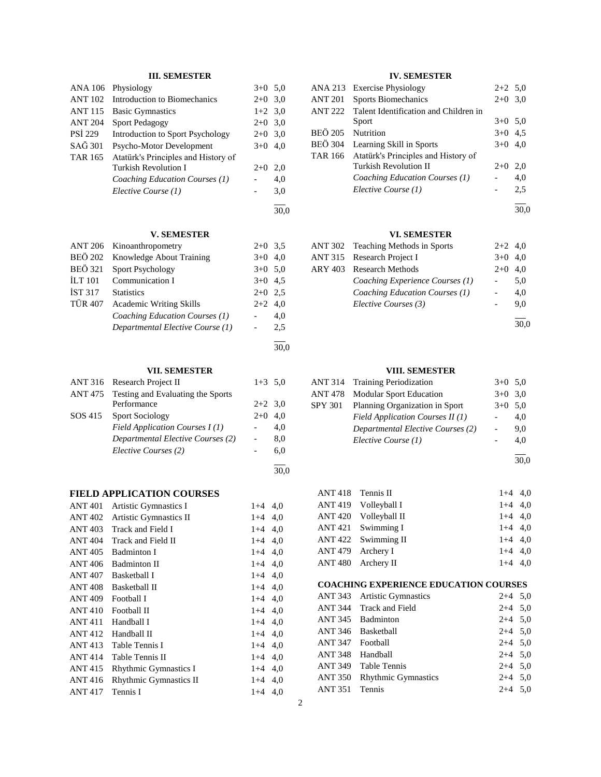# **III. SEMESTER**

| <b>ANA 106</b> | Physiology                                       | $3+0$                    | 5,0  |
|----------------|--------------------------------------------------|--------------------------|------|
| <b>ANT 102</b> | Introduction to Biomechanics                     | $2 + 0$                  | 3,0  |
| <b>ANT 115</b> | <b>Basic Gymnastics</b>                          | $1+2$                    | 3,0  |
| <b>ANT 204</b> | <b>Sport Pedagogy</b>                            | $2 + 0$                  | 3,0  |
| <b>PSI 229</b> | Introduction to Sport Psychology                 | $2 + 0$                  | 3,0  |
| SAĞ 301        | Psycho-Motor Development                         | $3+0$                    | 4,0  |
| <b>TAR 165</b> | Atatürk's Principles and History of              |                          |      |
|                | <b>Turkish Revolution I</b>                      | $2 + 0$                  | 2,0  |
|                | Coaching Education Courses (1)                   |                          | 4,0  |
|                | Elective Course (1)                              |                          | 3,0  |
|                |                                                  |                          | 30,0 |
|                |                                                  |                          |      |
|                | V. SEMESTER                                      |                          |      |
| <b>ANT 206</b> | Kinoanthropometry                                | $2+0$                    | 3,5  |
| <b>BEÖ 202</b> | Knowledge About Training                         | $3+0$                    | 4,0  |
| <b>BEÖ 321</b> | <b>Sport Psychology</b>                          | $3+0$                    | 5,0  |
| <b>İLT</b> 101 | Communication I                                  | $3+0$                    | 4,5  |
| <b>İST 317</b> | <b>Statistics</b>                                | $2 + 0$                  | 2,5  |
| TÜR 407        | <b>Academic Writing Skills</b>                   | 2+2                      | 4,0  |
|                | Coaching Education Courses (1)                   |                          | 4,0  |
|                | Departmental Elective Course (1)                 |                          | 2,5  |
|                |                                                  |                          | 30,0 |
|                | <b>VII. SEMESTER</b>                             |                          |      |
| ANT 316        | Research Project II                              | $1 + 3$                  | 5,0  |
|                |                                                  |                          |      |
| <b>ANT 475</b> | Testing and Evaluating the Sports<br>Performance | $2 + 2$                  | 3,0  |
| SOS 415        | <b>Sport Sociology</b>                           | $2+0$                    | 4,0  |
|                | Field Application Courses I(1)                   | $\overline{\phantom{0}}$ | 4,0  |
|                | Departmental Elective Courses (2)                | $\overline{\phantom{0}}$ | 8,0  |
|                | Elective Courses (2)                             |                          | 6,0  |
|                |                                                  |                          | 30,0 |
|                | <b>FIELD APPLICATION COURSES</b>                 |                          |      |
| ANT 401        | Artistic Gymnastics I                            | $1 + 4$                  | 4,0  |
| <b>ANT 402</b> | Artistic Gymnastics II                           | $1+4$                    | 4,0  |
| <b>ANT 403</b> | Track and Field I                                | $1+4$                    |      |
| <b>ANT 404</b> |                                                  |                          | 4,0  |
|                | Track and Field II                               | $1+4$                    | 4,0  |
| <b>ANT 405</b> | <b>Badminton I</b><br><b>Badminton II</b>        | $1+4$                    | 4,0  |
| ANT 406        |                                                  | $1+4$                    | 4,0  |
| <b>ANT 407</b> | <b>Basketball I</b>                              | $1 + 4$                  | 4,0  |
| <b>ANT 408</b> | Basketball II                                    | $1 + 4$                  | 4,0  |
| ANT 409        | Football I                                       | $1+4$                    | 4,0  |
| <b>ANT410</b>  | Football II                                      | $1 + 4$                  | 4,0  |
| <b>ANT 411</b> | Handball I                                       | $1 + 4$                  | 4,0  |
| <b>ANT 412</b> | Handball II                                      | $1 + 4$                  | 4,0  |
| <b>ANT 413</b> | Table Tennis I                                   | $1 + 4$                  | 4,0  |
| ANT 414        | Table Tennis II                                  | $1 + 4$                  | 4,0  |
| <b>ANT 415</b> | Rhythmic Gymnastics I                            | $1 + 4$                  | 4,0  |
| ANT 416        | Rhythmic Gymnastics II                           | $1+4$                    | 4,0  |

ANT 417 Tennis I 1+4 4,0

# **IV. SEMESTER**

|                   | ANA 213 Exercise Physiology           | $2+2$ 5,0 |     |
|-------------------|---------------------------------------|-----------|-----|
| <b>ANT 201</b>    | <b>Sports Biomechanics</b>            | $2+0$ 3.0 |     |
| <b>ANT 222</b>    | Talent Identification and Children in |           |     |
|                   | Sport                                 | $3+0$ 5,0 |     |
| BEÖ 205 Nutrition |                                       | $3+0$ 4,5 |     |
| <b>BEÖ</b> 304    | Learning Skill in Sports              | $3+0$ 4,0 |     |
| TAR 166           | Atatürk's Principles and History of   |           |     |
|                   | Turkish Revolution II                 | $2+0$     | 2.0 |
|                   | Coaching Education Courses (1)        |           | 4,0 |
|                   | Elective Course (1)                   |           | 2,5 |
|                   |                                       |           |     |

30,0

# **VI. SEMESTER**

| ANT 302 Teaching Methods in Sports | $2+2$ 4,0 |           |
|------------------------------------|-----------|-----------|
| ANT 315 Research Project I         | $3+0$ 4,0 |           |
| ARY 403 Research Methods           |           | $2+0$ 4.0 |
| Coaching Experience Courses (1)    |           | 5,0       |
| Coaching Education Courses (1)     |           | 4.0       |
| Elective Courses (3)               |           | 9.0       |
|                                    |           |           |

30,0

#### **VIII. SEMESTER**

|                                   | ANT 314 Training Periodization    | $3+0$ 5.0                |     |
|-----------------------------------|-----------------------------------|--------------------------|-----|
| <b>ANT 478</b>                    | <b>Modular Sport Education</b>    | $3+0$ 3.0                |     |
| <b>SPY 301</b>                    | Planning Organization in Sport    | $3+0$ 5.0                |     |
|                                   | Field Application Courses $II(1)$ |                          | 4.0 |
| Departmental Elective Courses (2) |                                   | $\overline{\phantom{0}}$ | 9.0 |
|                                   | Elective Course (1)               |                          | 4.0 |
|                                   |                                   |                          |     |

30,0

| ANT 418 Tennis II |                       | $1+4$ 4.0 |  |
|-------------------|-----------------------|-----------|--|
|                   | ANT 419 Volleyball I  | $1+4$ 4.0 |  |
|                   | ANT 420 Volleyball II | $1+4$ 4.0 |  |
|                   | $ANT 421$ Swimming I  | $1+4$ 4.0 |  |
|                   | ANT 422 Swimming II   | $1+4$ 4.0 |  |
|                   | ANT 479 Archery I     | $1+4$ 4.0 |  |
|                   | ANT 480 Archery II    | $1+4$ 4,0 |  |

# **COACHING EXPERIENCE EDUCATION COURSES**

|                  | ANT 343 Artistic Gymnastics | $2+4$ 5,0 |  |
|------------------|-----------------------------|-----------|--|
|                  | ANT 344 Track and Field     | $2+4$ 5,0 |  |
|                  | ANT 345 Badminton           | $2+4$ 5,0 |  |
|                  | ANT 346 Basketball          | $2+4$ 5,0 |  |
| ANT 347 Football |                             | $2+4$ 5,0 |  |
| ANT 348 Handball |                             | $2+4$ 5,0 |  |
|                  | ANT 349 Table Tennis        | $2+4$ 5,0 |  |
|                  | ANT 350 Rhythmic Gymnastics | $2+4$ 5,0 |  |
| ANT 351 Tennis   |                             | $2+4$ 5,0 |  |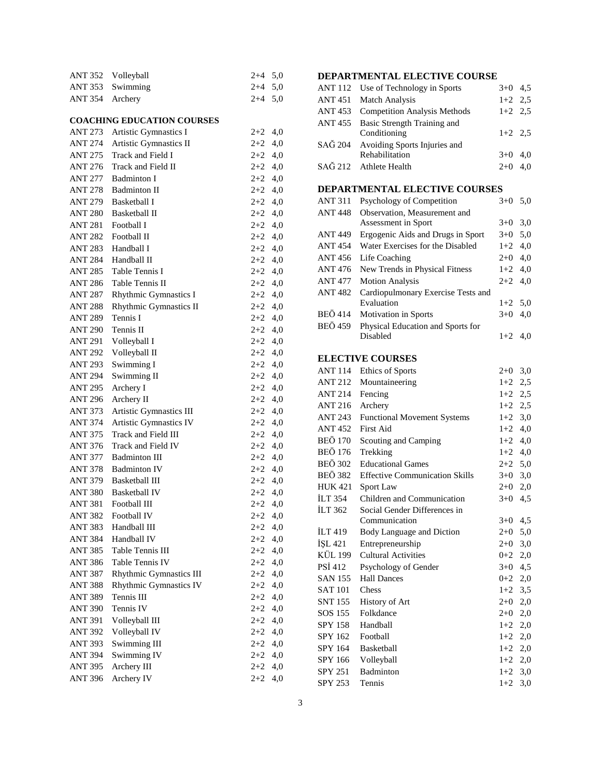|                 | ANT 352 Volleyball | $2+4$ 5.0 |  |
|-----------------|--------------------|-----------|--|
|                 | ANT 353 Swimming   | $2+4$ 5.0 |  |
| ANT 354 Archery |                    | $2+4$ 5.0 |  |

# **COACHING EDUCATION COURSES**

| ANT 273        | Artistic Gymnastics I   | $2+2$     | 4,0 |
|----------------|-------------------------|-----------|-----|
| ANT 274        | Artistic Gymnastics II  | $2 + 2$   | 4,0 |
| ANT 275        | Track and Field I       | $2+2$     | 4,0 |
| <b>ANT 276</b> | Track and Field II      | $2 + 2$   | 4,0 |
| ANT 277        | <b>Badminton I</b>      | $2 + 2$   | 4,0 |
| ANT 278        | <b>Badminton II</b>     | $2 + 2$   | 4,0 |
| ANT 279        | <b>Basketball I</b>     | $2 + 2$   | 4,0 |
| ANT 280        | Basketball II           | $2+2$ 4,0 |     |
| ANT 281        | Football I              | $2+2$ 4,0 |     |
| ANT 282        | Football II             | $2+2$ 4,0 |     |
| <b>ANT 283</b> | Handball I              | $2+2$ 4,0 |     |
| ANT 284        | Handball II             | $2+2$ 4,0 |     |
|                | ANT 285 Table Tennis I  | $2+2$ 4,0 |     |
| <b>ANT 286</b> | Table Tennis II         | $2+2$ 4,0 |     |
| ANT 287        | Rhythmic Gymnastics I   | $2+2$ 4,0 |     |
| <b>ANT 288</b> | Rhythmic Gymnastics II  | $2+2$ 4,0 |     |
| ANT 289        | Tennis I                | $2+2$ 4,0 |     |
| <b>ANT 290</b> | Tennis II               | $2+2$ 4,0 |     |
| ANT 291        | Volleyball I            | $2+2$ 4,0 |     |
| ANT 292        | Volleyball II           | $2+2$     | 4,0 |
| ANT 293        | Swimming I              | $2 + 2$   | 4,0 |
| ANT 294        | Swimming II             | $2 + 2$   | 4,0 |
| ANT 295        | Archery I               | $2 + 2$   | 4,0 |
| ANT 296        | Archery II              | $2 + 2$   | 4,0 |
| ANT 373        | Artistic Gymnastics III | $2+2$     | 4,0 |
| ANT 374        | Artistic Gymnastics IV  | $2+2$     | 4,0 |
| ANT 375        | Track and Field III     | $2 + 2$   | 4,0 |
| ANT 376        | Track and Field IV      | $2 + 2$   | 4,0 |
| ANT 377        | <b>Badminton III</b>    | $2+2$     | 4,0 |
| ANT 378        | <b>Badminton IV</b>     | $2+2$     | 4,0 |
| ANT 379        | <b>Basketball III</b>   | $2+2$     | 4,0 |
| <b>ANT 380</b> | <b>Basketball IV</b>    | $2+2$     | 4,0 |
| ANT 381        | Football III            | $2+2$     | 4,0 |
| ANT 382        | Football IV             | $2+2$     | 4,0 |
| ANT 383        | Handball III            | $2+2$     | 4,0 |
|                | ANT 384 Handball IV     | $2 + 2$   | 4,0 |
| ANT 385        | Table Tennis III        | $2 + 2$   | 4,0 |
| ANT 386        | Table Tennis IV         | $2+2$     | 4,0 |
| ANT 387        | Rhythmic Gymnastics III | $2 + 2$   | 4,0 |
| ANT 388        | Rhythmic Gymnastics IV  | $2+2$     | 4,0 |
| <b>ANT 389</b> | Tennis III              | $2+2$     | 4,0 |
| <b>ANT 390</b> | Tennis IV               | $2 + 2$   | 4,0 |
| <b>ANT 391</b> | Volleyball III          | $2 + 2$   | 4,0 |
| <b>ANT 392</b> | Volleyball IV           | $2 + 2$   | 4,0 |
| <b>ANT 393</b> | Swimming III            | $2+2$     | 4,0 |
| <b>ANT 394</b> | Swimming IV             | $2 + 2$   | 4,0 |
| <b>ANT 395</b> | Archery III             | $2+2$     | 4,0 |
| <b>ANT 396</b> | Archery IV              | $2 + 2$   | 4,0 |

# **DEPARTMENTAL ELECTIVE COURSE**

| ANT 112 Use of Technology in Sports  | $3+0$ 4.5 |  |
|--------------------------------------|-----------|--|
| <b>ANT 451 Match Analysis</b>        | $1+2$ 2.5 |  |
| ANT 453 Competition Analysis Methods | $1+2$ 2.5 |  |
| ANT 455 Basic Strength Training and  |           |  |
| Conditioning                         | $1+2$ 2.5 |  |
| SAĞ 204 Avoiding Sports Injuries and |           |  |
| Rehabilitation                       | $3+0$ 4,0 |  |
| SAĞ 212 Athlete Health               | $2+0$ 4,0 |  |
|                                      |           |  |

# **DEPARTMENTAL ELECTIVE COURSES**

| <b>ANT 311</b> | Psychology of Competition          | $3+0$     | 5,0 |
|----------------|------------------------------------|-----------|-----|
| <b>ANT 448</b> | Observation, Measurement and       |           |     |
|                | Assessment in Sport                | $3+0$ 3.0 |     |
| <b>ANT 449</b> | Ergogenic Aids and Drugs in Sport  | $3+0$ 5,0 |     |
| <b>ANT 454</b> | Water Exercises for the Disabled   | $1+2$ 4,0 |     |
| <b>ANT 456</b> | Life Coaching                      | $2+0$ 4,0 |     |
| <b>ANT 476</b> | New Trends in Physical Fitness     | $1+2$ 4,0 |     |
| <b>ANT 477</b> | <b>Motion Analysis</b>             | $2+2$ 4.0 |     |
| <b>ANT 482</b> | Cardiopulmonary Exercise Tests and |           |     |
|                | Evaluation                         | $1+2$ 5.0 |     |
| <b>BEÖ</b> 414 | <b>Motivation</b> in Sports        | $3+0$     | 4.0 |
| <b>BEÖ</b> 459 | Physical Education and Sports for  |           |     |
|                | Disabled                           | $1+2$     | 4.0 |
|                |                                    |           |     |

# **ELECTIVE COURSES**

| <b>ANT 114</b> | Ethics of Sports                      | $2 + 0$   | 3,0 |
|----------------|---------------------------------------|-----------|-----|
| <b>ANT 212</b> | Mountaineering                        | $1+2$ 2,5 |     |
| <b>ANT 214</b> | Fencing                               | $1+2$ 2,5 |     |
| <b>ANT 216</b> | Archery                               | $1+2$ 2,5 |     |
| <b>ANT 243</b> | <b>Functional Movement Systems</b>    | $1+2$ 3,0 |     |
| <b>ANT452</b>  | <b>First Aid</b>                      | $1+2$     | 4,0 |
| <b>BEÖ 170</b> | Scouting and Camping                  | $1+2$ 4,0 |     |
| <b>BEÖ 176</b> | Trekking                              | $1+2$ 4,0 |     |
| <b>BEÖ 302</b> | <b>Educational Games</b>              | $2+2$ 5,0 |     |
| <b>BEÖ 382</b> | <b>Effective Communication Skills</b> | $3+0$ 3,0 |     |
| <b>HUK421</b>  | Sport Law                             | $2+0$ 2,0 |     |
| <b>ILT 354</b> | Children and Communication            | $3+0$     | 4,5 |
| <b>ILT 362</b> | Social Gender Differences in          |           |     |
|                | Communication                         | $3+0$ 4,5 |     |
| <b>ILT</b> 419 | Body Language and Diction             | $2+0$ 5,0 |     |
| İSL 421        | Entrepreneurship                      | $2+0$ 3,0 |     |
| KÜL 199        | <b>Cultural Activities</b>            | $0+2$ 2,0 |     |
| <b>PSI 412</b> | Psychology of Gender                  | $3+0$ 4,5 |     |
| <b>SAN 155</b> | <b>Hall Dances</b>                    | $0+2$ 2,0 |     |
| <b>SAT 101</b> | Chess                                 | $1+2$ 3,5 |     |
| <b>SNT 155</b> | History of Art                        | $2+0$ 2,0 |     |
| SOS 155        | Folkdance                             | $2+0$ 2,0 |     |
| SPY 158        | Handball                              | $1+2$ 2,0 |     |
| SPY 162        | Football                              | $1+2$ 2,0 |     |
| SPY 164        | Basketball                            | $1+2$ 2,0 |     |
| SPY 166        | Volleyball                            | $1+2$ 2,0 |     |
| SPY 251        | Badminton                             | $1+2$ 3,0 |     |
| <b>SPY 253</b> | Tennis                                | $1+2$     | 3,0 |
|                |                                       |           |     |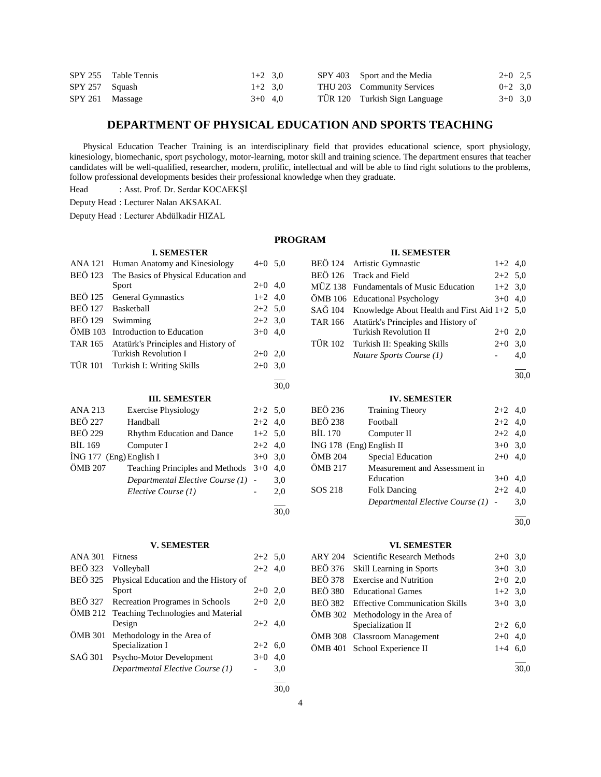|                   | SPY 255 Table Tennis | $1+2$ 3.0 |  | SPY 403 Sport and the Media   | $2+0$ 2.5 |  |
|-------------------|----------------------|-----------|--|-------------------------------|-----------|--|
| $SPY 257$ Squash  |                      | $1+2$ 3.0 |  | THU 203 Community Services    | $0+2$ 3.0 |  |
| $SPY 261$ Massage |                      | $3+0$ 4.0 |  | TÜR 120 Turkish Sign Language | $3+0$ 3.0 |  |

# **DEPARTMENT OF PHYSICAL EDUCATION AND SPORTS TEACHING**

 Physical Education Teacher Training is an interdisciplinary field that provides educational science, sport physiology, kinesiology, biomechanic, sport psychology, motor-learning, motor skill and training science. The department ensures that teacher candidates will be well-qualified, researcher, modern, prolific, intellectual and will be able to find right solutions to the problems, follow professional developments besides their professional knowledge when they graduate.

Head : Asst. Prof. Dr. Serdar KOCAEKŞİ

Deputy Head : Lecturer Nalan AKSAKAL

Deputy Head : Lecturer Abdülkadir HIZAL

#### **PROGRAM**

# **II. SEMESTER**

| <b>ANA 121</b> | Human Anatomy and Kinesiology        | $4+0$ 5,0 |      |
|----------------|--------------------------------------|-----------|------|
| <b>BEÖ</b> 123 | The Basics of Physical Education and |           |      |
|                | Sport                                | $2+0$     | 4,0  |
| <b>BEÖ</b> 125 | <b>General Gymnastics</b>            | $1+2$ 4,0 |      |
| <b>BEÖ</b> 127 | <b>Basketball</b>                    | $2+2$ 5.0 |      |
| <b>BEÖ 129</b> | Swimming                             | $2+2$ 3.0 |      |
| ÖMB 103        | Introduction to Education            | $3+0$     | 4,0  |
| TAR 165        | Atatürk's Principles and History of  |           |      |
|                | Turkish Revolution I                 | $2+0$     | 2,0  |
| <b>TÜR 101</b> | Turkish I: Writing Skills            | $2+0$     | 3,0  |
|                |                                      |           |      |
|                |                                      |           |      |
|                |                                      |           | 30,0 |
|                | <b>III. SEMESTER</b>                 |           |      |
| ANA 213        | <b>Exercise Physiology</b>           | $2+2$ 5,0 |      |
| <b>BEÖ 227</b> | Handball                             | $2+2$     | 4,0  |
| <b>BEÖ 229</b> | <b>Rhythm Education and Dance</b>    | $1+2$     | 5,0  |
| <b>BIL 169</b> | Computer I                           | $2+2$     | 4,0  |
|                | $ING 177$ (Eng) English I            | $3+0$     | 3,0  |
| ÖMB 207        | Teaching Principles and Methods      | $3+0$     | 4,0  |

**I. SEMESTER**

l 30,0

## **V. SEMESTER**

*Elective Course (1)* - 2,0

| <b>ANA 301</b> | <b>Fitness</b>                             | $2+2$ 5.0 |     |
|----------------|--------------------------------------------|-----------|-----|
| <b>BEÖ</b> 323 | Volleyball                                 | $2+2$ 4,0 |     |
| BEÖ 325        | Physical Education and the History of      |           |     |
|                | Sport                                      | $2+0$ 2,0 |     |
| <b>BEÖ 327</b> | Recreation Programes in Schools            | $2+0$ 2,0 |     |
|                | ÖMB 212 Teaching Technologies and Material |           |     |
|                | Design                                     | $2+2$ 4,0 |     |
|                | ÖMB 301 Methodology in the Area of         |           |     |
|                | Specialization I                           | $2+2$ 6.0 |     |
| SAĞ 301        | Psycho-Motor Development                   | $3+0$     | 4.0 |
|                | Departmental Elective Course (1)           |           | 3,0 |
|                |                                            |           |     |

|  | BEÖ 124 Artistic Gymnastic                           | $1+2$ 4,0 |     |
|--|------------------------------------------------------|-----------|-----|
|  | BEÖ 126 Track and Field                              | $2+2$ 5.0 |     |
|  | MÜZ 138 Fundamentals of Music Education              | $1+2$ 3,0 |     |
|  | ÖMB 106 Educational Psychology                       | $3+0$ 4.0 |     |
|  | SAĞ 104 Knowledge About Health and First Aid 1+2 5,0 |           |     |
|  | TAR 166 Atatürk's Principles and History of          |           |     |
|  | <b>Turkish Revolution II</b>                         | $2+0$ 2.0 |     |
|  | TÜR 102 Turkish II: Speaking Skills                  | $2+0$ 3,0 |     |
|  | Nature Sports Course (1)                             |           | 4.0 |
|  |                                                      |           |     |

# **IV. SEMESTER**

| <b>BEÖ 236</b>             | <b>Training Theory</b>             | $2+2$ 4,0 |     |
|----------------------------|------------------------------------|-----------|-----|
| <b>BEÖ 238</b>             | Football                           | $2+2$ 4,0 |     |
| BIL 170                    | Computer II                        | $2+2$ 4.0 |     |
| $ING 178$ (Eng) English II |                                    | $3+0$ 3.0 |     |
| ÖMB 204                    | Special Education                  | $2+0$     | 4.0 |
| ÖMB 217                    | Measurement and Assessment in      |           |     |
|                            | Education                          | $3+0$     | 4.0 |
| SOS 218                    | <b>Folk Dancing</b>                | $2+2$     | 4.0 |
|                            | Departmental Elective Course (1) - |           | 3.0 |
|                            |                                    |           |     |

 $\frac{1}{30.0}$ 

#### **VI. SEMESTER**

| ARY 204 | Scientific Research Methods            | $2+0$ 3,0 |  |
|---------|----------------------------------------|-----------|--|
|         | BEÖ 376 Skill Learning in Sports       | $3+0$ 3.0 |  |
|         | BEÖ 378 Exercise and Nutrition         | $2+0$ 2,0 |  |
|         | BEÖ 380 Educational Games              | $1+2$ 3,0 |  |
|         | BEÖ 382 Effective Communication Skills | $3+0$ 3.0 |  |
|         | ÖMB 302 Methodology in the Area of     |           |  |
|         | Specialization II                      | $2+2$ 6,0 |  |
|         | ÖMB 308 Classroom Management           | $2+0$ 4,0 |  |
|         | ÖMB 401 School Experience II           | $1+4$ 6,0 |  |
|         |                                        |           |  |

30,0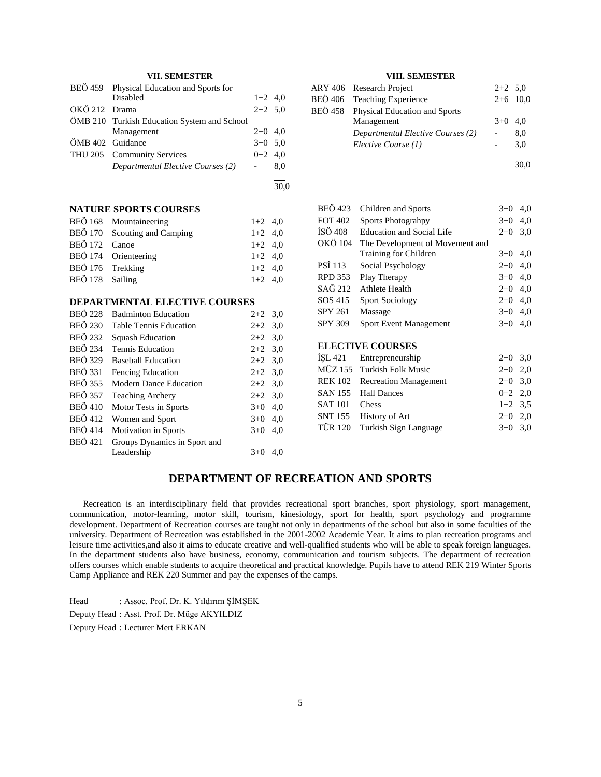# **VII. SEMESTER**

|                  | BEÖ 459 Physical Education and Sports for   |           |     |
|------------------|---------------------------------------------|-----------|-----|
|                  | Disabled                                    | $1+2$ 4,0 |     |
| OKÖ 212 Drama    |                                             | $2+2$ 5,0 |     |
|                  | ÖMB 210 Turkish Education System and School |           |     |
|                  | Management                                  | $2+0$ 4,0 |     |
| ÖMB 402 Guidance |                                             | $3+0$ 5.0 |     |
|                  | THU 205 Community Services                  | $0+2$ 4.0 |     |
|                  | Departmental Elective Courses (2)           |           | 8.0 |
|                  |                                             |           |     |

 $\frac{1}{30.0}$ 

# **NATURE SPORTS COURSES**

|                  | BEÖ 168 Mountaineering       | $1+2$ 4,0 |  |
|------------------|------------------------------|-----------|--|
|                  | BEÖ 170 Scouting and Camping | $1+2$ 4.0 |  |
| BEÖ 172 Canoe    |                              | $1+2$ 4.0 |  |
|                  | BEÖ 174 Orienteering         | $1+2$ 4.0 |  |
| BEÖ 176 Trekking |                              | $1+2$ 4.0 |  |
| BEÖ 178 Sailing  |                              | $1+2$ 4,0 |  |

# **DEPARTMENTAL ELECTIVE COURSES**

| <b>BEÖ 228</b> | <b>Badminton Education</b>    | $2+2$ 3.0 |     |
|----------------|-------------------------------|-----------|-----|
| <b>BEÖ 230</b> | <b>Table Tennis Education</b> | $2+2$ 3.0 |     |
| <b>BEÖ 232</b> | Squash Education              | $2+2$ 3.0 |     |
| <b>BEÖ 234</b> | Tennis Education              | $2+2$ 3.0 |     |
| <b>BEÖ</b> 329 | <b>Baseball Education</b>     | $2+2$ 3.0 |     |
| <b>BEÖ</b> 331 | Fencing Education             | $2+2$ 3,0 |     |
| <b>BEÖ</b> 355 | <b>Modern Dance Education</b> | $2+2$ 3,0 |     |
| <b>BEÖ 357</b> | <b>Teaching Archery</b>       | $2+2$ 3.0 |     |
| <b>BEÖ 410</b> | Motor Tests in Sports         | $3+0$     | 4,0 |
| <b>BEÖ</b> 412 | Women and Sport               | $3+0$     | 4,0 |
| <b>BEÖ</b> 414 | Motivation in Sports          | $3+0$     | 4,0 |
| <b>BEÖ</b> 421 | Groups Dynamics in Sport and  |           |     |
|                | Leadership                    | $3+0$     | 4.0 |

# **VIII. SEMESTER**

| ARY 406 Research Project              | $2+2$ 5.0  |      |
|---------------------------------------|------------|------|
| BEÖ 406 Teaching Experience           | $2+6$ 10,0 |      |
| BEÖ 458 Physical Education and Sports |            |      |
| Management                            | $3+0$ 4.0  |      |
| Departmental Elective Courses (2)     |            | 8,0  |
| Elective Course (1)                   |            | 3,0  |
|                                       |            |      |
|                                       |            | 30.0 |

| <b>BEÖ</b> 423 | Children and Sports              | $3+0$ | 4,0 |
|----------------|----------------------------------|-------|-----|
| <b>FOT 402</b> | <b>Sports Photograhpy</b>        | $3+0$ | 4,0 |
| İSÖ 408        | <b>Education and Social Life</b> | $2+0$ | 3,0 |
| OKÖ 104        | The Development of Movement and  |       |     |
|                | Training for Children            | $3+0$ | 4,0 |
| <b>PSI 113</b> | Social Psychology                | $2+0$ | 4,0 |
| <b>RPD 353</b> | Play Therapy                     | $3+0$ | 4,0 |
| SAĞ 212        | <b>Athlete Health</b>            | $2+0$ | 4,0 |
| SOS 415        | <b>Sport Sociology</b>           | $2+0$ | 4,0 |
| <b>SPY 261</b> | Massage                          | $3+0$ | 4,0 |
| <b>SPY 309</b> | <b>Sport Event Management</b>    | $3+0$ | 4,0 |
|                |                                  |       |     |

#### **ELECTIVE COURSES**

|                          | İŞL 421 Entrepreneurship      | $2+0$ 3.0 |  |
|--------------------------|-------------------------------|-----------|--|
|                          | MÜZ 155 Turkish Folk Music    | $2+0$ 2,0 |  |
|                          | REK 102 Recreation Management | $2+0$ 3.0 |  |
|                          | SAN 155 Hall Dances           | $0+2$ 2,0 |  |
| SAT <sub>101</sub> Chess |                               | $1+2$ 3.5 |  |
|                          | SNT 155 History of Art        | $2+0$ 2.0 |  |
|                          | TÜR 120 Turkish Sign Language | $3+0$ 3.0 |  |
|                          |                               |           |  |

# **DEPARTMENT OF RECREATION AND SPORTS**

 Recreation is an interdisciplinary field that provides recreational sport branches, sport physiology, sport management, communication, motor-learning, motor skill, tourism, kinesiology, sport for health, sport psychology and programme development. Department of Recreation courses are taught not only in departments of the school but also in some faculties of the university. Department of Recreation was established in the 2001-2002 Academic Year. It aims to plan recreation programs and leisure time activities,and also it aims to educate creative and well-qualified students who will be able to speak foreign languages. In the department students also have business, economy, communication and tourism subjects. The department of recreation offers courses which enable students to acquire theoretical and practical knowledge. Pupils have to attend REK 219 Winter Sports Camp Appliance and REK 220 Summer and pay the expenses of the camps.

Head : Assoc. Prof. Dr. K. Yıldırım ŞİMŞEK Deputy Head : Asst. Prof. Dr. Müge AKYILDIZ Deputy Head : Lecturer Mert ERKAN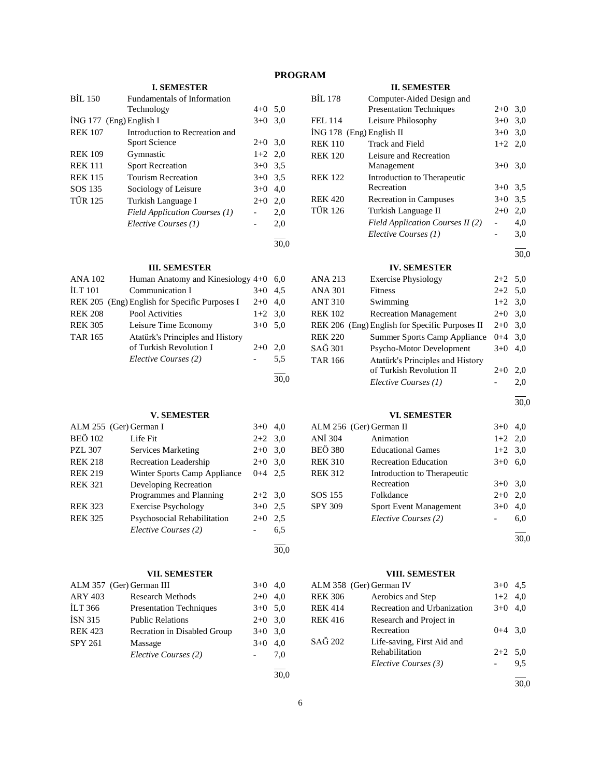# **PROGRAM**

# **I. SEMESTER**

| <b>BIL 150</b> | Fundamentals of Information    |           |      |
|----------------|--------------------------------|-----------|------|
|                | Technology                     | $4 + 0$   | 5,0  |
|                | ING 177 (Eng) English I        | $3+0$     | 3,0  |
| <b>REK 107</b> | Introduction to Recreation and |           |      |
|                | Sport Science                  | $2+0$ 3.0 |      |
| <b>REK 109</b> | Gymnastic                      | $1+2$ 2.0 |      |
| <b>REK 111</b> | <b>Sport Recreation</b>        | $3+0$ 3.5 |      |
| <b>REK 115</b> | <b>Tourism Recreation</b>      | $3+0$ 3.5 |      |
| SOS 135        | Sociology of Leisure           | $3+0$     | 4,0  |
| <b>TÜR 125</b> | Turkish Language I             | $2+0$     | 2,0  |
|                | Field Application Courses (1)  |           | 2,0  |
|                | Elective Courses (1)           |           | 2,0  |
|                |                                |           | 30,0 |

# **III. SEMESTER**

| <b>ANA 102</b> | Human Anatomy and Kinesiology $4+0$           |           | 6.0  |
|----------------|-----------------------------------------------|-----------|------|
| <b>ILT 101</b> | Communication I                               | $3+0$ 4.5 |      |
|                | REK 205 (Eng) English for Specific Purposes I | $2+0$ 4.0 |      |
| <b>REK 208</b> | Pool Activities                               | $1+2$ 3.0 |      |
| <b>REK 305</b> | Leisure Time Economy                          | $3+0$ 5.0 |      |
| <b>TAR 165</b> | Atatürk's Principles and History              |           |      |
|                | of Turkish Revolution I                       | $2+0$     | 2.0  |
|                | Elective Courses (2)                          |           | 5.5  |
|                |                                               |           | 30.0 |

# **V. SEMESTER**

|                | ALM 255 (Ger) German I       | $3+0$     | 4.0 |
|----------------|------------------------------|-----------|-----|
| <b>BEÖ 102</b> | Life Fit                     | $2+2$ 3.0 |     |
| <b>PZL 307</b> | <b>Services Marketing</b>    | $2+0$     | 3,0 |
| <b>REK 218</b> | <b>Recreation Leadership</b> | $2+0$     | 3,0 |
| <b>REK 219</b> | Winter Sports Camp Appliance | $0 + 4$   | 2.5 |
| <b>REK 321</b> | Developing Recreation        |           |     |
|                | Programmes and Planning      | $2+2$ 3.0 |     |
| <b>REK 323</b> | <b>Exercise Psychology</b>   | $3+0$     | 2.5 |
| <b>REK 325</b> | Psychosocial Rehabilitation  | $2+0$     | 2,5 |
|                | Elective Courses (2)         |           | 6,5 |
|                |                              |           |     |

# **VII. SEMESTER**

|                | ALM 357 (Ger) German III       | $3+0$     | 4,0 |
|----------------|--------------------------------|-----------|-----|
| <b>ARY 403</b> | <b>Research Methods</b>        | $2+0$     | 4,0 |
| <b>ILT 366</b> | <b>Presentation Techniques</b> | $3+0$ 5.0 |     |
| <b>ISN 315</b> | <b>Public Relations</b>        | $2+0$ 3,0 |     |
| <b>REK 423</b> | Recration in Disabled Group    | $3+0$ 3,0 |     |
| <b>SPY 261</b> | Massage                        | $3+0$     | 4,0 |
|                | Elective Courses (2)           |           | 7,0 |
|                |                                |           |     |

| × |  |
|---|--|

30,0

# **II. SEMESTER**

| BİL 178        | Computer-Aided Design and                      |           |      |
|----------------|------------------------------------------------|-----------|------|
|                | <b>Presentation Techniques</b>                 | $2+0$     | 3,0  |
| FEL 114        | Leisure Philosophy                             | $3+0$     | 3,0  |
|                | İNG 178 (Eng) English II                       | $3+0$     | 3,0  |
| <b>REK 110</b> | <b>Track and Field</b>                         | $1+2$     | 2,0  |
| <b>REK 120</b> | Leisure and Recreation                         |           |      |
|                | Management                                     | $3+0$     | 3,0  |
| <b>REK 122</b> | Introduction to Therapeutic                    |           |      |
|                | Recreation                                     | $3+0$     | 3.5  |
| <b>REK 420</b> | Recreation in Campuses                         | $3+0$     | 3,5  |
| TÜR 126        | Turkish Language II                            | $2+0$     | 2,0  |
|                | Field Application Courses II (2)               |           | 4,0  |
|                | Elective Courses (1)                           |           | 3,0  |
|                |                                                |           |      |
|                |                                                |           | 30,0 |
|                | <b>IV. SEMESTER</b>                            |           |      |
| ANA 213        | <b>Exercise Physiology</b>                     | $2+2$     | 5,0  |
| <b>ANA 301</b> | <b>Fitness</b>                                 | $2+2$     | 5,0  |
| <b>ANT 310</b> | Swimming                                       | $1+2$ 3,0 |      |
| <b>REK 102</b> | <b>Recreation Management</b>                   | $2+0$     | 3,0  |
|                | REK 206 (Eng) English for Specific Purposes II | $2+0$ 3,0 |      |
| <b>REK 220</b> | <b>Summer Sports Camp Appliance</b>            | $0 + 4$   | 3,0  |
| SAĞ 301        | Psycho-Motor Development                       | $3+0$     | 4,0  |
| <b>TAR 166</b> | Atatürk's Principles and History               |           |      |
|                | of Turkish Revolution II                       | $2+0$     | 2,0  |
|                | Elective Courses (1)                           |           | 2,0  |
|                |                                                |           | 30,0 |
|                | <b>VI. SEMESTER</b>                            |           |      |
|                | ALM 256 (Ger) German II                        | $3+0$     | 4,0  |
| ANİ 304        | Animation                                      | $1+2$     | 2,0  |
| -- -           |                                                |           |      |

| BEÖ 380<br><b>Educational Games</b><br>$1+2$ 3,0  |      |
|---------------------------------------------------|------|
|                                                   |      |
| REK 310<br><b>Recreation Education</b><br>$3+0$   | 6,0  |
| REK 312<br>Introduction to Therapeutic            |      |
| Recreation<br>$3+0$                               | 3,0  |
| SOS 155<br>Folkdance<br>$2+0$                     | 2.0  |
| SPY 309<br><b>Sport Event Management</b><br>$3+0$ | 4,0  |
| Elective Courses (2)                              | 6,0  |
|                                                   | 30.0 |

# **VIII. SEMESTER**

|                | VIII. SEMESTEK              |           |     |
|----------------|-----------------------------|-----------|-----|
|                | ALM 358 (Ger) German IV     | $3+0$     | 4.5 |
| <b>REK 306</b> | Aerobics and Step           | $1+2$ 4,0 |     |
| <b>REK 414</b> | Recreation and Urbanization | $3+0$     | 4.0 |
| <b>REK 416</b> | Research and Project in     |           |     |
|                | Recreation                  | $0+4$ 3.0 |     |
| SAĞ 202        | Life-saving, First Aid and  |           |     |
|                | Rehabilitation              | $2+2$ 5.0 |     |
|                | Elective Courses (3)        |           | 9,5 |
|                |                             |           |     |

30,0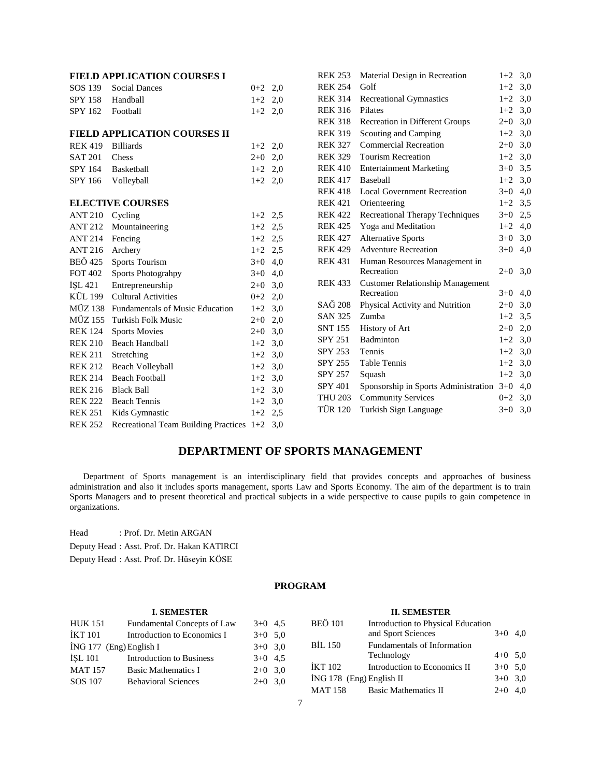|                | <b>FIELD APPLICATION COURSES I</b>             |           |     | <b>REK 253</b> | Material Design in Recreation                | $1+2$ 3,0 |  |
|----------------|------------------------------------------------|-----------|-----|----------------|----------------------------------------------|-----------|--|
| SOS 139        | <b>Social Dances</b>                           | $0+2$ 2,0 |     | <b>REK 254</b> | Golf                                         | $1+2$ 3,0 |  |
| <b>SPY 158</b> | Handball                                       | $1+2$     | 2,0 | <b>REK 314</b> | <b>Recreational Gymnastics</b>               | $1+2$ 3,0 |  |
| SPY 162        | Football                                       | $1+2$ 2,0 |     | <b>REK 316</b> | Pilates                                      | $1+2$ 3,0 |  |
|                |                                                |           |     | <b>REK 318</b> | Recreation in Different Groups               | $2+0$ 3,0 |  |
|                | <b>FIELD APPLICATION COURSES II</b>            |           |     | <b>REK 319</b> | Scouting and Camping                         | $1+2$ 3,0 |  |
| <b>REK 419</b> | <b>Billiards</b>                               | $1+2$ 2,0 |     | <b>REK 327</b> | <b>Commercial Recreation</b>                 | $2+0$ 3,0 |  |
| <b>SAT 201</b> | Chess                                          | $2+0$     | 2,0 | <b>REK 329</b> | <b>Tourism Recreation</b>                    | $1+2$ 3,0 |  |
| <b>SPY 164</b> | Basketball                                     | $1+2$     | 2,0 | <b>REK 410</b> | <b>Entertainment Marketing</b>               | $3+0$ 3,5 |  |
| SPY 166        | Volleyball                                     | $1+2$ 2,0 |     | <b>REK 417</b> | Baseball                                     | $1+2$ 3,0 |  |
|                |                                                |           |     | <b>REK 418</b> | <b>Local Government Recreation</b>           | $3+0$ 4,0 |  |
|                | <b>ELECTIVE COURSES</b>                        |           |     | <b>REK 421</b> | Orienteering                                 | $1+2$ 3,5 |  |
| <b>ANT 210</b> | Cycling                                        | $1+2$ 2.5 |     | <b>REK 422</b> | Recreational Therapy Techniques              | $3+0$ 2,5 |  |
| <b>ANT 212</b> | Mountaineering                                 | $1+2$     | 2.5 | <b>REK 425</b> | Yoga and Meditation                          | $1+2$ 4,0 |  |
| <b>ANT 214</b> | Fencing                                        | $1+2$ 2.5 |     | <b>REK 427</b> | <b>Alternative Sports</b>                    | $3+0$ 3,0 |  |
| <b>ANT 216</b> | Archery                                        | $1+2$ 2.5 |     | <b>REK 429</b> | <b>Adventure Recreation</b>                  | $3+0$ 4,0 |  |
| <b>BEÖ</b> 425 | <b>Sports Tourism</b>                          | $3+0$ 4,0 |     | <b>REK 431</b> | Human Resources Management in                |           |  |
| <b>FOT 402</b> | <b>Sports Photograhpy</b>                      | $3+0$     | 4,0 |                | Recreation                                   | $2+0$ 3,0 |  |
| <b>ISL 421</b> | Entrepreneurship                               | $2+0$     | 3,0 | <b>REK 433</b> | <b>Customer Relationship Management</b>      |           |  |
|                | KÜL 199 Cultural Activities                    | $0 + 2$   | 2,0 |                | Recreation                                   | $3+0$ 4,0 |  |
|                | MÜZ 138 Fundamentals of Music Education        | $1+2$     | 3,0 | SAĞ 208        | Physical Activity and Nutrition              | $2+0$ 3,0 |  |
| <b>MÜZ 155</b> | Turkish Folk Music                             | $2+0$ 2,0 |     | <b>SAN 325</b> | Zumba                                        | $1+2$ 3,5 |  |
| <b>REK 124</b> | <b>Sports Movies</b>                           | $2+0$     | 3,0 | <b>SNT 155</b> | History of Art                               | $2+0$ 2,0 |  |
| <b>REK 210</b> | <b>Beach Handball</b>                          | $1+2$     | 3,0 | <b>SPY 251</b> | Badminton                                    | $1+2$ 3,0 |  |
| <b>REK 211</b> | Stretching                                     | $1+2$     | 3,0 | <b>SPY 253</b> | Tennis                                       | $1+2$ 3,0 |  |
| <b>REK 212</b> | <b>Beach Volleyball</b>                        | $1+2$     | 3,0 | <b>SPY 255</b> | <b>Table Tennis</b>                          | $1+2$ 3,0 |  |
| <b>REK 214</b> | <b>Beach Football</b>                          | $1+2$     | 3,0 | SPY 257        | Squash                                       | $1+2$ 3,0 |  |
| <b>REK 216</b> | <b>Black Ball</b>                              | $1+2$     | 3,0 | <b>SPY 401</b> | Sponsorship in Sports Administration 3+0 4,0 |           |  |
| <b>REK 222</b> | <b>Beach Tennis</b>                            | $1+2$     | 3,0 | <b>THU 203</b> | <b>Community Services</b>                    | $0+2$ 3.0 |  |
| <b>REK 251</b> | Kids Gymnastic                                 | $1+2$ 2.5 |     | <b>TÜR 120</b> | Turkish Sign Language                        | $3+0$ 3,0 |  |
| <b>REK 252</b> | Recreational Team Building Practices $1+2$ 3,0 |           |     |                |                                              |           |  |

# **DEPARTMENT OF SPORTS MANAGEMENT**

 Department of Sports management is an interdisciplinary field that provides concepts and approaches of business administration and also it includes sports management, sports Law and Sports Economy. The aim of the department is to train Sports Managers and to present theoretical and practical subjects in a wide perspective to cause pupils to gain competence in organizations.

Head : Prof. Dr. Metin ARGAN

Deputy Head : Asst. Prof. Dr. Hakan KATIRCI

Deputy Head : Asst. Prof. Dr. Hüseyin KÖSE

# **PROGRAM**

#### **I. SEMESTER** HUK 151 Fundamental Concepts of Law 3+0 4,5  $IKT 101$  Introduction to Economics I  $3+0$  5,0  $i$ NG 177 (Eng) English I  $3+0$  3,0 İŞL 101 Introduction to Business 3+0 4,5 MAT 157 Basic Mathematics I 2+0 3,0 SOS 107 Behavioral Sciences 2+0 3,0 **II. SEMESTER** BEÖ 101 Introduction to Physical Education and Sport Sciences 3+0 4,0 BİL 150 Fundamentals of Information Technology  $4+0$  5,0  $IKT 102$  Introduction to Economics II  $3+0$  5,0  $\text{ING } 178 \text{ (Eng)}$  English II  $3+0.3,0$ MAT 158 Basic Mathematics II 2+0 4,0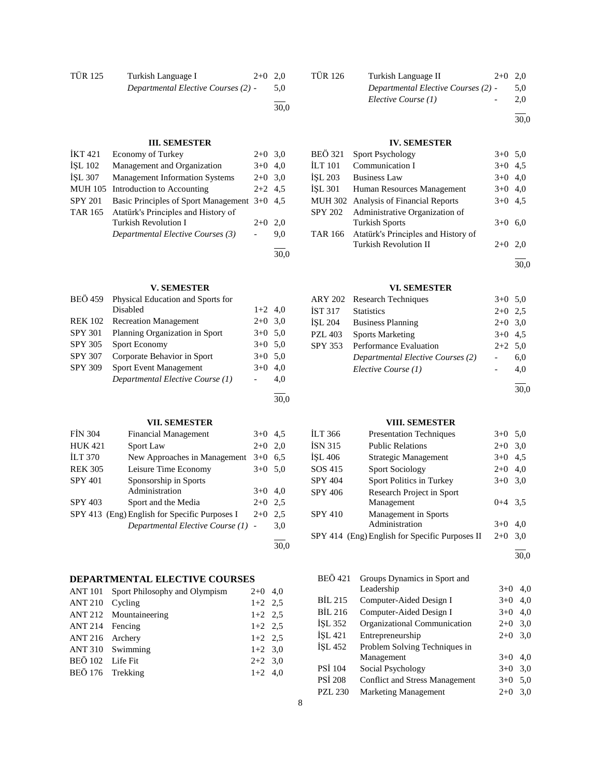| <b>TÜR 125</b> | Turkish Language I<br>$2+0$ 2.0     |     |
|----------------|-------------------------------------|-----|
|                | Departmental Elective Courses (2) - | 5.0 |
|                |                                     |     |

30,0

30,0

30,0

30,0

# **III. SEMESTER**

| İKT 421        | Economy of Turkey                            | $2+0$ 3.0 |     |
|----------------|----------------------------------------------|-----------|-----|
| <b>ISL 102</b> | Management and Organization                  | $3+0$ 4.0 |     |
| <b>İSL 307</b> | <b>Management Information Systems</b>        | $2+0$ 3.0 |     |
|                | MUH 105 Introduction to Accounting           | $2+2$ 4.5 |     |
| <b>SPY 201</b> | Basic Principles of Sport Management 3+0 4,5 |           |     |
| TAR 165        | Atatürk's Principles and History of          |           |     |
|                | <b>Turkish Revolution I</b>                  | $2+0$     | 2.0 |
|                | Departmental Elective Courses (3)            |           | 9,0 |
|                |                                              |           |     |

**V. SEMESTER**

| BEÖ 459        | Physical Education and Sports for |           |     |
|----------------|-----------------------------------|-----------|-----|
|                | Disabled                          | $1+2$ 4.0 |     |
| <b>REK 102</b> | <b>Recreation Management</b>      | $2+0$ 3,0 |     |
| <b>SPY 301</b> | Planning Organization in Sport    | $3+0$ 5.0 |     |
| <b>SPY 305</b> | Sport Economy                     | $3+0$ 5.0 |     |
| <b>SPY 307</b> | Corporate Behavior in Sport       | $3+0$ 5.0 |     |
| <b>SPY 309</b> | <b>Sport Event Management</b>     | $3+0$     | 4.0 |
|                | Departmental Elective Course (1)  |           | 4.0 |
|                |                                   |           |     |

# **VII. SEMESTER**

| <b>FIN 304</b> | <b>Financial Management</b>                   | $3+0$ | 4.5 |
|----------------|-----------------------------------------------|-------|-----|
| <b>HUK 421</b> | Sport Law                                     | $2+0$ | 2,0 |
| <b>ILT 370</b> | New Approaches in Management                  | $3+0$ | 6.5 |
| <b>REK 305</b> | Leisure Time Economy                          | $3+0$ | 5,0 |
| <b>SPY 401</b> | Sponsorship in Sports                         |       |     |
|                | Administration                                | $3+0$ | 4.0 |
| <b>SPY 403</b> | Sport and the Media                           | $2+0$ | 2.5 |
|                | SPY 413 (Eng) English for Specific Purposes I | $2+0$ | 2.5 |
|                | Departmental Elective Course (1) -            |       | 3,0 |
|                |                                               |       |     |

# **DEPARTMENTAL ELECTIVE COURSES**

|                  | ANT 101 Sport Philosophy and Olympism | $2+0$ 4,0 |  |
|------------------|---------------------------------------|-----------|--|
| ANT 210 Cycling  |                                       | $1+2$ 2.5 |  |
|                  | ANT 212 Mountaineering                | $1+2$ 2.5 |  |
| ANT 214 Fencing  |                                       | $1+2$ 2.5 |  |
| ANT 216 Archery  |                                       | $1+2$ 2.5 |  |
|                  | ANT 310 Swimming                      | $1+2$ 3,0 |  |
| BEÖ 102 Life Fit |                                       | $2+2$ 3.0 |  |
| BEÖ 176 Trekking |                                       | $1+2$ 4,0 |  |

| TÜR 126 | Turkish Language II                 | $2+0$ 2.0 |     |
|---------|-------------------------------------|-----------|-----|
|         | Departmental Elective Courses (2) - |           | 5.0 |
|         | Elective Course (1)                 | $\sim$    | 2.0 |

l 30,0

# **IV. SEMESTER**

| <b>BEÖ</b> 321 | <b>Sport Psychology</b>               | $3+0$ 5,0 |     |
|----------------|---------------------------------------|-----------|-----|
| <b>ILT 101</b> | Communication I                       | $3+0$ 4.5 |     |
| <b>İSL 203</b> | <b>Business Law</b>                   | $3+0$ 4,0 |     |
| <b>İSL 301</b> | Human Resources Management            | $3+0$ 4,0 |     |
|                | MUH 302 Analysis of Financial Reports | $3+0$ 4.5 |     |
| SPY 202        | Administrative Organization of        |           |     |
|                | <b>Turkish Sports</b>                 | $3+0$     | 6.0 |
| <b>TAR 166</b> | Atatürk's Principles and History of   |           |     |
|                | <b>Turkish Revolution II</b>          | $2+0$     | 2.0 |
|                |                                       |           |     |

# **VI. SEMESTER**

|                | ARY 202 Research Techniques       | $3+0$ 5.0 |           |
|----------------|-----------------------------------|-----------|-----------|
| <b>IST 317</b> | <b>Statistics</b>                 | $2+0$ 2.5 |           |
| <b>İSL 204</b> | <b>Business Planning</b>          | $2+0$ 3,0 |           |
| <b>PZL 403</b> | <b>Sports Marketing</b>           | $3+0$ 4.5 |           |
| <b>SPY 353</b> | Performance Evaluation            |           | $2+2$ 5,0 |
|                | Departmental Elective Courses (2) |           | 6,0       |
|                | Elective Course (1)               |           | 4,0       |
|                |                                   |           |           |

30,0

30,0

# **VIII. SEMESTER**

| İLT 366 | <b>Presentation Techniques</b>                 | $3+0$ 5.0 |     |
|---------|------------------------------------------------|-----------|-----|
| İSN 315 | <b>Public Relations</b>                        | $2+0$ 3,0 |     |
| İŞL 406 | Strategic Management                           | $3+0$     | 4,5 |
| SOS 415 | <b>Sport Sociology</b>                         | $2+0$     | 4,0 |
| SPY 404 | Sport Politics in Turkey                       | $3+0$ 3.0 |     |
| SPY 406 | Research Project in Sport                      |           |     |
|         | Management                                     | $0+4$ 3.5 |     |
| SPY 410 | <b>Management</b> in Sports                    |           |     |
|         | Administration                                 | $3+0$     | 4.0 |
|         | SPY 414 (Eng) English for Specific Purposes II | $2+0$     | 3,0 |
|         |                                                |           |     |

l 30,0

| <b>BEÖ</b> 421 | Groups Dynamics in Sport and   |       |     |  |
|----------------|--------------------------------|-------|-----|--|
|                | Leadership                     | $3+0$ | 4.0 |  |
| <b>BIL 215</b> | Computer-Aided Design I        | $3+0$ | 4,0 |  |
| <b>BIL 216</b> | Computer-Aided Design I        | $3+0$ | 4,0 |  |
| <b>ISL 352</b> | Organizational Communication   | $2+0$ | 3,0 |  |
| ISL 421        | Entrepreneurship               | $2+0$ | 3,0 |  |
| ISL 452        | Problem Solving Techniques in  |       |     |  |
|                | Management                     | $3+0$ | 4.0 |  |
| PSİ 104        | Social Psychology              | $3+0$ | 3,0 |  |
| <b>PSI 208</b> | Conflict and Stress Management | $3+0$ | 5,0 |  |
| <b>PZL 230</b> | <b>Marketing Management</b>    | $2+0$ | 3,0 |  |
|                |                                |       |     |  |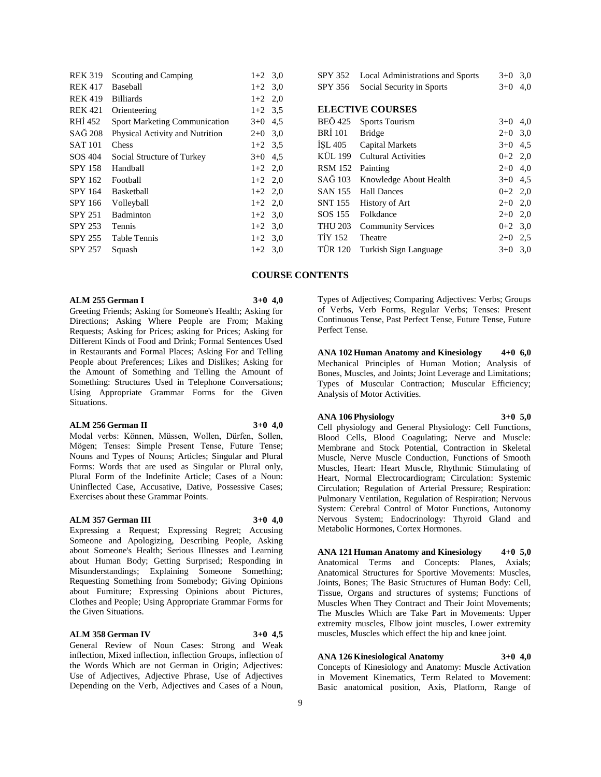| <b>REK 319</b> | Scouting and Camping            | $1+2$ 3,0 | SPY 352                 | Local Administrations and Sports | $3+0$ 3,0 |  |
|----------------|---------------------------------|-----------|-------------------------|----------------------------------|-----------|--|
| <b>REK 417</b> | Baseball                        | $1+2$ 3.0 | SPY 356                 | Social Security in Sports        | $3+0$ 4,0 |  |
| <b>REK 419</b> | <b>Billiards</b>                | $1+2$ 2,0 |                         |                                  |           |  |
| <b>REK 421</b> | Orienteering                    | $1+2$ 3.5 | <b>ELECTIVE COURSES</b> |                                  |           |  |
| RHI 452        | Sport Marketing Communication   | $3+0$ 4.5 | <b>BEÖ</b> 425          | <b>Sports Tourism</b>            | $3+0$ 4,0 |  |
| SAĞ 208        | Physical Activity and Nutrition | $2+0$ 3.0 | <b>BRI</b> 101          | <b>Bridge</b>                    | $2+0$ 3.0 |  |
| <b>SAT 101</b> | Chess                           | $1+2$ 3.5 | ISL 405                 | Capital Markets                  | $3+0$ 4.5 |  |
| SOS 404        | Social Structure of Turkey      | $3+0$ 4.5 | KÜL 199                 | <b>Cultural Activities</b>       | $0+2$ 2,0 |  |
| <b>SPY 158</b> | Handball                        | $1+2$ 2,0 | <b>RSM 152</b>          | Painting                         | $2+0$ 4,0 |  |
| SPY 162        | Football                        | $1+2$ 2,0 | SAĞ 103                 | Knowledge About Health           | $3+0$ 4.5 |  |
| <b>SPY 164</b> | Basketball                      | $1+2$ 2,0 | <b>SAN 155</b>          | <b>Hall Dances</b>               | $0+2$ 2,0 |  |
| <b>SPY 166</b> | Volleyball                      | $1+2$ 2,0 | <b>SNT 155</b>          | History of Art                   | $2+0$ 2,0 |  |
| <b>SPY 251</b> | Badminton                       | $1+2$ 3.0 | SOS 155                 | Folkdance                        | $2+0$ 2,0 |  |
| <b>SPY 253</b> | Tennis                          | $1+2$ 3.0 | <b>THU 203</b>          | <b>Community Services</b>        | $0+2$ 3.0 |  |
| <b>SPY 255</b> | Table Tennis                    | $1+2$ 3.0 | <b>TIY 152</b>          | Theatre                          | $2+0$ 2.5 |  |
| <b>SPY 257</b> | Squash                          | $1+2$ 3,0 | <b>TÜR 120</b>          | Turkish Sign Language            | $3+0$ 3,0 |  |
|                |                                 |           |                         |                                  |           |  |

# **COURSE CONTENTS**

**ALM 255 German I 3+0 4,0**

Greeting Friends; Asking for Someone's Health; Asking for Directions; Asking Where People are From; Making Requests; Asking for Prices; asking for Prices; Asking for Different Kinds of Food and Drink; Formal Sentences Used in Restaurants and Formal Places; Asking For and Telling People about Preferences; Likes and Dislikes; Asking for the Amount of Something and Telling the Amount of Something: Structures Used in Telephone Conversations; Using Appropriate Grammar Forms for the Given Situations.

#### **ALM 256 German II 3+0 4,0**

Modal verbs: Können, Müssen, Wollen, Dürfen, Sollen, Mögen; Tenses: Simple Present Tense, Future Tense; Nouns and Types of Nouns; Articles; Singular and Plural Forms: Words that are used as Singular or Plural only, Plural Form of the Indefinite Article; Cases of a Noun: Uninflected Case, Accusative, Dative, Possessive Cases; Exercises about these Grammar Points.

#### **ALM 357 German III 3+0 4,0**

Expressing a Request; Expressing Regret; Accusing Someone and Apologizing, Describing People, Asking about Someone's Health; Serious Illnesses and Learning about Human Body; Getting Surprised; Responding in Misunderstandings; Explaining Someone Something; Requesting Something from Somebody; Giving Opinions about Furniture; Expressing Opinions about Pictures, Clothes and People; Using Appropriate Grammar Forms for the Given Situations.

#### **ALM 358 German IV 3+0 4,5**

General Review of Noun Cases: Strong and Weak inflection, Mixed inflection, inflection Groups, inflection of the Words Which are not German in Origin; Adjectives: Use of Adjectives, Adjective Phrase, Use of Adjectives Depending on the Verb, Adjectives and Cases of a Noun,

Types of Adjectives; Comparing Adjectives: Verbs; Groups of Verbs, Verb Forms, Regular Verbs; Tenses: Present Continuous Tense, Past Perfect Tense, Future Tense, Future Perfect Tense.

**ANA 102 Human Anatomy and Kinesiology 4+0 6,0** Mechanical Principles of Human Motion; Analysis of Bones, Muscles, and Joints; Joint Leverage and Limitations; Types of Muscular Contraction; Muscular Efficiency; Analysis of Motor Activities.

**ANA 106 Physiology 3+0 5,0**

Cell physiology and General Physiology: Cell Functions, Blood Cells, Blood Coagulating; Nerve and Muscle: Membrane and Stock Potential, Contraction in Skeletal Muscle, Nerve Muscle Conduction, Functions of Smooth Muscles, Heart: Heart Muscle, Rhythmic Stimulating of Heart, Normal Electrocardiogram; Circulation: Systemic Circulation; Regulation of Arterial Pressure; Respiration: Pulmonary Ventilation, Regulation of Respiration; Nervous System: Cerebral Control of Motor Functions, Autonomy Nervous System; Endocrinology: Thyroid Gland and Metabolic Hormones, Cortex Hormones.

**ANA 121 Human Anatomy and Kinesiology 4+0 5,0** Anatomical Terms and Concepts: Planes, Axials; Anatomical Structures for Sportive Movements: Muscles, Joints, Bones; The Basic Structures of Human Body: Cell, Tissue, Organs and structures of systems; Functions of Muscles When They Contract and Their Joint Movements; The Muscles Which are Take Part in Movements: Upper extremity muscles, Elbow joint muscles, Lower extremity muscles, Muscles which effect the hip and knee joint.

# **ANA 126 Kinesiological Anatomy 3+0 4,0**

Concepts of Kinesiology and Anatomy: Muscle Activation in Movement Kinematics, Term Related to Movement: Basic anatomical position, Axis, Platform, Range of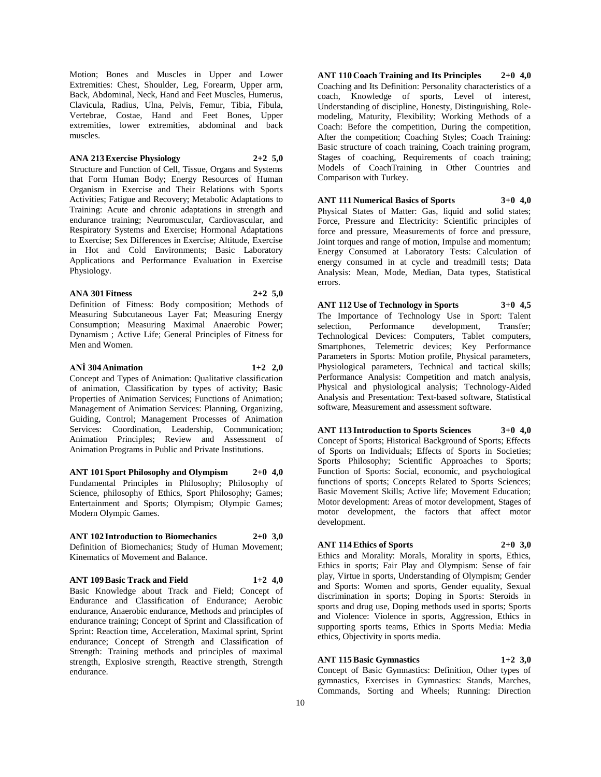Motion; Bones and Muscles in Upper and Lower Extremities: Chest, Shoulder, Leg, Forearm, Upper arm, Back, Abdominal, Neck, Hand and Feet Muscles, Humerus, Clavicula, Radius, Ulna, Pelvis, Femur, Tibia, Fibula, Vertebrae, Costae, Hand and Feet Bones, Upper extremities, lower extremities, abdominal and back muscles.

#### **ANA 213 Exercise Physiology 2+2 5,0**

Structure and Function of Cell, Tissue, Organs and Systems that Form Human Body; Energy Resources of Human Organism in Exercise and Their Relations with Sports Activities; Fatigue and Recovery; Metabolic Adaptations to Training: Acute and chronic adaptations in strength and endurance training; Neuromuscular, Cardiovascular, and Respiratory Systems and Exercise; Hormonal Adaptations to Exercise; Sex Differences in Exercise; Altitude, Exercise in Hot and Cold Environments; Basic Laboratory Applications and Performance Evaluation in Exercise Physiology.

#### **ANA 301 Fitness 2+2 5,0**

Definition of Fitness: Body composition; Methods of Measuring Subcutaneous Layer Fat; Measuring Energy Consumption; Measuring Maximal Anaerobic Power; Dynamism ; Active Life; General Principles of Fitness for Men and Women.

#### **ANİ 304 Animation 1+2 2,0**

Concept and Types of Animation: Qualitative classification of animation, Classification by types of activity; Basic Properties of Animation Services; Functions of Animation; Management of Animation Services: Planning, Organizing, Guiding, Control; Management Processes of Animation Services: Coordination, Leadership, Communication; Animation Principles; Review and Assessment of Animation Programs in Public and Private Institutions.

**ANT 101 Sport Philosophy and Olympism 2+0 4,0** Fundamental Principles in Philosophy; Philosophy of Science, philosophy of Ethics, Sport Philosophy; Games; Entertainment and Sports; Olympism; Olympic Games; Modern Olympic Games.

# **ANT 102 Introduction to Biomechanics 2+0 3,0**

Definition of Biomechanics; Study of Human Movement; Kinematics of Movement and Balance.

#### **ANT 109 Basic Track and Field 1+2 4,0**

Basic Knowledge about Track and Field; Concept of Endurance and Classification of Endurance; Aerobic endurance, Anaerobic endurance, Methods and principles of endurance training; Concept of Sprint and Classification of Sprint: Reaction time, Acceleration, Maximal sprint, Sprint endurance; Concept of Strength and Classification of Strength: Training methods and principles of maximal strength, Explosive strength, Reactive strength, Strength endurance.

**ANT 110 Coach Training and Its Principles 2+0 4,0** Coaching and Its Definition: Personality characteristics of a coach, Knowledge of sports, Level of interest, Understanding of discipline, Honesty, Distinguishing, Rolemodeling, Maturity, Flexibility; Working Methods of a Coach: Before the competition, During the competition, After the competition; Coaching Styles; Coach Training: Basic structure of coach training, Coach training program, Stages of coaching, Requirements of coach training; Models of CoachTraining in Other Countries and Comparison with Turkey.

#### **ANT 111 Numerical Basics of Sports 3+0 4,0** Physical States of Matter: Gas, liquid and solid states; Force, Pressure and Electricity: Scientific principles of force and pressure, Measurements of force and pressure, Joint torques and range of motion, Impulse and momentum; Energy Consumed at Laboratory Tests: Calculation of energy consumed in at cycle and treadmill tests; Data Analysis: Mean, Mode, Median, Data types, Statistical errors.

**ANT 112 Use of Technology in Sports 3+0 4,5** The Importance of Technology Use in Sport: Talent selection, Performance development, Transfer; Technological Devices: Computers, Tablet computers, Smartphones, Telemetric devices; Key Performance Parameters in Sports: Motion profile, Physical parameters, Physiological parameters, Technical and tactical skills; Performance Analysis: Competition and match analysis, Physical and physiological analysis; Technology-Aided Analysis and Presentation: Text-based software, Statistical software, Measurement and assessment software.

**ANT 113 Introduction to Sports Sciences 3+0 4,0** Concept of Sports; Historical Background of Sports; Effects of Sports on Individuals; Effects of Sports in Societies; Sports Philosophy; Scientific Approaches to Sports; Function of Sports: Social, economic, and psychological functions of sports; Concepts Related to Sports Sciences; Basic Movement Skills; Active life; Movement Education; Motor development: Areas of motor development, Stages of motor development, the factors that affect motor development.

# **ANT 114 Ethics of Sports 2+0 3,0**

Ethics and Morality: Morals, Morality in sports, Ethics, Ethics in sports; Fair Play and Olympism: Sense of fair play, Virtue in sports, Understanding of Olympism; Gender and Sports: Women and sports, Gender equality, Sexual discrimination in sports; Doping in Sports: Steroids in sports and drug use, Doping methods used in sports; Sports and Violence: Violence in sports, Aggression, Ethics in supporting sports teams, Ethics in Sports Media: Media ethics, Objectivity in sports media.

# **ANT 115 Basic Gymnastics 1+2 3,0**

Concept of Basic Gymnastics: Definition, Other types of gymnastics, Exercises in Gymnastics: Stands, Marches, Commands, Sorting and Wheels; Running: Direction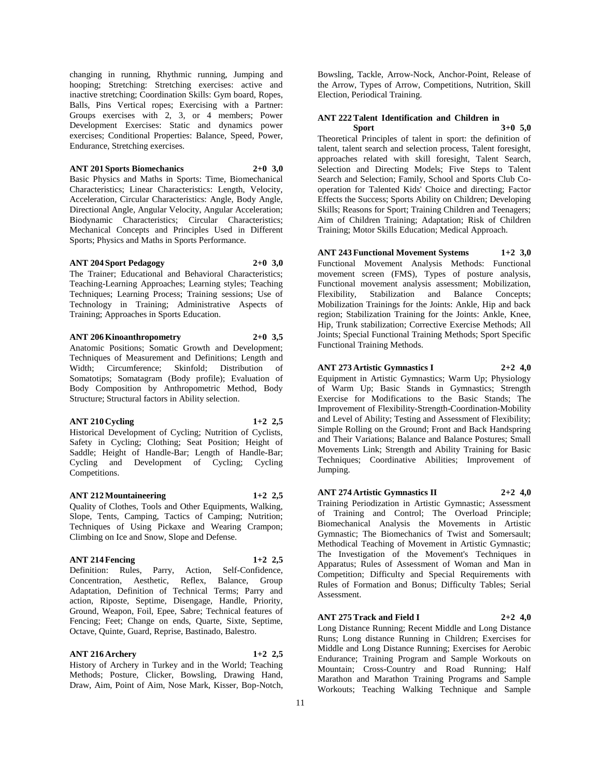changing in running, Rhythmic running, Jumping and hooping; Stretching: Stretching exercises: active and inactive stretching; Coordination Skills: Gym board, Ropes, Balls, Pins Vertical ropes; Exercising with a Partner: Groups exercises with 2, 3, or 4 members; Power Development Exercises: Static and dynamics power exercises; Conditional Properties: Balance, Speed, Power, Endurance, Stretching exercises.

#### **ANT 201 Sports Biomechanics 2+0 3,0**

Basic Physics and Maths in Sports: Time, Biomechanical Characteristics; Linear Characteristics: Length, Velocity, Acceleration, Circular Characteristics: Angle, Body Angle, Directional Angle, Angular Velocity, Angular Acceleration; Biodynamic Characteristics; Circular Characteristics; Mechanical Concepts and Principles Used in Different Sports; Physics and Maths in Sports Performance.

#### **ANT 204 Sport Pedagogy 2+0 3,0**

The Trainer; Educational and Behavioral Characteristics; Teaching-Learning Approaches; Learning styles; Teaching Techniques; Learning Process; Training sessions; Use of Technology in Training; Administrative Aspects of Training; Approaches in Sports Education.

#### **ANT 206 Kinoanthropometry 2+0 3,5**

Anatomic Positions; Somatic Growth and Development; Techniques of Measurement and Definitions; Length and Width; Circumference; Skinfold; Distribution of Somatotips; Somatagram (Body profile); Evaluation of Body Composition by Anthropometric Method, Body Structure; Structural factors in Ability selection.

### **ANT 210 Cycling 1+2 2,5**

Historical Development of Cycling; Nutrition of Cyclists, Safety in Cycling; Clothing; Seat Position; Height of Saddle; Height of Handle-Bar; Length of Handle-Bar; Cycling and Development of Cycling; Cycling Competitions.

#### **ANT 212 Mountaineering 1+2 2,5**

Quality of Clothes, Tools and Other Equipments, Walking, Slope, Tents, Camping, Tactics of Camping; Nutrition; Techniques of Using Pickaxe and Wearing Crampon; Climbing on Ice and Snow, Slope and Defense.

# **ANT 214 Fencing 1+2 2,5**

Definition: Rules, Parry, Action, Self-Confidence, Concentration, Aesthetic, Reflex, Balance, Group Adaptation, Definition of Technical Terms; Parry and action, Riposte, Septime, Disengage, Handle, Priority, Ground, Weapon, Foil, Epee, Sabre; Technical features of Fencing; Feet; Change on ends, Quarte, Sixte, Septime, Octave, Quinte, Guard, Reprise, Bastinado, Balestro.

# **ANT 216 Archery 1+2 2,5**

History of Archery in Turkey and in the World; Teaching Methods; Posture, Clicker, Bowsling, Drawing Hand, Draw, Aim, Point of Aim, Nose Mark, Kisser, Bop-Notch,

Bowsling, Tackle, Arrow-Nock, Anchor-Point, Release of the Arrow, Types of Arrow, Competitions, Nutrition, Skill Election, Periodical Training.

# **ANT 222 Talent Identification and Children in Sport 3+0 5,0**

Theoretical Principles of talent in sport: the definition of talent, talent search and selection process, Talent foresight, approaches related with skill foresight, Talent Search, Selection and Directing Models; Five Steps to Talent Search and Selection; Family, School and Sports Club Cooperation for Talented Kids' Choice and directing; Factor Effects the Success; Sports Ability on Children; Developing Skills; Reasons for Sport; Training Children and Teenagers; Aim of Children Training; Adaptation; Risk of Children Training; Motor Skills Education; Medical Approach.

**ANT 243 Functional Movement Systems 1+2 3,0** Functional Movement Analysis Methods: Functional movement screen (FMS), Types of posture analysis, Functional movement analysis assessment; Mobilization, Flexibility, Stabilization and Balance Concepts; Mobilization Trainings for the Joints: Ankle, Hip and back region; Stabilization Training for the Joints: Ankle, Knee, Hip, Trunk stabilization; Corrective Exercise Methods; All Joints; Special Functional Training Methods; Sport Specific Functional Training Methods.

**ANT 273 Artistic Gymnastics I 2+2 4,0**

Equipment in Artistic Gymnastics; Warm Up; Physiology of Warm Up; Basic Stands in Gymnastics; Strength Exercise for Modifications to the Basic Stands; The Improvement of Flexibility-Strength-Coordination-Mobility and Level of Ability; Testing and Assessment of Flexibility; Simple Rolling on the Ground; Front and Back Handspring and Their Variations; Balance and Balance Postures; Small Movements Link; Strength and Ability Training for Basic Techniques; Coordinative Abilities; Improvement of Jumping.

**ANT 274 Artistic Gymnastics II 2+2 4,0** Training Periodization in Artistic Gymnastic; Assessment

of Training and Control; The Overload Principle; Biomechanical Analysis the Movements in Artistic Gymnastic; The Biomechanics of Twist and Somersault; Methodical Teaching of Movement in Artistic Gymnastic; The Investigation of the Movement's Techniques in Apparatus; Rules of Assessment of Woman and Man in Competition; Difficulty and Special Requirements with Rules of Formation and Bonus; Difficulty Tables; Serial Assessment.

#### **ANT 275 Track and Field I 2+2 4,0**

Long Distance Running; Recent Middle and Long Distance Runs; Long distance Running in Children; Exercises for Middle and Long Distance Running; Exercises for Aerobic Endurance; Training Program and Sample Workouts on Mountain; Cross-Country and Road Running; Half Marathon and Marathon Training Programs and Sample Workouts; Teaching Walking Technique and Sample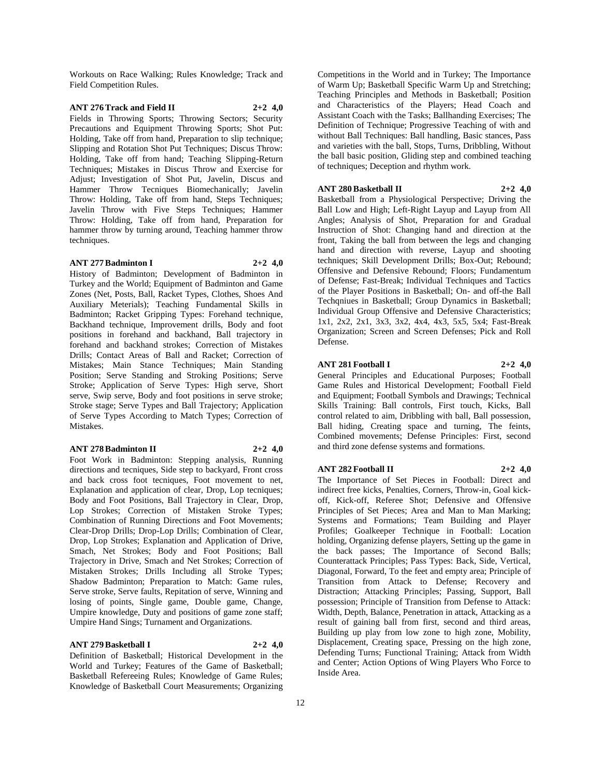Workouts on Race Walking; Rules Knowledge; Track and Field Competition Rules.

#### **ANT 276 Track and Field II 2+2 4,0**

Fields in Throwing Sports; Throwing Sectors; Security Precautions and Equipment Throwing Sports; Shot Put: Holding, Take off from hand, Preparation to slip technique; Slipping and Rotation Shot Put Techniques; Discus Throw: Holding, Take off from hand; Teaching Slipping-Return Techniques; Mistakes in Discus Throw and Exercise for Adjust; Investigation of Shot Put, Javelin, Discus and Hammer Throw Tecniques Biomechanically; Javelin Throw: Holding, Take off from hand, Steps Techniques; Javelin Throw with Five Steps Techniques; Hammer Throw: Holding, Take off from hand, Preparation for hammer throw by turning around, Teaching hammer throw techniques.

#### **ANT 277 Badminton I 2+2 4,0**

History of Badminton; Development of Badminton in Turkey and the World; Equipment of Badminton and Game Zones (Net, Posts, Ball, Racket Types, Clothes, Shoes And Auxiliary Meterials); Teaching Fundamental Skills in Badminton; Racket Gripping Types: Forehand technique, Backhand technique, Improvement drills, Body and foot positions in forehand and backhand, Ball trajectory in forehand and backhand strokes; Correction of Mistakes Drills; Contact Areas of Ball and Racket; Correction of Mistakes; Main Stance Techniques; Main Standing Position; Serve Standing and Stroking Positions; Serve Stroke; Application of Serve Types: High serve, Short serve, Swip serve, Body and foot positions in serve stroke; Stroke stage; Serve Types and Ball Trajectory; Application of Serve Types According to Match Types; Correction of Mistakes.

#### **ANT 278 Badminton II 2+2 4,0**

Foot Work in Badminton: Stepping analysis, Running directions and tecniques, Side step to backyard, Front cross and back cross foot tecniques, Foot movement to net, Explanation and application of clear, Drop, Lop tecniques; Body and Foot Positions, Ball Trajectory in Clear, Drop, Lop Strokes; Correction of Mistaken Stroke Types; Combination of Running Directions and Foot Movements; Clear-Drop Drills; Drop-Lop Drills; Combination of Clear, Drop, Lop Strokes; Explanation and Application of Drive, Smach, Net Strokes; Body and Foot Positions; Ball Trajectory in Drive, Smach and Net Strokes; Correction of Mistaken Strokes; Drills Including all Stroke Types; Shadow Badminton; Preparation to Match: Game rules, Serve stroke, Serve faults, Repitation of serve, Winning and losing of points, Single game, Double game, Change, Umpire knowledge, Duty and positions of game zone staff; Umpire Hand Sings; Turnament and Organizations.

#### **ANT 279 Basketball I 2+2 4,0**

Definition of Basketball; Historical Development in the World and Turkey; Features of the Game of Basketball; Basketball Refereeing Rules; Knowledge of Game Rules; Knowledge of Basketball Court Measurements; Organizing

Competitions in the World and in Turkey; The Importance of Warm Up; Basketball Specific Warm Up and Stretching; Teaching Principles and Methods in Basketball; Position and Characteristics of the Players; Head Coach and Assistant Coach with the Tasks; Ballhanding Exercises; The Definition of Technique; Progressive Teaching of with and without Ball Techniques: Ball handling, Basic stances, Pass and varieties with the ball, Stops, Turns, Dribbling, Without the ball basic position, Gliding step and combined teaching of techniques; Deception and rhythm work.

#### **ANT 280 Basketball II 2+2 4,0**

Basketball from a Physiological Perspective; Driving the Ball Low and High; Left-Right Layup and Layup from All Angles; Analysis of Shot, Preparation for and Gradual Instruction of Shot: Changing hand and direction at the front, Taking the ball from between the legs and changing hand and direction with reverse, Layup and shooting techniques; Skill Development Drills; Box-Out; Rebound; Offensive and Defensive Rebound; Floors; Fundamentum of Defense; Fast-Break; Individual Techniques and Tactics of the Player Positions in Basketball; On- and off-the Ball Techqniues in Basketball; Group Dynamics in Basketball; Individual Group Offensive and Defensive Characteristics; 1x1, 2x2, 2x1, 3x3, 3x2, 4x4, 4x3, 5x5, 5x4; Fast-Break Organization; Screen and Screen Defenses; Pick and Roll Defense.

#### **ANT 281 Football I 2+2 4,0**

General Principles and Educational Purposes; Football Game Rules and Historical Development; Football Field and Equipment; Football Symbols and Drawings; Technical Skills Training: Ball controls, First touch, Kicks, Ball control related to aim, Dribbling with ball, Ball possession, Ball hiding, Creating space and turning, The feints, Combined movements; Defense Principles: First, second and third zone defense systems and formations.

#### **ANT 282 Football II 2+2 4,0**

The Importance of Set Pieces in Football: Direct and indirect free kicks, Penalties, Corners, Throw-in, Goal kickoff, Kick-off, Referee Shot; Defensive and Offensive Principles of Set Pieces; Area and Man to Man Marking; Systems and Formations; Team Building and Player Profiles; Goalkeeper Technique in Football: Location holding, Organizing defense players, Setting up the game in the back passes; The Importance of Second Balls; Counterattack Principles; Pass Types: Back, Side, Vertical, Diagonal, Forward, To the feet and empty area; Principle of Transition from Attack to Defense; Recovery and Distraction; Attacking Principles; Passing, Support, Ball possession; Principle of Transition from Defense to Attack: Width, Depth, Balance, Penetration in attack, Attacking as a result of gaining ball from first, second and third areas, Building up play from low zone to high zone, Mobility, Displacement, Creating space, Pressing on the high zone, Defending Turns; Functional Training; Attack from Width and Center; Action Options of Wing Players Who Force to Inside Area.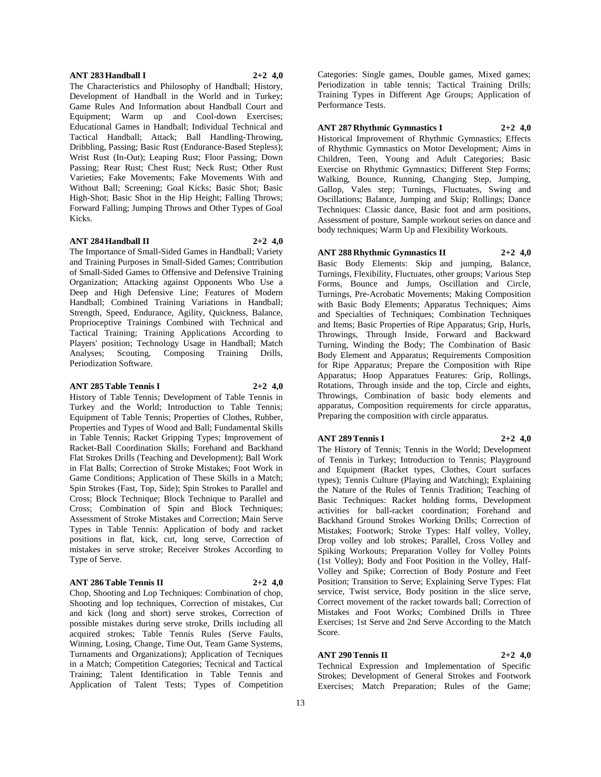#### **ANT 283 Handball I 2+2 4,0**

The Characteristics and Philosophy of Handball; History, Development of Handball in the World and in Turkey; Game Rules And Information about Handball Court and Equipment; Warm up and Cool-down Exercises; Educational Games in Handball; Individual Technical and Tactical Handball; Attack; Ball Handling-Throwing, Dribbling, Passing; Basic Rust (Endurance-Based Stepless); Wrist Rust (In-Out); Leaping Rust; Floor Passing; Down Passing; Rear Rust; Chest Rust; Neck Rust; Other Rust Varieties; Fake Movements; Fake Movements With and Without Ball; Screening; Goal Kicks; Basic Shot; Basic High-Shot; Basic Shot in the Hip Height; Falling Throws; Forward Falling; Jumping Throws and Other Types of Goal Kicks.

#### **ANT 284 Handball II 2+2 4,0**

The Importance of Small-Sided Games in Handball; Variety and Training Purposes in Small-Sided Games; Contribution of Small-Sided Games to Offensive and Defensive Training Organization; Attacking against Opponents Who Use a Deep and High Defensive Line; Features of Modern Handball; Combined Training Variations in Handball; Strength, Speed, Endurance, Agility, Quickness, Balance, Proprioceptive Trainings Combined with Technical and Tactical Training; Training Applications According to Players' position; Technology Usage in Handball; Match Analyses; Scouting, Composing Training Drills, Periodization Software.

#### **ANT 285 Table Tennis I 2+2 4,0**

History of Table Tennis; Development of Table Tennis in Turkey and the World; Introduction to Table Tennis; Equipment of Table Tennis; Properties of Clothes, Rubber, Properties and Types of Wood and Ball; Fundamental Skills in Table Tennis; Racket Gripping Types; Improvement of Racket-Ball Coordination Skills; Forehand and Backhand Flat Strokes Drills (Teaching and Development); Ball Work in Flat Balls; Correction of Stroke Mistakes; Foot Work in Game Conditions; Application of These Skills in a Match; Spin Strokes (Fast, Top, Side); Spin Strokes to Parallel and Cross; Block Technique; Block Technique to Parallel and Cross; Combination of Spin and Block Techniques; Assessment of Stroke Mistakes and Correction; Main Serve Types in Table Tennis: Application of body and racket positions in flat, kick, cut, long serve, Correction of mistakes in serve stroke; Receiver Strokes According to Type of Serve.

# **ANT 286 Table Tennis II 2+2 4,0**

Chop, Shooting and Lop Techniques: Combination of chop, Shooting and lop techniques, Correction of mistakes, Cut and kick (long and short) serve strokes, Correction of possible mistakes during serve stroke, Drills including all acquired strokes; Table Tennis Rules (Serve Faults, Winning, Losing, Change, Time Out, Team Game Systems, Turnaments and Organizations); Application of Tecniques in a Match; Competition Categories; Tecnical and Tactical Training; Talent Identification in Table Tennis and Application of Talent Tests; Types of Competition

Categories: Single games, Double games, Mixed games; Periodization in table tennis; Tactical Training Drills; Training Types in Different Age Groups; Application of Performance Tests.

# **ANT 287 Rhythmic Gymnastics I 2+2 4,0**

Historical Improvement of Rhythmic Gymnastics; Effects of Rhythmic Gymnastics on Motor Development; Aims in Children, Teen, Young and Adult Categories; Basic Exercise on Rhythmic Gymnastics; Different Step Forms; Walking, Bounce, Running, Changing Step, Jumping, Gallop, Vales step; Turnings, Fluctuates, Swing and Oscillations; Balance, Jumping and Skip; Rollings; Dance Techniques: Classic dance, Basic foot and arm positions, Assessment of posture, Sample workout series on dance and body techniques; Warm Up and Flexibility Workouts.

## **ANT 288 Rhythmic Gymnastics II 2+2 4,0**

Basic Body Elements: Skip and jumping, Balance, Turnings, Flexibility, Fluctuates, other groups; Various Step Forms, Bounce and Jumps, Oscillation and Circle, Turnings, Pre-Acrobatic Movements; Making Composition with Basic Body Elements; Apparatus Techniques; Aims and Specialties of Techniques; Combination Techniques and Items; Basic Properties of Ripe Apparatus; Grip, Hurls, Throwings, Through Inside, Forward and Backward Turning, Winding the Body; The Combination of Basic Body Element and Apparatus; Requirements Composition for Ripe Apparatus; Prepare the Composition with Ripe Apparatus; Hoop Apparatues Features: Grip, Rollings, Rotations, Through inside and the top, Circle and eights, Throwings, Combination of basic body elements and apparatus, Composition requirements for circle apparatus, Preparing the composition with circle apparatus.

#### **ANT 289 Tennis I 2+2 4,0**

The History of Tennis; Tennis in the World; Development of Tennis in Turkey; Introduction to Tennis; Playground and Equipment (Racket types, Clothes, Court surfaces types); Tennis Culture (Playing and Watching); Explaining the Nature of the Rules of Tennis Tradition; Teaching of Basic Techniques: Racket holding forms, Development activities for ball-racket coordination; Forehand and Backhand Ground Strokes Working Drills; Correction of Mistakes; Footwork; Stroke Types: Half volley, Volley, Drop volley and lob strokes; Parallel, Cross Volley and Spiking Workouts; Preparation Volley for Volley Points (1st Volley); Body and Foot Position in the Volley, Half-Volley and Spike; Correction of Body Posture and Feet Position; Transition to Serve; Explaining Serve Types: Flat service, Twist service, Body position in the slice serve, Correct movement of the racket towards ball; Correction of Mistakes and Foot Works; Combined Drills in Three Exercises; 1st Serve and 2nd Serve According to the Match Score.

# **ANT 290 Tennis II 2+2 4,0**

Technical Expression and Implementation of Specific Strokes; Development of General Strokes and Footwork Exercises; Match Preparation; Rules of the Game;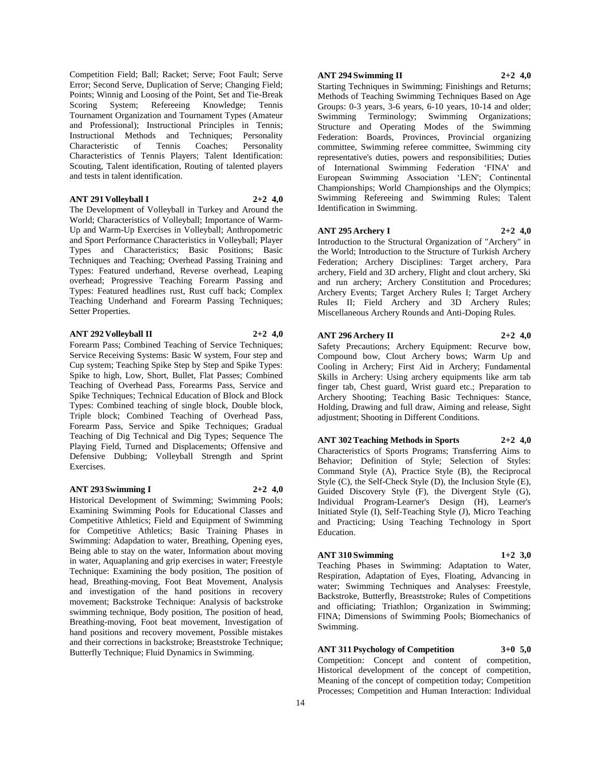Competition Field; Ball; Racket; Serve; Foot Fault; Serve Error; Second Serve, Duplication of Serve; Changing Field; Points; Winnig and Loosing of the Point, Set and Tie-Break Scoring System; Refereeing Knowledge; Tennis Tournament Organization and Tournament Types (Amateur and Professional); Instructional Principles in Tennis; Instructional Methods and Techniques; Personality Characteristic of Tennis Coaches; Personality Characteristics of Tennis Players; Talent Identification: Scouting, Talent identification, Routing of talented players and tests in talent identification.

#### **ANT 291 Volleyball I 2+2 4,0**

The Development of Volleyball in Turkey and Around the World; Characteristics of Volleyball; Importance of Warm-Up and Warm-Up Exercises in Volleyball; Anthropometric and Sport Performance Characteristics in Volleyball; Player Types and Characteristics; Basic Positions; Basic Techniques and Teaching; Overhead Passing Training and Types: Featured underhand, Reverse overhead, Leaping overhead; Progressive Teaching Forearm Passing and Types: Featured headlines rust, Rust cuff back; Complex Teaching Underhand and Forearm Passing Techniques; Setter Properties.

#### **ANT 292 Volleyball II 2+2 4,0**

Forearm Pass; Combined Teaching of Service Techniques; Service Receiving Systems: Basic W system, Four step and Cup system; Teaching Spike Step by Step and Spike Types: Spike to high, Low, Short, Bullet, Flat Passes; Combined Teaching of Overhead Pass, Forearms Pass, Service and Spike Techniques; Technical Education of Block and Block Types: Combined teaching of single block, Double block, Triple block; Combined Teaching of Overhead Pass, Forearm Pass, Service and Spike Techniques; Gradual Teaching of Dig Technical and Dig Types; Sequence The Playing Field, Turned and Displacements; Offensive and Defensive Dubbing; Volleyball Strength and Sprint Exercises.

#### **ANT 293 Swimming I 2+2 4,0**

Historical Development of Swimming; Swimming Pools; Examining Swimming Pools for Educational Classes and Competitive Athletics; Field and Equipment of Swimming for Competitive Athletics; Basic Training Phases in Swimming: Adapdation to water, Breathing, Opening eyes, Being able to stay on the water, Information about moving in water, Aquaplaning and grip exercises in water; Freestyle Technique: Examining the body position, The position of head, Breathing-moving, Foot Beat Movement, Analysis and investigation of the hand positions in recovery movement; Backstroke Technique: Analysis of backstroke swimming technique, Body position, The position of head, Breathing-moving, Foot beat movement, Investigation of hand positions and recovery movement, Possible mistakes and their corrections in backstroke; Breaststroke Technique; Butterfly Technique; Fluid Dynamics in Swimming.

# **ANT 294 Swimming II 2+2 4,0**

Starting Techniques in Swimming; Finishings and Returns; Methods of Teaching Swimming Techniques Based on Age Groups: 0-3 years, 3-6 years, 6-10 years, 10-14 and older; Swimming Terminology; Swimming Organizations; Structure and Operating Modes of the Swimming Federation: Boards, Provinces, Provincial organizing committee, Swimming referee committee, Swimming city representative's duties, powers and responsibilities; Duties of International Swimming Federation 'FINA' and European Swimming Association 'LEN'; Continental Championships; World Championships and the Olympics; Swimming Refereeing and Swimming Rules; Talent Identification in Swimming.

#### **ANT 295 Archery I 2+2 4,0**

Introduction to the Structural Organization of "Archery" in the World; Introduction to the Structure of Turkish Archery Federation; Archery Disciplines: Target archery, Para archery, Field and 3D archery, Flight and clout archery, Ski and run archery; Archery Constitution and Procedures; Archery Events; Target Archery Rules I; Target Archery Rules II; Field Archery and 3D Archery Rules; Miscellaneous Archery Rounds and Anti-Doping Rules.

#### **ANT 296 Archery II 2+2 4,0**

Safety Precautions; Archery Equipment: Recurve bow, Compound bow, Clout Archery bows; Warm Up and Cooling in Archery; First Aid in Archery; Fundamental Skills in Archery: Using archery equipments like arm tab finger tab, Chest guard, Wrist guard etc.; Preparation to Archery Shooting; Teaching Basic Techniques: Stance, Holding, Drawing and full draw, Aiming and release, Sight adjustment; Shooting in Different Conditions.

#### **ANT 302 Teaching Methods in Sports 2+2 4,0**

Characteristics of Sports Programs; Transferring Aims to Behavior; Definition of Style; Selection of Styles: Command Style (A), Practice Style (B), the Reciprocal Style (C), the Self-Check Style (D), the Inclusion Style (E), Guided Discovery Style (F), the Divergent Style (G), Individual Program-Learner's Design (H), Learner's Initiated Style (I), Self-Teaching Style (J), Micro Teaching and Practicing; Using Teaching Technology in Sport Education.

#### **ANT 310 Swimming 1+2 3,0**

Teaching Phases in Swimming: Adaptation to Water, Respiration, Adaptation of Eyes, Floating, Advancing in water; Swimming Techniques and Analyses: Freestyle, Backstroke, Butterfly, Breaststroke; Rules of Competitions and officiating; Triathlon; Organization in Swimming; FINA; Dimensions of Swimming Pools; Biomechanics of Swimming.

**ANT 311 Psychology of Competition 3+0 5,0** Competition: Concept and content of competition, Historical development of the concept of competition, Meaning of the concept of competition today; Competition Processes; Competition and Human Interaction: Individual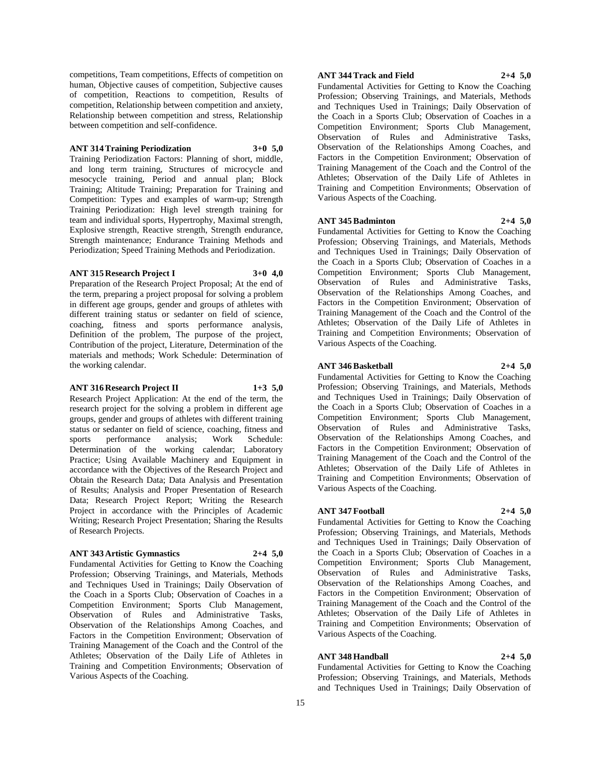competitions, Team competitions, Effects of competition on human, Objective causes of competition, Subjective causes of competition, Reactions to competition, Results of competition, Relationship between competition and anxiety, Relationship between competition and stress, Relationship between competition and self-confidence.

#### **ANT 314 Training Periodization 3+0 5,0**

Training Periodization Factors: Planning of short, middle, and long term training, Structures of microcycle and mesocycle training, Period and annual plan; Block Training; Altitude Training; Preparation for Training and Competition: Types and examples of warm-up; Strength Training Periodization: High level strength training for team and individual sports, Hypertrophy, Maximal strength, Explosive strength, Reactive strength, Strength endurance, Strength maintenance; Endurance Training Methods and Periodization; Speed Training Methods and Periodization.

# **ANT 315 Research Project I 3+0 4,0**

Preparation of the Research Project Proposal; At the end of the term, preparing a project proposal for solving a problem in different age groups, gender and groups of athletes with different training status or sedanter on field of science, coaching, fitness and sports performance analysis, Definition of the problem, The purpose of the project, Contribution of the project, Literature, Determination of the materials and methods; Work Schedule: Determination of the working calendar.

#### **ANT 316 Research Project II 1+3 5,0**

Research Project Application: At the end of the term, the research project for the solving a problem in different age groups, gender and groups of athletes with different training status or sedanter on field of science, coaching, fitness and sports performance analysis; Work Schedule: Determination of the working calendar; Laboratory Practice; Using Available Machinery and Equipment in accordance with the Objectives of the Research Project and Obtain the Research Data; Data Analysis and Presentation of Results; Analysis and Proper Presentation of Research Data; Research Project Report; Writing the Research Project in accordance with the Principles of Academic Writing; Research Project Presentation; Sharing the Results of Research Projects.

#### **ANT 343 Artistic Gymnastics 2+4 5,0**

Fundamental Activities for Getting to Know the Coaching Profession; Observing Trainings, and Materials, Methods and Techniques Used in Trainings; Daily Observation of the Coach in a Sports Club; Observation of Coaches in a Competition Environment; Sports Club Management, Observation of Rules and Administrative Tasks, Observation of the Relationships Among Coaches, and Factors in the Competition Environment; Observation of Training Management of the Coach and the Control of the Athletes; Observation of the Daily Life of Athletes in Training and Competition Environments; Observation of Various Aspects of the Coaching.

#### **ANT 344 Track and Field 2+4 5,0**

Fundamental Activities for Getting to Know the Coaching Profession; Observing Trainings, and Materials, Methods and Techniques Used in Trainings; Daily Observation of the Coach in a Sports Club; Observation of Coaches in a Competition Environment; Sports Club Management, Observation of Rules and Administrative Tasks, Observation of the Relationships Among Coaches, and Factors in the Competition Environment; Observation of Training Management of the Coach and the Control of the Athletes; Observation of the Daily Life of Athletes in

#### **ANT 345 Badminton 2+4 5,0**

Various Aspects of the Coaching.

Fundamental Activities for Getting to Know the Coaching Profession; Observing Trainings, and Materials, Methods and Techniques Used in Trainings; Daily Observation of the Coach in a Sports Club; Observation of Coaches in a Competition Environment; Sports Club Management, Observation of Rules and Administrative Tasks, Observation of the Relationships Among Coaches, and Factors in the Competition Environment; Observation of Training Management of the Coach and the Control of the Athletes; Observation of the Daily Life of Athletes in Training and Competition Environments; Observation of Various Aspects of the Coaching.

Training and Competition Environments; Observation of

#### **ANT 346 Basketball 2+4 5,0**

Fundamental Activities for Getting to Know the Coaching Profession; Observing Trainings, and Materials, Methods and Techniques Used in Trainings; Daily Observation of the Coach in a Sports Club; Observation of Coaches in a Competition Environment; Sports Club Management, Observation of Rules and Administrative Tasks, Observation of the Relationships Among Coaches, and Factors in the Competition Environment; Observation of Training Management of the Coach and the Control of the Athletes; Observation of the Daily Life of Athletes in Training and Competition Environments; Observation of Various Aspects of the Coaching.

#### **ANT 347 Football 2+4 5,0**

Fundamental Activities for Getting to Know the Coaching Profession; Observing Trainings, and Materials, Methods and Techniques Used in Trainings; Daily Observation of the Coach in a Sports Club; Observation of Coaches in a Competition Environment; Sports Club Management, Observation of Rules and Administrative Tasks, Observation of the Relationships Among Coaches, and Factors in the Competition Environment; Observation of Training Management of the Coach and the Control of the Athletes; Observation of the Daily Life of Athletes in Training and Competition Environments; Observation of Various Aspects of the Coaching.

#### **ANT 348 Handball 2+4 5,0**

Fundamental Activities for Getting to Know the Coaching Profession; Observing Trainings, and Materials, Methods and Techniques Used in Trainings; Daily Observation of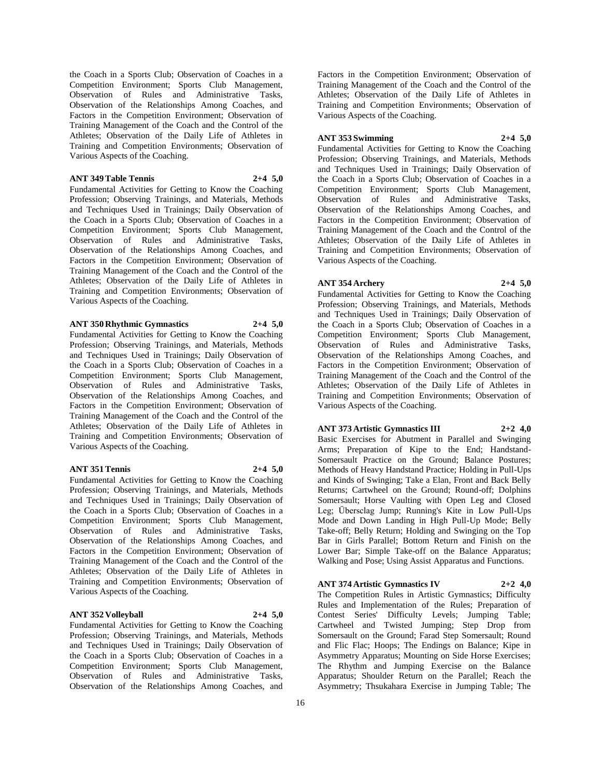the Coach in a Sports Club; Observation of Coaches in a Competition Environment; Sports Club Management, Observation of Rules and Administrative Tasks, Observation of the Relationships Among Coaches, and Factors in the Competition Environment; Observation of Training Management of the Coach and the Control of the Athletes; Observation of the Daily Life of Athletes in Training and Competition Environments; Observation of Various Aspects of the Coaching.

#### **ANT 349 Table Tennis 2+4 5,0**

Fundamental Activities for Getting to Know the Coaching Profession; Observing Trainings, and Materials, Methods and Techniques Used in Trainings; Daily Observation of the Coach in a Sports Club; Observation of Coaches in a Competition Environment; Sports Club Management, Observation of Rules and Administrative Tasks, Observation of the Relationships Among Coaches, and Factors in the Competition Environment; Observation of Training Management of the Coach and the Control of the Athletes; Observation of the Daily Life of Athletes in Training and Competition Environments; Observation of Various Aspects of the Coaching.

### **ANT 350 Rhythmic Gymnastics 2+4 5,0**

Fundamental Activities for Getting to Know the Coaching Profession; Observing Trainings, and Materials, Methods and Techniques Used in Trainings; Daily Observation of the Coach in a Sports Club; Observation of Coaches in a Competition Environment; Sports Club Management, Observation of Rules and Administrative Tasks, Observation of the Relationships Among Coaches, and Factors in the Competition Environment; Observation of Training Management of the Coach and the Control of the Athletes; Observation of the Daily Life of Athletes in Training and Competition Environments; Observation of Various Aspects of the Coaching.

#### **ANT 351 Tennis 2+4 5,0**

Fundamental Activities for Getting to Know the Coaching Profession; Observing Trainings, and Materials, Methods and Techniques Used in Trainings; Daily Observation of the Coach in a Sports Club; Observation of Coaches in a Competition Environment; Sports Club Management, Observation of Rules and Administrative Tasks, Observation of the Relationships Among Coaches, and Factors in the Competition Environment; Observation of Training Management of the Coach and the Control of the Athletes; Observation of the Daily Life of Athletes in Training and Competition Environments; Observation of Various Aspects of the Coaching.

# **ANT 352 Volleyball 2+4 5,0**

Fundamental Activities for Getting to Know the Coaching Profession; Observing Trainings, and Materials, Methods and Techniques Used in Trainings; Daily Observation of the Coach in a Sports Club; Observation of Coaches in a Competition Environment; Sports Club Management, Observation of Rules and Administrative Tasks, Observation of the Relationships Among Coaches, and

Factors in the Competition Environment; Observation of Training Management of the Coach and the Control of the Athletes; Observation of the Daily Life of Athletes in Training and Competition Environments; Observation of Various Aspects of the Coaching.

# **ANT 353 Swimming 2+4 5,0**

Fundamental Activities for Getting to Know the Coaching Profession; Observing Trainings, and Materials, Methods and Techniques Used in Trainings; Daily Observation of the Coach in a Sports Club; Observation of Coaches in a Competition Environment; Sports Club Management, Observation of Rules and Administrative Tasks, Observation of the Relationships Among Coaches, and Factors in the Competition Environment; Observation of Training Management of the Coach and the Control of the Athletes; Observation of the Daily Life of Athletes in Training and Competition Environments; Observation of Various Aspects of the Coaching.

#### **ANT 354 Archery 2+4 5,0**

Fundamental Activities for Getting to Know the Coaching Profession; Observing Trainings, and Materials, Methods and Techniques Used in Trainings; Daily Observation of the Coach in a Sports Club; Observation of Coaches in a Competition Environment; Sports Club Management, Observation of Rules and Administrative Tasks, Observation of the Relationships Among Coaches, and Factors in the Competition Environment; Observation of Training Management of the Coach and the Control of the Athletes; Observation of the Daily Life of Athletes in Training and Competition Environments; Observation of Various Aspects of the Coaching.

#### **ANT 373 Artistic Gymnastics III 2+2 4,0**

Basic Exercises for Abutment in Parallel and Swinging Arms; Preparation of Kipe to the End; Handstand-Somersault Practice on the Ground; Balance Postures; Methods of Heavy Handstand Practice; Holding in Pull-Ups and Kinds of Swinging; Take a Elan, Front and Back Belly Returns; Cartwheel on the Ground; Round-off; Dolphins Somersault; Horse Vaulting with Open Leg and Closed Leg; Übersclag Jump; Running's Kite in Low Pull-Ups Mode and Down Landing in High Pull-Up Mode; Belly Take-off; Belly Return; Holding and Swinging on the Top Bar in Girls Parallel; Bottom Return and Finish on the Lower Bar; Simple Take-off on the Balance Apparatus; Walking and Pose; Using Assist Apparatus and Functions.

**ANT 374 Artistic Gymnastics IV 2+2 4,0** The Competition Rules in Artistic Gymnastics; Difficulty Rules and Implementation of the Rules; Preparation of Contest Series' Difficulty Levels; Jumping Table; Cartwheel and Twisted Jumping; Step Drop from Somersault on the Ground; Farad Step Somersault; Round and Flic Flac; Hoops; The Endings on Balance; Kipe in Asymmetry Apparatus; Mounting on Side Horse Exercises; The Rhythm and Jumping Exercise on the Balance

Apparatus; Shoulder Return on the Parallel; Reach the Asymmetry; Thsukahara Exercise in Jumping Table; The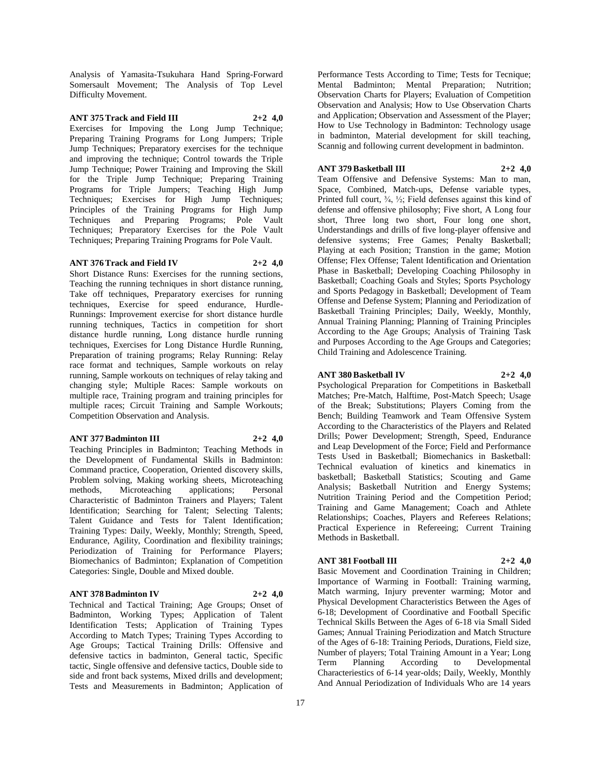Analysis of Yamasita-Tsukuhara Hand Spring-Forward Somersault Movement; The Analysis of Top Level Difficulty Movement.

# **ANT 375 Track and Field III 2+2 4,0**

Exercises for Impoving the Long Jump Technique; Preparing Training Programs for Long Jumpers; Triple Jump Techniques; Preparatory exercises for the technique and improving the technique; Control towards the Triple Jump Technique; Power Training and Improving the Skill for the Triple Jump Technique; Preparing Training Programs for Triple Jumpers; Teaching High Jump Techniques; Exercises for High Jump Techniques; Principles of the Training Programs for High Jump Techniques and Preparing Programs; Pole Vault Techniques; Preparatory Exercises for the Pole Vault Techniques; Preparing Training Programs for Pole Vault.

#### **ANT 376 Track and Field IV 2+2 4,0**

Short Distance Runs: Exercises for the running sections, Teaching the running techniques in short distance running, Take off techniques, Preparatory exercises for running techniques, Exercise for speed endurance, Hurdle-Runnings: Improvement exercise for short distance hurdle running techniques, Tactics in competition for short distance hurdle running, Long distance hurdle running techniques, Exercises for Long Distance Hurdle Running, Preparation of training programs; Relay Running: Relay race format and techniques, Sample workouts on relay running, Sample workouts on techniques of relay taking and changing style; Multiple Races: Sample workouts on multiple race, Training program and training principles for multiple races; Circuit Training and Sample Workouts; Competition Observation and Analysis.

#### **ANT 377 Badminton III 2+2 4,0**

Teaching Principles in Badminton; Teaching Methods in the Development of Fundamental Skills in Badminton: Command practice, Cooperation, Oriented discovery skills, Problem solving, Making working sheets, Microteaching methods, Microteaching applications; Personal Characteristic of Badminton Trainers and Players; Talent Identification; Searching for Talent; Selecting Talents; Talent Guidance and Tests for Talent Identification; Training Types: Daily, Weekly, Monthly; Strength, Speed, Endurance, Agility, Coordination and flexibility trainings; Periodization of Training for Performance Players; Biomechanics of Badminton; Explanation of Competition Categories: Single, Double and Mixed double.

#### **ANT 378 Badminton IV 2+2 4,0**

Technical and Tactical Training; Age Groups; Onset of Badminton, Working Types; Application of Talent Identification Tests; Application of Training Types According to Match Types; Training Types According to Age Groups; Tactical Training Drills: Offensive and defensive tactics in badminton, General tactic, Specific tactic, Single offensive and defensive tactics, Double side to side and front back systems, Mixed drills and development; Tests and Measurements in Badminton; Application of

Performance Tests According to Time; Tests for Tecnique; Mental Badminton; Mental Preparation; Nutrition; Observation Charts for Players; Evaluation of Competition Observation and Analysis; How to Use Observation Charts and Application; Observation and Assessment of the Player; How to Use Technology in Badminton: Technology usage in badminton, Material development for skill teaching, Scannig and following current development in badminton.

#### **ANT 379 Basketball III 2+2 4,0**

Team Offensive and Defensive Systems: Man to man, Space, Combined, Match-ups, Defense variable types, Printed full court, ¾, ½; Field defenses against this kind of defense and offensive philosophy; Five short, A Long four short, Three long two short, Four long one short, Understandings and drills of five long-player offensive and defensive systems; Free Games; Penalty Basketball; Playing at each Position; Transtion in the game; Motion Offense; Flex Offense; Talent Identification and Orientation Phase in Basketball; Developing Coaching Philosophy in Basketball; Coaching Goals and Styles; Sports Psychology and Sports Pedagogy in Basketball; Development of Team Offense and Defense System; Planning and Periodization of Basketball Training Principles; Daily, Weekly, Monthly, Annual Training Planning; Planning of Training Principles According to the Age Groups; Analysis of Training Task and Purposes According to the Age Groups and Categories; Child Training and Adolescence Training.

#### **ANT 380 Basketball IV 2+2 4,0**

Psychological Preparation for Competitions in Basketball Matches; Pre-Match, Halftime, Post-Match Speech; Usage of the Break; Substitutions; Players Coming from the Bench; Building Teamwork and Team Offensive System According to the Characteristics of the Players and Related Drills; Power Development; Strength, Speed, Endurance and Leap Development of the Force; Field and Performance Tests Used in Basketball; Biomechanics in Basketball: Technical evaluation of kinetics and kinematics in basketball; Basketball Statistics; Scouting and Game Analysis; Basketball Nutrition and Energy Systems; Nutrition Training Period and the Competition Period; Training and Game Management; Coach and Athlete Relationships; Coaches, Players and Referees Relations; Practical Experience in Refereeing; Current Training Methods in Basketball.

#### **ANT 381 Football III 2+2 4,0**

Basic Movement and Coordination Training in Children; Importance of Warming in Football: Training warming, Match warming, Injury preventer warming; Motor and Physical Development Characteristics Between the Ages of 6-18; Development of Coordinative and Football Specific Technical Skills Between the Ages of 6-18 via Small Sided Games; Annual Training Periodization and Match Structure of the Ages of 6-18: Training Periods, Durations, Field size, Number of players; Total Training Amount in a Year; Long Term Planning According to Developmental Characteriestics of 6-14 year-olds; Daily, Weekly, Monthly And Annual Periodization of Individuals Who are 14 years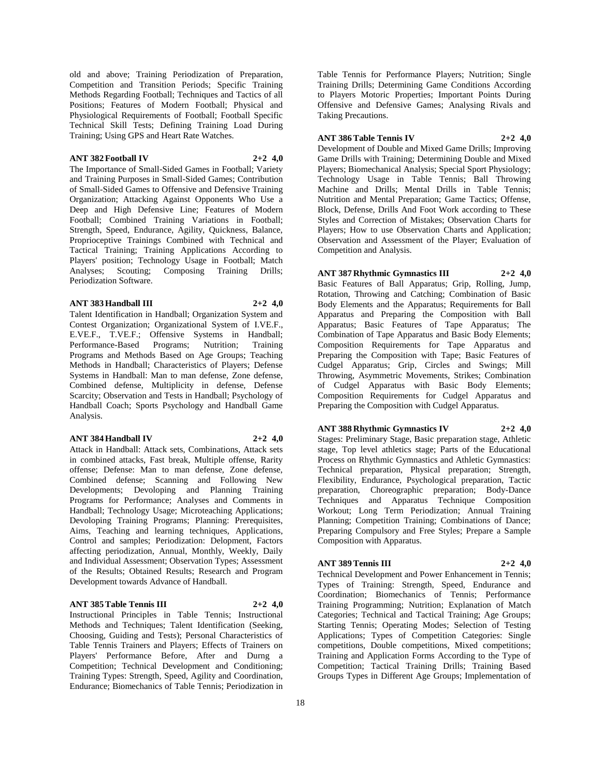old and above; Training Periodization of Preparation, Competition and Transition Periods; Specific Training Methods Regarding Football; Techniques and Tactics of all Positions; Features of Modern Football; Physical and Physiological Requirements of Football; Football Specific Technical Skill Tests; Defining Training Load During Training; Using GPS and Heart Rate Watches.

#### **ANT 382 Football IV 2+2 4,0**

The Importance of Small-Sided Games in Football; Variety and Training Purposes in Small-Sided Games; Contribution of Small-Sided Games to Offensive and Defensive Training Organization; Attacking Against Opponents Who Use a Deep and High Defensive Line; Features of Modern Football; Combined Training Variations in Football; Strength, Speed, Endurance, Agility, Quickness, Balance, Proprioceptive Trainings Combined with Technical and Tactical Training; Training Applications According to Players' position; Technology Usage in Football; Match Analyses; Scouting; Composing Training Drills; Periodization Software.

#### **ANT 383 Handball III 2+2 4,0**

Talent Identification in Handball; Organization System and Contest Organization; Organizational System of I.VE.F., E.VE.F., T.VE.F.; Offensive Systems in Handball; Performance-Based Programs; Nutrition; Training Programs and Methods Based on Age Groups; Teaching Methods in Handball; Characteristics of Players; Defense Systems in Handball: Man to man defense, Zone defense, Combined defense, Multiplicity in defense, Defense Scarcity; Observation and Tests in Handball; Psychology of Handball Coach; Sports Psychology and Handball Game Analysis.

#### **ANT 384 Handball IV 2+2 4,0**

Attack in Handball: Attack sets, Combinations, Attack sets in combined attacks, Fast break, Multiple offense, Rarity offense; Defense: Man to man defense, Zone defense, Combined defense; Scanning and Following New Developments; Devoloping and Planning Training Programs for Performance; Analyses and Comments in Handball; Technology Usage; Microteaching Applications; Devoloping Training Programs; Planning: Prerequisites, Aims, Teaching and learning techniques, Applications, Control and samples; Periodization: Delopment, Factors affecting periodization, Annual, Monthly, Weekly, Daily and Individual Assessment; Observation Types; Assessment of the Results; Obtained Results; Research and Program Development towards Advance of Handball.

# **ANT 385 Table Tennis III 2+2 4,0**

Instructional Principles in Table Tennis; Instructional Methods and Techniques; Talent Identification (Seeking, Choosing, Guiding and Tests); Personal Characteristics of Table Tennis Trainers and Players; Effects of Trainers on Players' Performance Before, After and Durng a Competition; Technical Development and Conditioning; Training Types: Strength, Speed, Agility and Coordination, Endurance; Biomechanics of Table Tennis; Periodization in

Table Tennis for Performance Players; Nutrition; Single Training Drills; Determining Game Conditions According to Players Motoric Properties; Important Points During Offensive and Defensive Games; Analysing Rivals and Taking Precautions.

**ANT 386 Table Tennis IV 2+2 4,0** Development of Double and Mixed Game Drills; Improving Game Drills with Training; Determining Double and Mixed Players; Biomechanical Analysis; Special Sport Physiology; Technology Usage in Table Tennis; Ball Throwing Machine and Drills; Mental Drills in Table Tennis; Nutrition and Mental Preparation; Game Tactics; Offense, Block, Defense, Drills And Foot Work according to These Styles and Correction of Mistakes; Observation Charts for Players; How to use Observation Charts and Application; Observation and Assessment of the Player; Evaluation of Competition and Analysis.

# **ANT 387 Rhythmic Gymnastics III 2+2 4,0**

Basic Features of Ball Apparatus; Grip, Rolling, Jump, Rotation, Throwing and Catching; Combination of Basic Body Elements and the Apparatus; Requirements for Ball Apparatus and Preparing the Composition with Ball Apparatus; Basic Features of Tape Apparatus; The Combination of Tape Apparatus and Basic Body Elements; Composition Requirements for Tape Apparatus and Preparing the Composition with Tape; Basic Features of Cudgel Apparatus; Grip, Circles and Swings; Mill Throwing, Asymmetric Movements, Strikes; Combination of Cudgel Apparatus with Basic Body Elements; Composition Requirements for Cudgel Apparatus and Preparing the Composition with Cudgel Apparatus.

# **ANT 388 Rhythmic Gymnastics IV 2+2 4,0**

Stages: Preliminary Stage, Basic preparation stage, Athletic stage, Top level athletics stage; Parts of the Educational Process on Rhythmic Gymnastics and Athletic Gymnastics: Technical preparation, Physical preparation; Strength, Flexibility, Endurance, Psychological preparation, Tactic preparation, Choreographic preparation; Body-Dance Techniques and Apparatus Technique Composition Workout; Long Term Periodization; Annual Training Planning; Competition Training; Combinations of Dance; Preparing Compulsory and Free Styles; Prepare a Sample Composition with Apparatus.

# **ANT 389 Tennis III 2+2 4,0**

Technical Development and Power Enhancement in Tennis; Types of Training: Strength, Speed, Endurance and Coordination; Biomechanics of Tennis; Performance Training Programming; Nutrition; Explanation of Match Categories; Technical and Tactical Training; Age Groups; Starting Tennis; Operating Modes; Selection of Testing Applications; Types of Competition Categories: Single competitions, Double competitions, Mixed competitions; Training and Application Forms According to the Type of Competition; Tactical Training Drills; Training Based Groups Types in Different Age Groups; Implementation of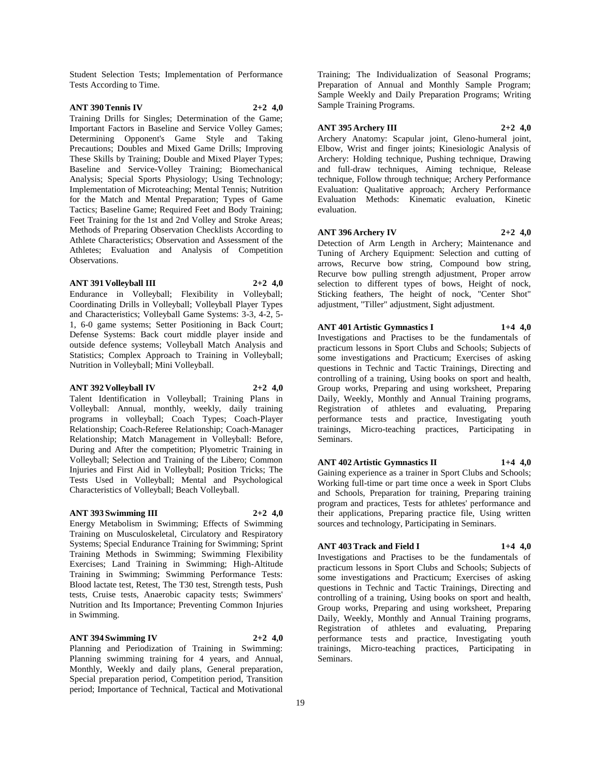Student Selection Tests; Implementation of Performance Tests According to Time.

#### **ANT 390 Tennis IV 2+2 4,0**

Training Drills for Singles; Determination of the Game; Important Factors in Baseline and Service Volley Games; Determining Opponent's Game Style and Taking Precautions; Doubles and Mixed Game Drills; Improving These Skills by Training; Double and Mixed Player Types; Baseline and Service-Volley Training; Biomechanical Analysis; Special Sports Physiology; Using Technology; Implementation of Microteaching; Mental Tennis; Nutrition for the Match and Mental Preparation; Types of Game Tactics; Baseline Game; Required Feet and Body Training; Feet Training for the 1st and 2nd Volley and Stroke Areas; Methods of Preparing Observation Checklists According to Athlete Characteristics; Observation and Assessment of the Athletes; Evaluation and Analysis of Competition Observations.

#### **ANT 391 Volleyball III 2+2 4,0**

Endurance in Volleyball; Flexibility in Volleyball; Coordinating Drills in Volleyball; Volleyball Player Types and Characteristics; Volleyball Game Systems: 3-3, 4-2, 5- 1, 6-0 game systems; Setter Positioning in Back Court; Defense Systems: Back court middle player inside and outside defence systems; Volleyball Match Analysis and Statistics; Complex Approach to Training in Volleyball; Nutrition in Volleyball; Mini Volleyball.

#### **ANT 392 Volleyball IV 2+2 4,0**

Talent Identification in Volleyball; Training Plans in Volleyball: Annual, monthly, weekly, daily training programs in volleyball; Coach Types; Coach-Player Relationship; Coach-Referee Relationship; Coach-Manager Relationship; Match Management in Volleyball: Before, During and After the competition; Plyometric Training in Volleyball; Selection and Training of the Libero; Common Injuries and First Aid in Volleyball; Position Tricks; The Tests Used in Volleyball; Mental and Psychological Characteristics of Volleyball; Beach Volleyball.

#### **ANT 393 Swimming III 2+2 4,0**

Energy Metabolism in Swimming; Effects of Swimming Training on Musculoskeletal, Circulatory and Respiratory Systems; Special Endurance Training for Swimming; Sprint Training Methods in Swimming; Swimming Flexibility Exercises; Land Training in Swimming; High-Altitude Training in Swimming; Swimming Performance Tests: Blood lactate test, Retest, The T30 test, Strength tests, Push tests, Cruise tests, Anaerobic capacity tests; Swimmers' Nutrition and Its Importance; Preventing Common Injuries in Swimming.

#### **ANT 394 Swimming IV 2+2 4,0**

Planning and Periodization of Training in Swimming: Planning swimming training for 4 years, and Annual, Monthly, Weekly and daily plans, General preparation, Special preparation period, Competition period, Transition period; Importance of Technical, Tactical and Motivational

Training; The Individualization of Seasonal Programs; Preparation of Annual and Monthly Sample Program; Sample Weekly and Daily Preparation Programs; Writing Sample Training Programs.

#### **ANT 395 Archery III 2+2 4,0**

Archery Anatomy: Scapular joint, Gleno-humeral joint, Elbow, Wrist and finger joints; Kinesiologic Analysis of Archery: Holding technique, Pushing technique, Drawing and full-draw techniques, Aiming technique, Release technique, Follow through technique; Archery Performance Evaluation: Qualitative approach; Archery Performance Evaluation Methods: Kinematic evaluation, Kinetic evaluation.

#### **ANT 396 Archery IV 2+2 4,0**

Detection of Arm Length in Archery; Maintenance and Tuning of Archery Equipment: Selection and cutting of arrows, Recurve bow string, Compound bow string, Recurve bow pulling strength adjustment, Proper arrow selection to different types of bows, Height of nock, Sticking feathers, The height of nock, "Center Shot" adjustment, "Tiller" adjustment, Sight adjustment.

# **ANT 401 Artistic Gymnastics I 1+4 4,0**

Investigations and Practises to be the fundamentals of practicum lessons in Sport Clubs and Schools; Subjects of some investigations and Practicum; Exercises of asking questions in Technic and Tactic Trainings, Directing and controlling of a training, Using books on sport and health, Group works, Preparing and using worksheet, Preparing Daily, Weekly, Monthly and Annual Training programs, Registration of athletes and evaluating, Preparing performance tests and practice, Investigating youth trainings, Micro-teaching practices, Participating in Seminars.

# **ANT 402 Artistic Gymnastics II 1+4 4,0**

Gaining experience as a trainer in Sport Clubs and Schools; Working full-time or part time once a week in Sport Clubs and Schools, Preparation for training, Preparing training program and practices, Tests for athletes' performance and their applications, Preparing practice file, Using written sources and technology, Participating in Seminars.

# **ANT 403 Track and Field I 1+4 4,0**

Investigations and Practises to be the fundamentals of practicum lessons in Sport Clubs and Schools; Subjects of some investigations and Practicum; Exercises of asking questions in Technic and Tactic Trainings, Directing and controlling of a training, Using books on sport and health, Group works, Preparing and using worksheet, Preparing Daily, Weekly, Monthly and Annual Training programs, Registration of athletes and evaluating, Preparing performance tests and practice, Investigating youth trainings, Micro-teaching practices, Participating in Seminars.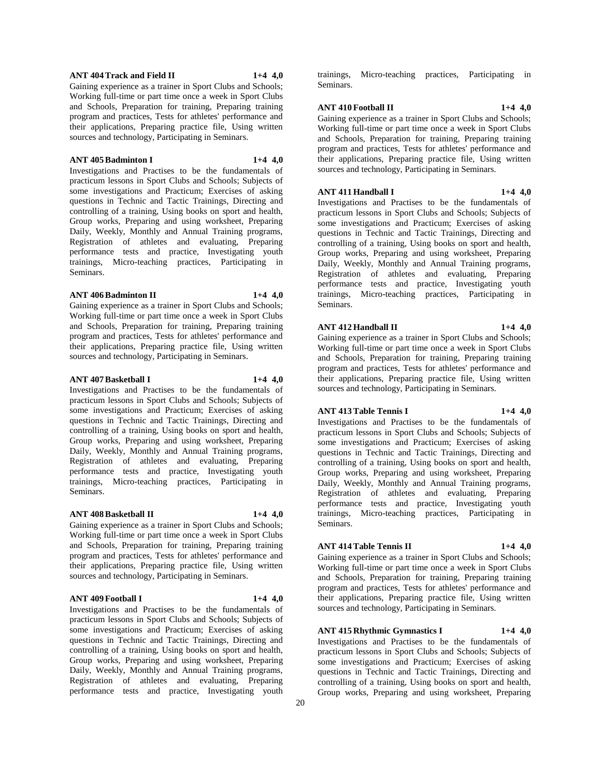#### **ANT 404 Track and Field II 1+4 4,0**

Gaining experience as a trainer in Sport Clubs and Schools; Working full-time or part time once a week in Sport Clubs and Schools, Preparation for training, Preparing training program and practices, Tests for athletes' performance and their applications, Preparing practice file, Using written sources and technology, Participating in Seminars.

#### **ANT 405 Badminton I 1+4 4,0**

Investigations and Practises to be the fundamentals of practicum lessons in Sport Clubs and Schools; Subjects of some investigations and Practicum; Exercises of asking questions in Technic and Tactic Trainings, Directing and controlling of a training, Using books on sport and health, Group works, Preparing and using worksheet, Preparing Daily, Weekly, Monthly and Annual Training programs, Registration of athletes and evaluating, Preparing performance tests and practice, Investigating youth trainings, Micro-teaching practices, Participating in Seminars.

#### **ANT 406 Badminton II 1+4 4,0**

Gaining experience as a trainer in Sport Clubs and Schools; Working full-time or part time once a week in Sport Clubs and Schools, Preparation for training, Preparing training program and practices, Tests for athletes' performance and their applications, Preparing practice file, Using written sources and technology, Participating in Seminars.

#### **ANT 407 Basketball I 1+4 4,0**

Investigations and Practises to be the fundamentals of practicum lessons in Sport Clubs and Schools; Subjects of some investigations and Practicum; Exercises of asking questions in Technic and Tactic Trainings, Directing and controlling of a training, Using books on sport and health, Group works, Preparing and using worksheet, Preparing Daily, Weekly, Monthly and Annual Training programs, Registration of athletes and evaluating, Preparing performance tests and practice, Investigating youth trainings, Micro-teaching practices, Participating in Seminars.

#### **ANT 408 Basketball II 1+4 4,0**

Gaining experience as a trainer in Sport Clubs and Schools; Working full-time or part time once a week in Sport Clubs and Schools, Preparation for training, Preparing training program and practices, Tests for athletes' performance and their applications, Preparing practice file, Using written sources and technology, Participating in Seminars.

#### **ANT 409 Football I 1+4 4,0**

Investigations and Practises to be the fundamentals of practicum lessons in Sport Clubs and Schools; Subjects of some investigations and Practicum; Exercises of asking questions in Technic and Tactic Trainings, Directing and controlling of a training, Using books on sport and health, Group works, Preparing and using worksheet, Preparing Daily, Weekly, Monthly and Annual Training programs, Registration of athletes and evaluating, Preparing performance tests and practice, Investigating youth

trainings, Micro-teaching practices, Participating in Seminars.

# **ANT 410 Football II 1+4 4,0**

Gaining experience as a trainer in Sport Clubs and Schools; Working full-time or part time once a week in Sport Clubs and Schools, Preparation for training, Preparing training program and practices, Tests for athletes' performance and their applications, Preparing practice file, Using written sources and technology, Participating in Seminars.

# **ANT 411 Handball I 1+4 4,0**

Investigations and Practises to be the fundamentals of practicum lessons in Sport Clubs and Schools; Subjects of some investigations and Practicum; Exercises of asking questions in Technic and Tactic Trainings, Directing and controlling of a training, Using books on sport and health, Group works, Preparing and using worksheet, Preparing Daily, Weekly, Monthly and Annual Training programs, Registration of athletes and evaluating, Preparing performance tests and practice, Investigating youth trainings, Micro-teaching practices, Participating in Seminars.

#### **ANT 412 Handball II 1+4 4,0**

Gaining experience as a trainer in Sport Clubs and Schools; Working full-time or part time once a week in Sport Clubs and Schools, Preparation for training, Preparing training program and practices, Tests for athletes' performance and their applications, Preparing practice file, Using written sources and technology, Participating in Seminars.

# **ANT 413 Table Tennis I 1+4 4,0**

Investigations and Practises to be the fundamentals of practicum lessons in Sport Clubs and Schools; Subjects of some investigations and Practicum; Exercises of asking questions in Technic and Tactic Trainings, Directing and controlling of a training, Using books on sport and health, Group works, Preparing and using worksheet, Preparing Daily, Weekly, Monthly and Annual Training programs, Registration of athletes and evaluating, Preparing performance tests and practice, Investigating youth trainings, Micro-teaching practices, Participating in Seminars.

#### **ANT 414 Table Tennis II 1+4 4,0**

Gaining experience as a trainer in Sport Clubs and Schools; Working full-time or part time once a week in Sport Clubs and Schools, Preparation for training, Preparing training program and practices, Tests for athletes' performance and their applications, Preparing practice file, Using written sources and technology, Participating in Seminars.

# **ANT 415 Rhythmic Gymnastics I 1+4 4,0**

Investigations and Practises to be the fundamentals of practicum lessons in Sport Clubs and Schools; Subjects of some investigations and Practicum; Exercises of asking questions in Technic and Tactic Trainings, Directing and controlling of a training, Using books on sport and health, Group works, Preparing and using worksheet, Preparing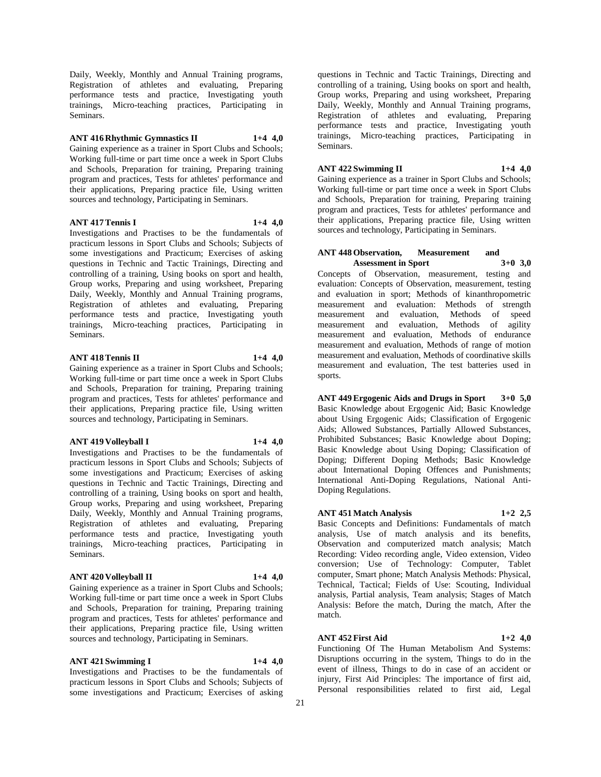Daily, Weekly, Monthly and Annual Training programs, Registration of athletes and evaluating, Preparing performance tests and practice, Investigating youth trainings, Micro-teaching practices, Participating in Seminars.

# **ANT 416 Rhythmic Gymnastics II 1+4 4,0**

Gaining experience as a trainer in Sport Clubs and Schools; Working full-time or part time once a week in Sport Clubs and Schools, Preparation for training, Preparing training program and practices, Tests for athletes' performance and their applications, Preparing practice file, Using written sources and technology, Participating in Seminars.

#### **ANT 417 Tennis I 1+4 4,0**

Investigations and Practises to be the fundamentals of practicum lessons in Sport Clubs and Schools; Subjects of some investigations and Practicum; Exercises of asking questions in Technic and Tactic Trainings, Directing and controlling of a training, Using books on sport and health, Group works, Preparing and using worksheet, Preparing Daily, Weekly, Monthly and Annual Training programs, Registration of athletes and evaluating, Preparing performance tests and practice, Investigating youth trainings, Micro-teaching practices, Participating in Seminars.

#### **ANT 418 Tennis II 1+4 4,0**

Gaining experience as a trainer in Sport Clubs and Schools; Working full-time or part time once a week in Sport Clubs and Schools, Preparation for training, Preparing training program and practices, Tests for athletes' performance and their applications, Preparing practice file, Using written sources and technology, Participating in Seminars.

#### **ANT 419 Volleyball I 1+4 4,0**

Investigations and Practises to be the fundamentals of practicum lessons in Sport Clubs and Schools; Subjects of some investigations and Practicum; Exercises of asking questions in Technic and Tactic Trainings, Directing and controlling of a training, Using books on sport and health, Group works, Preparing and using worksheet, Preparing Daily, Weekly, Monthly and Annual Training programs, Registration of athletes and evaluating, Preparing performance tests and practice, Investigating youth trainings, Micro-teaching practices, Participating in Seminars.

#### **ANT 420 Volleyball II 1+4 4,0**

Gaining experience as a trainer in Sport Clubs and Schools; Working full-time or part time once a week in Sport Clubs and Schools, Preparation for training, Preparing training program and practices, Tests for athletes' performance and their applications, Preparing practice file, Using written sources and technology, Participating in Seminars.

#### **ANT 421 Swimming I 1+4 4,0**

Investigations and Practises to be the fundamentals of practicum lessons in Sport Clubs and Schools; Subjects of some investigations and Practicum; Exercises of asking

questions in Technic and Tactic Trainings, Directing and controlling of a training, Using books on sport and health, Group works, Preparing and using worksheet, Preparing Daily, Weekly, Monthly and Annual Training programs, Registration of athletes and evaluating, Preparing performance tests and practice, Investigating youth trainings, Micro-teaching practices, Participating in Seminars.

### **ANT 422 Swimming II 1+4 4,0**

Gaining experience as a trainer in Sport Clubs and Schools; Working full-time or part time once a week in Sport Clubs and Schools, Preparation for training, Preparing training program and practices, Tests for athletes' performance and their applications, Preparing practice file, Using written sources and technology, Participating in Seminars.

#### **ANT 448 Observation, Measurement and Assessment in Sport 3+0 3,0**

Concepts of Observation, measurement, testing and evaluation: Concepts of Observation, measurement, testing and evaluation in sport; Methods of kinanthropometric measurement and evaluation: Methods of strength measurement and evaluation, Methods of speed measurement and evaluation, Methods of agility measurement and evaluation, Methods of endurance measurement and evaluation, Methods of range of motion measurement and evaluation, Methods of coordinative skills measurement and evaluation, The test batteries used in sports.

**ANT 449 Ergogenic Aids and Drugs in Sport 3+0 5,0** Basic Knowledge about Ergogenic Aid; Basic Knowledge about Using Ergogenic Aids; Classification of Ergogenic Aids; Allowed Substances, Partially Allowed Substances, Prohibited Substances; Basic Knowledge about Doping; Basic Knowledge about Using Doping; Classification of Doping; Different Doping Methods; Basic Knowledge about International Doping Offences and Punishments; International Anti-Doping Regulations, National Anti-Doping Regulations.

#### **ANT 451 Match Analysis 1+2 2,5**

Basic Concepts and Definitions: Fundamentals of match analysis, Use of match analysis and its benefits, Observation and computerized match analysis; Match Recording: Video recording angle, Video extension, Video conversion; Use of Technology: Computer, Tablet computer, Smart phone; Match Analysis Methods: Physical, Technical, Tactical; Fields of Use: Scouting, Individual analysis, Partial analysis, Team analysis; Stages of Match Analysis: Before the match, During the match, After the match.

# **ANT 452 First Aid 1+2 4,0**

Functioning Of The Human Metabolism And Systems: Disruptions occurring in the system, Things to do in the event of illness, Things to do in case of an accident or injury, First Aid Principles: The importance of first aid, Personal responsibilities related to first aid, Legal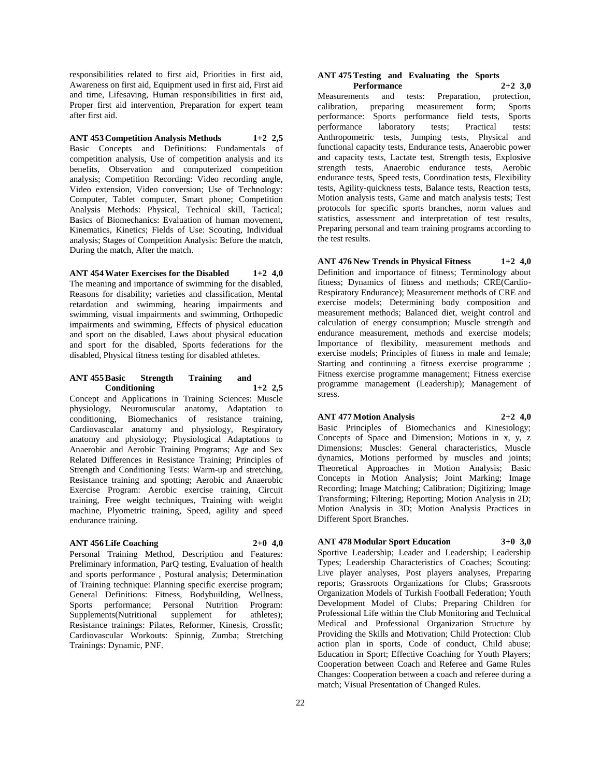responsibilities related to first aid, Priorities in first aid, Awareness on first aid, Equipment used in first aid, First aid and time, Lifesaving, Human responsibilities in first aid, Proper first aid intervention, Preparation for expert team after first aid.

**ANT 453 Competition Analysis Methods 1+2 2,5** Basic Concepts and Definitions: Fundamentals of competition analysis, Use of competition analysis and its benefits, Observation and computerized competition analysis; Competition Recording: Video recording angle, Video extension, Video conversion; Use of Technology: Computer, Tablet computer, Smart phone; Competition Analysis Methods: Physical, Technical skill, Tactical; Basics of Biomechanics: Evaluation of human movement, Kinematics, Kinetics; Fields of Use: Scouting, Individual analysis; Stages of Competition Analysis: Before the match, During the match, After the match.

# **ANT 454 Water Exercises for the Disabled 1+2 4,0**

The meaning and importance of swimming for the disabled, Reasons for disability; varieties and classification, Mental retardation and swimming, hearing impairments and swimming, visual impairments and swimming, Orthopedic impairments and swimming, Effects of physical education and sport on the disabled, Laws about physical education and sport for the disabled, Sports federations for the disabled, Physical fitness testing for disabled athletes.

#### **ANT 455 Basic Strength Training and Conditioning 1+2 2,5**

Concept and Applications in Training Sciences: Muscle physiology, Neuromuscular anatomy, Adaptation to conditioning, Biomechanics of resistance training, Cardiovascular anatomy and physiology, Respiratory anatomy and physiology; Physiological Adaptations to Anaerobic and Aerobic Training Programs; Age and Sex Related Differences in Resistance Training; Principles of Strength and Conditioning Tests: Warm-up and stretching, Resistance training and spotting; Aerobic and Anaerobic Exercise Program: Aerobic exercise training, Circuit training, Free weight techniques, Training with weight machine, Plyometric training, Speed, agility and speed endurance training.

#### **ANT 456 Life Coaching 2+0 4,0**

Personal Training Method, Description and Features: Preliminary information, ParQ testing, Evaluation of health and sports performance , Postural analysis; Determination of Training technique: Planning specific exercise program; General Definitions: Fitness, Bodybuilding, Wellness, Sports performance; Personal Nutrition Program: Supplements(Nutritional supplement for athletes); Resistance trainings: Pilates, Reformer, Kinesis, Crossfit; Cardiovascular Workouts: Spinnig, Zumba; Stretching Trainings: Dynamic, PNF.

#### **ANT 475 Testing and Evaluating the Sports Performance 2+2 3,0**

Measurements and tests: Preparation, protection, calibration, preparing measurement form; Sports performance: Sports performance field tests, Sports performance laboratory tests; Practical tests: Anthropometric tests, Jumping tests, Physical and functional capacity tests, Endurance tests, Anaerobic power and capacity tests, Lactate test, Strength tests, Explosive strength tests, Anaerobic endurance tests, Aerobic endurance tests, Speed tests, Coordination tests, Flexibility tests, Agility-quickness tests, Balance tests, Reaction tests, Motion analysis tests, Game and match analysis tests; Test protocols for specific sports branches, norm values and statistics, assessment and interpretation of test results, Preparing personal and team training programs according to the test results.

**ANT 476 New Trends in Physical Fitness 1+2 4,0** Definition and importance of fitness; Terminology about fitness; Dynamics of fitness and methods; CRE(Cardio-Respiratory Endurance); Measurement methods of CRE and exercise models; Determining body composition and measurement methods; Balanced diet, weight control and calculation of energy consumption; Muscle strength and endurance measurement, methods and exercise models; Importance of flexibility, measurement methods and exercise models; Principles of fitness in male and female; Starting and continuing a fitness exercise programme ; Fitness exercise programme management; Fitness exercise programme management (Leadership); Management of stress.

**ANT 477 Motion Analysis 2+2 4,0**

Basic Principles of Biomechanics and Kinesiology; Concepts of Space and Dimension; Motions in x, y, z Dimensions; Muscles: General characteristics, Muscle dynamics, Motions performed by muscles and joints; Theoretical Approaches in Motion Analysis; Basic Concepts in Motion Analysis; Joint Marking; Image Recording; Image Matching; Calibration; Digitizing; Image Transforming; Filtering; Reporting; Motion Analysis in 2D; Motion Analysis in 3D; Motion Analysis Practices in Different Sport Branches.

# **ANT 478 Modular Sport Education 3+0 3,0**

Sportive Leadership; Leader and Leadership; Leadership Types; Leadership Characteristics of Coaches; Scouting: Live player analyses, Post players analyses, Preparing reports; Grassroots Organizations for Clubs; Grassroots Organization Models of Turkish Football Federation; Youth Development Model of Clubs; Preparing Children for Professional Life within the Club Monitoring and Technical Medical and Professional Organization Structure by Providing the Skills and Motivation; Child Protection: Club action plan in sports, Code of conduct, Child abuse; Education in Sport; Effective Coaching for Youth Players; Cooperation between Coach and Referee and Game Rules Changes: Cooperation between a coach and referee during a match; Visual Presentation of Changed Rules.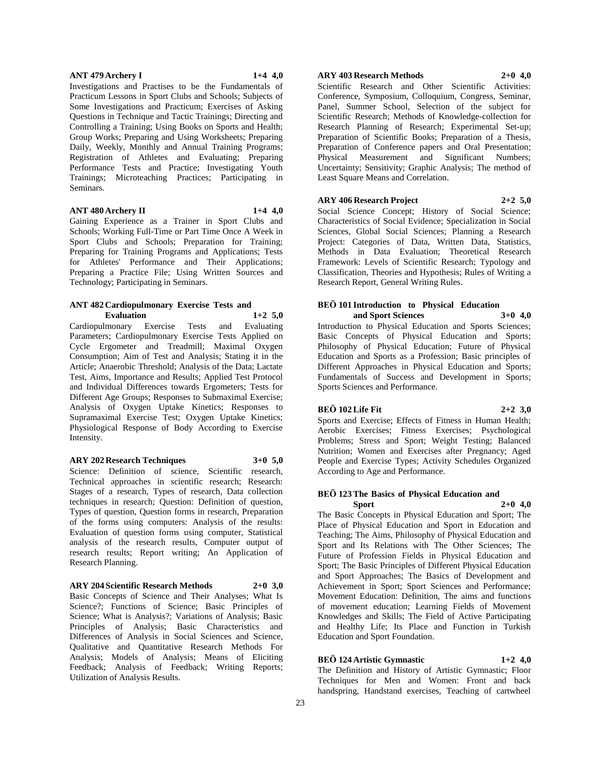#### **ANT 479 Archery I 1+4 4,0**

Investigations and Practises to be the Fundamentals of Practicum Lessons in Sport Clubs and Schools; Subjects of Some Investigations and Practicum; Exercises of Asking Questions in Technique and Tactic Trainings; Directing and Controlling a Training; Using Books on Sports and Health; Group Works; Preparing and Using Worksheets; Preparing Daily, Weekly, Monthly and Annual Training Programs; Registration of Athletes and Evaluating; Preparing Performance Tests and Practice; Investigating Youth Trainings; Microteaching Practices; Participating in Seminars.

#### **ANT 480 Archery II 1+4 4,0**

Gaining Experience as a Trainer in Sport Clubs and Schools; Working Full-Time or Part Time Once A Week in Sport Clubs and Schools; Preparation for Training; Preparing for Training Programs and Applications; Tests for Athletes' Performance and Their Applications; Preparing a Practice File; Using Written Sources and Technology; Participating in Seminars.

#### **ANT 482 Cardiopulmonary Exercise Tests and Evaluation 1+2 5,0**

Cardiopulmonary Exercise Tests and Evaluating Parameters; Cardiopulmonary Exercise Tests Applied on Cycle Ergometer and Treadmill; Maximal Oxygen Consumption; Aim of Test and Analysis; Stating it in the Article; Anaerobic Threshold; Analysis of the Data; Lactate Test, Aims, Importance and Results; Applied Test Protocol and Individual Differences towards Ergometers; Tests for Different Age Groups; Responses to Submaximal Exercise; Analysis of Oxygen Uptake Kinetics; Responses to Supramaximal Exercise Test; Oxygen Uptake Kinetics; Physiological Response of Body According to Exercise Intensity.

#### **ARY 202 Research Techniques 3+0 5,0**

Science: Definition of science, Scientific research, Technical approaches in scientific research; Research: Stages of a research, Types of research, Data collection techniques in research; Question: Definition of question, Types of question, Question forms in research, Preparation of the forms using computers: Analysis of the results: Evaluation of question forms using computer, Statistical analysis of the research results, Computer output of research results; Report writing; An Application of Research Planning.

# **ARY 204 Scientific Research Methods 2+0 3,0**

Basic Concepts of Science and Their Analyses; What Is Science?; Functions of Science; Basic Principles of Science; What is Analysis?; Variations of Analysis; Basic Principles of Analysis; Basic Characteristics and Differences of Analysis in Social Sciences and Science, Qualitative and Quantitative Research Methods For Analysis; Models of Analysis; Means of Eliciting Feedback; Analysis of Feedback; Writing Reports; Utilization of Analysis Results.

# **ARY 403 Research Methods 2+0 4,0**

Scientific Research and Other Scientific Activities: Conference, Symposium, Colloquium, Congress, Seminar, Panel, Summer School, Selection of the subject for Scientific Research; Methods of Knowledge-collection for Research Planning of Research; Experimental Set-up; Preparation of Scientific Books; Preparation of a Thesis, Preparation of Conference papers and Oral Presentation; Physical Measurement and Significant Numbers; Uncertainty; Sensitivity; Graphic Analysis; The method of Least Square Means and Correlation.

**ARY 406 Research Project 2+2 5,0**

Social Science Concept; History of Social Science; Characteristics of Social Evidence; Specialization in Social Sciences, Global Social Sciences; Planning a Research Project: Categories of Data, Written Data, Statistics, Methods in Data Evaluation; Theoretical Research Framework: Levels of Scientific Research; Typology and Classification, Theories and Hypothesis; Rules of Writing a Research Report, General Writing Rules.

# **BEÖ 101 Introduction to Physical Education**

**and Sport Sciences 3+0 4,0** Introduction to Physical Education and Sports Sciences; Basic Concepts of Physical Education and Sports; Philosophy of Physical Education; Future of Physical Education and Sports as a Profession; Basic principles of Different Approaches in Physical Education and Sports; Fundamentals of Success and Development in Sports; Sports Sciences and Performance.

#### **BEÖ 102 Life Fit 2+2 3,0**

Sports and Exercise; Effects of Fitness in Human Health; Aerobic Exercises; Fitness Exercises; Psychological Problems; Stress and Sport; Weight Testing; Balanced Nutrition; Women and Exercises after Pregnancy; Aged People and Exercise Types; Activity Schedules Organized According to Age and Performance.

#### **BEÖ 123 The Basics of Physical Education and Sport 2+0 4,0**

The Basic Concepts in Physical Education and Sport; The Place of Physical Education and Sport in Education and Teaching; The Aims, Philosophy of Physical Education and Sport and Its Relations with The Other Sciences; The Future of Profession Fields in Physical Education and Sport; The Basic Principles of Different Physical Education and Sport Approaches; The Basics of Development and Achievement in Sport; Sport Sciences and Performance; Movement Education: Definition, The aims and functions of movement education; Learning Fields of Movement Knowledges and Skills; The Field of Active Participating and Healthy Life; Its Place and Function in Turkish Education and Sport Foundation.

# **BEÖ 124 Artistic Gymnastic 1+2 4,0**

The Definition and History of Artistic Gymnastic; Floor Techniques for Men and Women: Front and back handspring, Handstand exercises, Teaching of cartwheel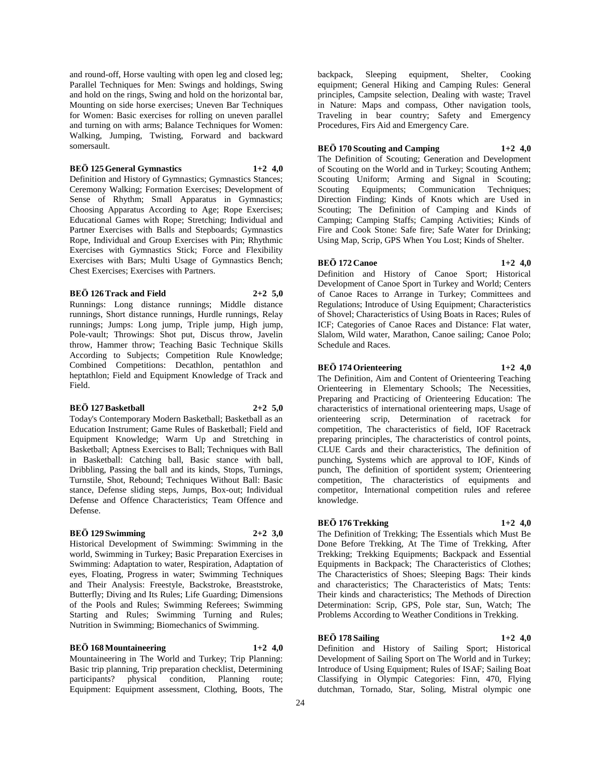and round-off, Horse vaulting with open leg and closed leg; Parallel Techniques for Men: Swings and holdings, Swing and hold on the rings, Swing and hold on the horizontal bar, Mounting on side horse exercises; Uneven Bar Techniques for Women: Basic exercises for rolling on uneven parallel and turning on with arms; Balance Techniques for Women: Walking, Jumping, Twisting, Forward and backward somersault.

#### **BEÖ 125 General Gymnastics 1+2 4,0**

Definition and History of Gymnastics; Gymnastics Stances; Ceremony Walking; Formation Exercises; Development of Sense of Rhythm; Small Apparatus in Gymnastics; Choosing Apparatus According to Age; Rope Exercises; Educational Games with Rope; Stretching; Individual and Partner Exercises with Balls and Stepboards; Gymnastics Rope, Individual and Group Exercises with Pin; Rhythmic Exercises with Gymnastics Stick; Force and Flexibility Exercises with Bars; Multi Usage of Gymnastics Bench; Chest Exercises; Exercises with Partners.

#### **BEÖ 126 Track and Field 2+2 5,0**

Runnings: Long distance runnings; Middle distance runnings, Short distance runnings, Hurdle runnings, Relay runnings; Jumps: Long jump, Triple jump, High jump, Pole-vault; Throwings: Shot put, Discus throw, Javelin throw, Hammer throw; Teaching Basic Technique Skills According to Subjects; Competition Rule Knowledge; Combined Competitions: Decathlon, pentathlon and heptathlon; Field and Equipment Knowledge of Track and Field.

#### **BEÖ 127 Basketball 2+2 5,0**

Today's Contemporary Modern Basketball; Basketball as an Education Instrument; Game Rules of Basketball; Field and Equipment Knowledge; Warm Up and Stretching in Basketball; Aptness Exercises to Ball; Techniques with Ball in Basketball: Catching ball, Basic stance with ball, Dribbling, Passing the ball and its kinds, Stops, Turnings, Turnstile, Shot, Rebound; Techniques Without Ball: Basic stance, Defense sliding steps, Jumps, Box-out; Individual Defense and Offence Characteristics; Team Offence and Defense.

# **BEÖ 129 Swimming 2+2 3,0**

Historical Development of Swimming: Swimming in the world, Swimming in Turkey; Basic Preparation Exercises in Swimming: Adaptation to water, Respiration, Adaptation of eyes, Floating, Progress in water; Swimming Techniques and Their Analysis: Freestyle, Backstroke, Breaststroke, Butterfly; Diving and Its Rules; Life Guarding; Dimensions of the Pools and Rules; Swimming Referees; Swimming Starting and Rules; Swimming Turning and Rules; Nutrition in Swimming; Biomechanics of Swimming.

#### **BEÖ 168 Mountaineering 1+2 4,0**

Mountaineering in The World and Turkey; Trip Planning: Basic trip planning, Trip preparation checklist, Determining<br>participants? physical condition, Planning route; condition, Planning route; Equipment: Equipment assessment, Clothing, Boots, The

backpack, Sleeping equipment, Shelter, Cooking equipment; General Hiking and Camping Rules: General principles, Campsite selection, Dealing with waste; Travel in Nature: Maps and compass, Other navigation tools, Traveling in bear country; Safety and Emergency Procedures, Firs Aid and Emergency Care.

### **BEÖ 170 Scouting and Camping 1+2 4,0**

The Definition of Scouting; Generation and Development of Scouting on the World and in Turkey; Scouting Anthem; Scouting Uniform; Arming and Signal in Scouting;<br>Scouting Equipments: Communication Techniques; Scouting Equipments; Communication Direction Finding; Kinds of Knots which are Used in Scouting; The Definition of Camping and Kinds of Camping; Camping Staffs; Camping Activities; Kinds of Fire and Cook Stone: Safe fire; Safe Water for Drinking; Using Map, Scrip, GPS When You Lost; Kinds of Shelter.

#### **BEÖ 172 Canoe 1+2 4,0**

Definition and History of Canoe Sport; Historical Development of Canoe Sport in Turkey and World; Centers of Canoe Races to Arrange in Turkey; Committees and Regulations; Introduce of Using Equipment; Characteristics of Shovel; Characteristics of Using Boats in Races; Rules of ICF; Categories of Canoe Races and Distance: Flat water, Slalom, Wild water, Marathon, Canoe sailing; Canoe Polo; Schedule and Races.

#### **BEÖ 174 Orienteering 1+2 4,0**

The Definition, Aim and Content of Orienteering Teaching Orienteering in Elementary Schools; The Necessities, Preparing and Practicing of Orienteering Education: The characteristics of international orienteering maps, Usage of orienteering scrip, Determination of racetrack for competition, The characteristics of field, IOF Racetrack preparing principles, The characteristics of control points, CLUE Cards and their characteristics, The definition of punching, Systems which are approval to IOF, Kinds of punch, The definition of sportident system; Orienteering competition, The characteristics of equipments and competitor, International competition rules and referee knowledge.

# **BEÖ 176 Trekking 1+2 4,0**

The Definition of Trekking; The Essentials which Must Be Done Before Trekking, At The Time of Trekking, After Trekking; Trekking Equipments; Backpack and Essential Equipments in Backpack; The Characteristics of Clothes; The Characteristics of Shoes; Sleeping Bags: Their kinds and characteristics; The Characteristics of Mats; Tents: Their kinds and characteristics; The Methods of Direction Determination: Scrip, GPS, Pole star, Sun, Watch; The Problems According to Weather Conditions in Trekking.

# **BEÖ 178 Sailing 1+2 4,0**

Definition and History of Sailing Sport; Historical Development of Sailing Sport on The World and in Turkey; Introduce of Using Equipment; Rules of ISAF; Sailing Boat Classifying in Olympic Categories: Finn, 470, Flying dutchman, Tornado, Star, Soling, Mistral olympic one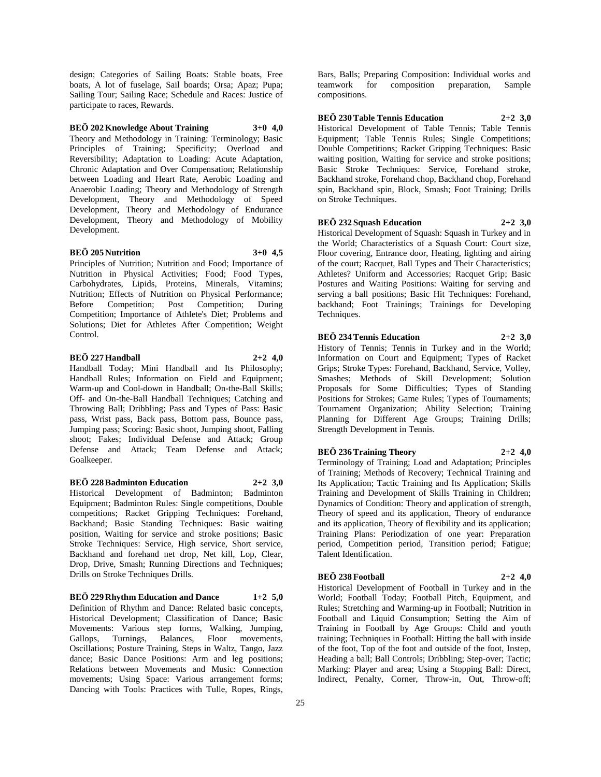design; Categories of Sailing Boats: Stable boats, Free boats, A lot of fuselage, Sail boards; Orsa; Apaz; Pupa; Sailing Tour; Sailing Race; Schedule and Races: Justice of participate to races, Rewards.

# **BEÖ 202 Knowledge About Training 3+0 4,0**

Theory and Methodology in Training: Terminology; Basic Principles of Training; Specificity; Overload and Reversibility; Adaptation to Loading: Acute Adaptation, Chronic Adaptation and Over Compensation; Relationship between Loading and Heart Rate, Aerobic Loading and Anaerobic Loading; Theory and Methodology of Strength Development, Theory and Methodology of Speed Development, Theory and Methodology of Endurance Development, Theory and Methodology of Mobility Development.

### **BEÖ 205 Nutrition 3+0 4,5**

Principles of Nutrition; Nutrition and Food; Importance of Nutrition in Physical Activities; Food; Food Types, Carbohydrates, Lipids, Proteins, Minerals, Vitamins; Nutrition; Effects of Nutrition on Physical Performance; Before Competition; Post Competition; During Competition; Importance of Athlete's Diet; Problems and Solutions; Diet for Athletes After Competition; Weight Control.

#### **BEÖ 227 Handball 2+2 4,0**

Handball Today; Mini Handball and Its Philosophy; Handball Rules; Information on Field and Equipment; Warm-up and Cool-down in Handball; On-the-Ball Skills; Off- and On-the-Ball Handball Techniques; Catching and Throwing Ball; Dribbling; Pass and Types of Pass: Basic pass, Wrist pass, Back pass, Bottom pass, Bounce pass, Jumping pass; Scoring: Basic shoot, Jumping shoot, Falling shoot; Fakes; Individual Defense and Attack; Group Defense and Attack; Team Defense and Attack; Goalkeeper.

#### **BEÖ 228 Badminton Education 2+2 3,0**

Historical Development of Badminton; Badminton Equipment; Badminton Rules: Single competitions, Double competitions; Racket Gripping Techniques: Forehand, Backhand; Basic Standing Techniques: Basic waiting position, Waiting for service and stroke positions; Basic Stroke Techniques: Service, High service, Short service, Backhand and forehand net drop, Net kill, Lop, Clear, Drop, Drive, Smash; Running Directions and Techniques; Drills on Stroke Techniques Drills.

**BEÖ 229 Rhythm Education and Dance 1+2 5,0** Definition of Rhythm and Dance: Related basic concepts, Historical Development; Classification of Dance; Basic Movements: Various step forms, Walking, Jumping, Gallops, Turnings, Balances, Floor movements, Oscillations; Posture Training, Steps in Waltz, Tango, Jazz dance; Basic Dance Positions: Arm and leg positions; Relations between Movements and Music: Connection movements; Using Space: Various arrangement forms; Dancing with Tools: Practices with Tulle, Ropes, Rings,

Bars, Balls; Preparing Composition: Individual works and teamwork for composition preparation, Sample compositions.

**BEÖ 230 Table Tennis Education 2+2 3,0**

Historical Development of Table Tennis; Table Tennis Equipment; Table Tennis Rules; Single Competitions; Double Competitions; Racket Gripping Techniques: Basic waiting position, Waiting for service and stroke positions; Basic Stroke Techniques: Service, Forehand stroke, Backhand stroke, Forehand chop, Backhand chop, Forehand spin, Backhand spin, Block, Smash; Foot Training; Drills on Stroke Techniques.

#### **BEÖ 232 Squash Education 2+2 3,0**

Historical Development of Squash: Squash in Turkey and in the World; Characteristics of a Squash Court: Court size, Floor covering, Entrance door, Heating, lighting and airing of the court; Racquet, Ball Types and Their Characteristics; Athletes? Uniform and Accessories; Racquet Grip; Basic Postures and Waiting Positions: Waiting for serving and serving a ball positions; Basic Hit Techniques: Forehand, backhand; Foot Trainings; Trainings for Developing Techniques.

# **BEÖ 234 Tennis Education 2+2 3,0**

History of Tennis; Tennis in Turkey and in the World; Information on Court and Equipment; Types of Racket Grips; Stroke Types: Forehand, Backhand, Service, Volley, Smashes; Methods of Skill Development; Solution Proposals for Some Difficulties; Types of Standing Positions for Strokes; Game Rules; Types of Tournaments; Tournament Organization; Ability Selection; Training Planning for Different Age Groups; Training Drills; Strength Development in Tennis.

# **BEÖ 236 Training Theory 2+2 4,0**

Terminology of Training; Load and Adaptation; Principles of Training; Methods of Recovery; Technical Training and Its Application; Tactic Training and Its Application; Skills Training and Development of Skills Training in Children; Dynamics of Condition: Theory and application of strength, Theory of speed and its application, Theory of endurance and its application, Theory of flexibility and its application; Training Plans: Periodization of one year: Preparation period, Competition period, Transition period; Fatigue; Talent Identification.

# **BEÖ 238 Football 2+2 4,0**

Historical Development of Football in Turkey and in the World; Football Today; Football Pitch, Equipment, and Rules; Stretching and Warming-up in Football; Nutrition in Football and Liquid Consumption; Setting the Aim of Training in Football by Age Groups: Child and youth training; Techniques in Football: Hitting the ball with inside of the foot, Top of the foot and outside of the foot, Instep, Heading a ball; Ball Controls; Dribbling; Step-over; Tactic; Marking: Player and area; Using a Stopping Ball: Direct, Indirect, Penalty, Corner, Throw-in, Out, Throw-off;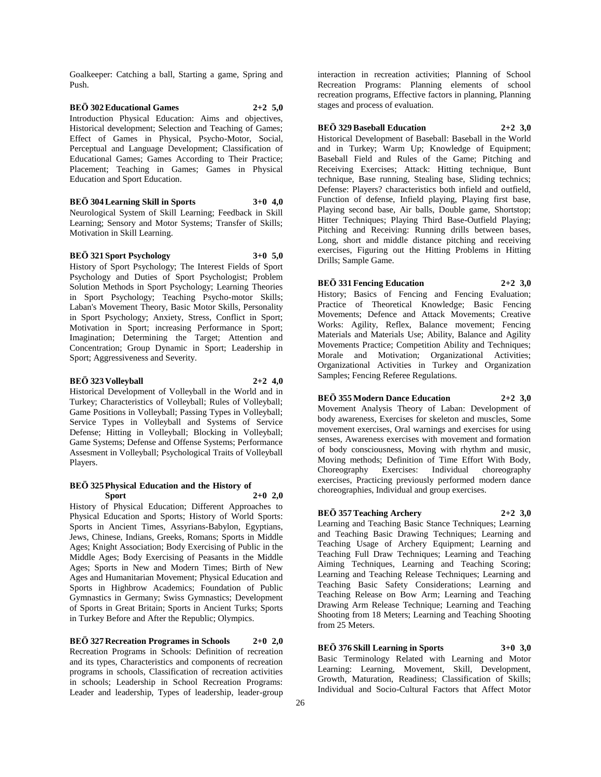Goalkeeper: Catching a ball, Starting a game, Spring and Push.

**BEÖ 302 Educational Games 2+2 5,0** Introduction Physical Education: Aims and objectives, Historical development; Selection and Teaching of Games; Effect of Games in Physical, Psycho-Motor, Social, Perceptual and Language Development; Classification of Educational Games; Games According to Their Practice; Placement; Teaching in Games; Games in Physical Education and Sport Education.

**BEÖ 304 Learning Skill in Sports 3+0 4,0** Neurological System of Skill Learning; Feedback in Skill Learning; Sensory and Motor Systems; Transfer of Skills; Motivation in Skill Learning.

**BEÖ 321 Sport Psychology 3+0 5,0**

History of Sport Psychology; The Interest Fields of Sport Psychology and Duties of Sport Psychologist; Problem Solution Methods in Sport Psychology; Learning Theories in Sport Psychology; Teaching Psycho-motor Skills; Laban's Movement Theory, Basic Motor Skills, Personality in Sport Psychology; Anxiety, Stress, Conflict in Sport; Motivation in Sport; increasing Performance in Sport; Imagination; Determining the Target; Attention and Concentration; Group Dynamic in Sport; Leadership in Sport; Aggressiveness and Severity.

#### **BEÖ 323 Volleyball 2+2 4,0**

Historical Development of Volleyball in the World and in Turkey; Characteristics of Volleyball; Rules of Volleyball; Game Positions in Volleyball; Passing Types in Volleyball; Service Types in Volleyball and Systems of Service Defense; Hitting in Volleyball; Blocking in Volleyball; Game Systems; Defense and Offense Systems; Performance Assesment in Volleyball; Psychological Traits of Volleyball Players.

#### **BEÖ 325 Physical Education and the History of Sport 2+0 2,0**

History of Physical Education; Different Approaches to Physical Education and Sports; History of World Sports: Sports in Ancient Times, Assyrians-Babylon, Egyptians, Jews, Chinese, Indians, Greeks, Romans; Sports in Middle Ages; Knight Association; Body Exercising of Public in the Middle Ages; Body Exercising of Peasants in the Middle Ages; Sports in New and Modern Times; Birth of New Ages and Humanitarian Movement; Physical Education and Sports in Highbrow Academics; Foundation of Public Gymnastics in Germany; Swiss Gymnastics; Development of Sports in Great Britain; Sports in Ancient Turks; Sports in Turkey Before and After the Republic; Olympics.

**BEÖ 327 Recreation Programes in Schools 2+0 2,0** Recreation Programs in Schools: Definition of recreation and its types, Characteristics and components of recreation programs in schools, Classification of recreation activities in schools; Leadership in School Recreation Programs: Leader and leadership, Types of leadership, leader-group interaction in recreation activities; Planning of School Recreation Programs: Planning elements of school recreation programs, Effective factors in planning, Planning stages and process of evaluation.

# **BEÖ 329 Baseball Education 2+2 3,0**

Historical Development of Baseball: Baseball in the World and in Turkey; Warm Up; Knowledge of Equipment; Baseball Field and Rules of the Game; Pitching and Receiving Exercises; Attack: Hitting technique, Bunt technique, Base running, Stealing base, Sliding technics; Defense: Players? characteristics both infield and outfield, Function of defense, Infield playing, Playing first base, Playing second base, Air balls, Double game, Shortstop; Hitter Techniques; Playing Third Base-Outfield Playing; Pitching and Receiving: Running drills between bases, Long, short and middle distance pitching and receiving exercises, Figuring out the Hitting Problems in Hitting Drills; Sample Game.

#### **BEÖ 331 Fencing Education 2+2 3,0**

History; Basics of Fencing and Fencing Evaluation; Practice of Theoretical Knowledge; Basic Fencing Movements; Defence and Attack Movements; Creative Works: Agility, Reflex, Balance movement; Fencing Materials and Materials Use; Ability, Balance and Agility Movements Practice; Competition Ability and Techniques; Morale and Motivation; Organizational Activities; Organizational Activities in Turkey and Organization Samples; Fencing Referee Regulations.

### **BEÖ 355 Modern Dance Education 2+2 3,0**

Movement Analysis Theory of Laban: Development of body awareness, Exercises for skeleton and muscles, Some movement exercises, Oral warnings and exercises for using senses, Awareness exercises with movement and formation of body consciousness, Moving with rhythm and music, Moving methods; Definition of Time Effort With Body,<br>Choreography Exercises: Individual choreography Exercises: Individual choreography exercises, Practicing previously performed modern dance choreographies, Individual and group exercises.

# **BEÖ 357 Teaching Archery 2+2 3,0**

Learning and Teaching Basic Stance Techniques; Learning and Teaching Basic Drawing Techniques; Learning and Teaching Usage of Archery Equipment; Learning and Teaching Full Draw Techniques; Learning and Teaching Aiming Techniques, Learning and Teaching Scoring; Learning and Teaching Release Techniques; Learning and Teaching Basic Safety Considerations; Learning and Teaching Release on Bow Arm; Learning and Teaching Drawing Arm Release Technique; Learning and Teaching Shooting from 18 Meters; Learning and Teaching Shooting from 25 Meters.

**BEÖ 376 Skill Learning in Sports 3+0 3,0** Basic Terminology Related with Learning and Motor Learning: Learning, Movement, Skill, Development, Growth, Maturation, Readiness; Classification of Skills; Individual and Socio-Cultural Factors that Affect Motor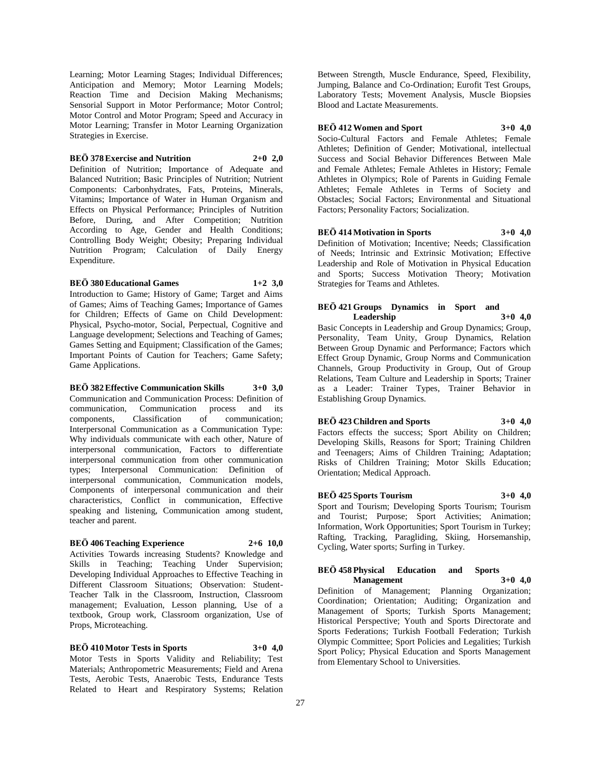Learning; Motor Learning Stages; Individual Differences; Anticipation and Memory; Motor Learning Models; Reaction Time and Decision Making Mechanisms; Sensorial Support in Motor Performance; Motor Control; Motor Control and Motor Program; Speed and Accuracy in Motor Learning; Transfer in Motor Learning Organization Strategies in Exercise.

#### **BEÖ 378 Exercise and Nutrition 2+0 2,0**

Definition of Nutrition; Importance of Adequate and Balanced Nutrition; Basic Principles of Nutrition; Nutrient Components: Carbonhydrates, Fats, Proteins, Minerals, Vitamins; Importance of Water in Human Organism and Effects on Physical Performance; Principles of Nutrition Before, During, and After Competition; Nutrition According to Age, Gender and Health Conditions; Controlling Body Weight; Obesity; Preparing Individual Nutrition Program; Calculation of Daily Energy Expenditure.

#### **BEÖ 380 Educational Games 1+2 3,0**

Introduction to Game; History of Game; Target and Aims of Games; Aims of Teaching Games; Importance of Games for Children; Effects of Game on Child Development: Physical, Psycho-motor, Social, Perpectual, Cognitive and Language development; Selections and Teaching of Games; Games Setting and Equipment; Classification of the Games; Important Points of Caution for Teachers; Game Safety; Game Applications.

#### **BEÖ 382 Effective Communication Skills 3+0 3,0**

Communication and Communication Process: Definition of communication, Communication process and its components, Classification of communication; Interpersonal Communication as a Communication Type: Why individuals communicate with each other, Nature of interpersonal communication, Factors to differentiate interpersonal communication from other communication types; Interpersonal Communication: Definition of interpersonal communication, Communication models, Components of interpersonal communication and their characteristics, Conflict in communication, Effective speaking and listening, Communication among student, teacher and parent.

#### **BEÖ 406 Teaching Experience 2+6 10,0**

Activities Towards increasing Students? Knowledge and Skills in Teaching; Teaching Under Supervision; Developing Individual Approaches to Effective Teaching in Different Classroom Situations; Observation: Student-Teacher Talk in the Classroom, Instruction, Classroom management; Evaluation, Lesson planning, Use of a textbook, Group work, Classroom organization, Use of Props, Microteaching.

**BEÖ 410 Motor Tests in Sports 3+0 4,0** Motor Tests in Sports Validity and Reliability; Test Materials; Anthropometric Measurements; Field and Arena Tests, Aerobic Tests, Anaerobic Tests, Endurance Tests Related to Heart and Respiratory Systems; Relation

Between Strength, Muscle Endurance, Speed, Flexibility, Jumping, Balance and Co-Ordination; Eurofit Test Groups, Laboratory Tests; Movement Analysis, Muscle Biopsies Blood and Lactate Measurements.

#### **BEÖ 412 Women and Sport 3+0 4,0**

Socio-Cultural Factors and Female Athletes; Female Athletes; Definition of Gender; Motivational, intellectual Success and Social Behavior Differences Between Male and Female Athletes; Female Athletes in History; Female Athletes in Olympics; Role of Parents in Guiding Female Athletes; Female Athletes in Terms of Society and Obstacles; Social Factors; Environmental and Situational Factors; Personality Factors; Socialization.

#### **BEÖ 414 Motivation in Sports 3+0 4,0**

Definition of Motivation; Incentive; Needs; Classification of Needs; Intrinsic and Extrinsic Motivation; Effective Leadership and Role of Motivation in Physical Education and Sports; Success Motivation Theory; Motivation Strategies for Teams and Athletes.

# **BEÖ 421 Groups Dynamics in Sport and Leadership 3+0 4,0**

Basic Concepts in Leadership and Group Dynamics; Group, Personality, Team Unity, Group Dynamics, Relation Between Group Dynamic and Performance; Factors which Effect Group Dynamic, Group Norms and Communication Channels, Group Productivity in Group, Out of Group Relations, Team Culture and Leadership in Sports; Trainer as a Leader: Trainer Types, Trainer Behavior in Establishing Group Dynamics.

#### **BEÖ 423 Children and Sports 3+0 4,0**

Factors effects the success; Sport Ability on Children; Developing Skills, Reasons for Sport; Training Children and Teenagers; Aims of Children Training; Adaptation; Risks of Children Training; Motor Skills Education; Orientation; Medical Approach.

#### **BEÖ 425 Sports Tourism 3+0 4,0**

Sport and Tourism; Developing Sports Tourism; Tourism and Tourist; Purpose; Sport Activities; Animation; Information, Work Opportunities; Sport Tourism in Turkey; Rafting, Tracking, Paragliding, Skiing, Horsemanship, Cycling, Water sports; Surfing in Turkey.

#### **BEÖ 458 Physical Education and Sports Management 3+0 4,0**

Definition of Management; Planning Organization; Coordination; Orientation; Auditing; Organization and Management of Sports; Turkish Sports Management; Historical Perspective; Youth and Sports Directorate and Sports Federations; Turkish Football Federation; Turkish Olympic Committee; Sport Policies and Legalities; Turkish Sport Policy; Physical Education and Sports Management from Elementary School to Universities.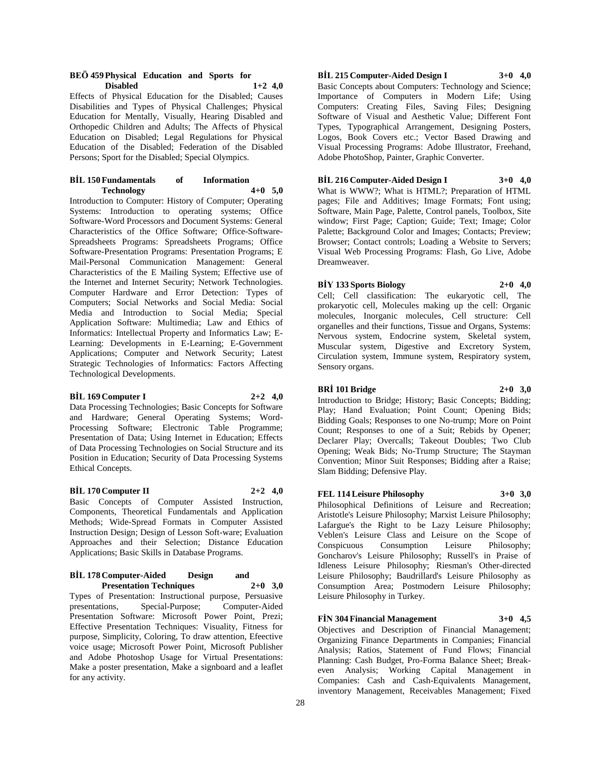#### **BEÖ 459 Physical Education and Sports for Disabled 1+2 4,0**

Effects of Physical Education for the Disabled; Causes Disabilities and Types of Physical Challenges; Physical Education for Mentally, Visually, Hearing Disabled and Orthopedic Children and Adults; The Affects of Physical Education on Disabled; Legal Regulations for Physical Education of the Disabled; Federation of the Disabled Persons; Sport for the Disabled; Special Olympics.

### **BİL 150 Fundamentals of Information Technology 4+0 5,0**

Introduction to Computer: History of Computer; Operating Systems: Introduction to operating systems; Office Software-Word Processors and Document Systems: General Characteristics of the Office Software; Office-Software-Spreadsheets Programs: Spreadsheets Programs; Office Software-Presentation Programs: Presentation Programs; E Mail-Personal Communication Management: General Characteristics of the E Mailing System; Effective use of the Internet and Internet Security; Network Technologies. Computer Hardware and Error Detection: Types of Computers; Social Networks and Social Media: Social Media and Introduction to Social Media; Special Application Software: Multimedia; Law and Ethics of Informatics: Intellectual Property and Informatics Law; E-Learning: Developments in E-Learning; E-Government Applications; Computer and Network Security; Latest Strategic Technologies of Informatics: Factors Affecting Technological Developments.

#### **BİL 169 Computer I 2+2 4,0**

Data Processing Technologies; Basic Concepts for Software and Hardware; General Operating Systems; Word-Processing Software; Electronic Table Programme; Presentation of Data; Using Internet in Education; Effects of Data Processing Technologies on Social Structure and its Position in Education; Security of Data Processing Systems Ethical Concepts.

# **BİL 170 Computer II 2+2 4,0**

Basic Concepts of Computer Assisted Instruction, Components, Theoretical Fundamentals and Application Methods; Wide-Spread Formats in Computer Assisted Instruction Design; Design of Lesson Soft-ware; Evaluation Approaches and their Selection; Distance Education Applications; Basic Skills in Database Programs.

#### **BİL 178 Computer-Aided Design and Presentation Techniques 2+0 3,0**

Types of Presentation: Instructional purpose, Persuasive presentations, Special-Purpose; Computer-Aided Presentation Software: Microsoft Power Point, Prezi; Effective Presentation Techniques: Visuality, Fitness for purpose, Simplicity, Coloring, To draw attention, Efeective voice usage; Microsoft Power Point, Microsoft Publisher and Adobe Photoshop Usage for Virtual Presentations: Make a poster presentation, Make a signboard and a leaflet for any activity.

# **BİL 215 Computer-Aided Design I 3+0 4,0**

Basic Concepts about Computers: Technology and Science; Importance of Computers in Modern Life; Using Computers: Creating Files, Saving Files; Designing Software of Visual and Aesthetic Value; Different Font Types, Typographical Arrangement, Designing Posters, Logos, Book Covers etc.; Vector Based Drawing and Visual Processing Programs: Adobe Illustrator, Freehand, Adobe PhotoShop, Painter, Graphic Converter.

# **BİL 216 Computer-Aided Design I 3+0 4,0**

What is WWW?; What is HTML?; Preparation of HTML pages; File and Additives; Image Formats; Font using; Software, Main Page, Palette, Control panels, Toolbox, Site window; First Page; Caption; Guide; Text; Image; Color Palette; Background Color and Images; Contacts; Preview; Browser; Contact controls; Loading a Website to Servers; Visual Web Processing Programs: Flash, Go Live, Adobe Dreamweaver.

#### **BİY 133 Sports Biology 2+0 4,0**

Cell; Cell classification: The eukaryotic cell, The prokaryotic cell, Molecules making up the cell: Organic molecules, Inorganic molecules, Cell structure: Cell organelles and their functions, Tissue and Organs, Systems: Nervous system, Endocrine system, Skeletal system, Muscular system, Digestive and Excretory System, Circulation system, Immune system, Respiratory system, Sensory organs.

# **BRİ 101 Bridge 2+0 3,0**

Introduction to Bridge; History; Basic Concepts; Bidding; Play; Hand Evaluation; Point Count; Opening Bids; Bidding Goals; Responses to one No-trump; More on Point Count; Responses to one of a Suit; Rebids by Opener; Declarer Play; Overcalls; Takeout Doubles; Two Club Opening; Weak Bids; No-Trump Structure; The Stayman Convention; Minor Suit Responses; Bidding after a Raise; Slam Bidding; Defensive Play.

# **FEL 114 Leisure Philosophy 3+0 3,0**

Philosophical Definitions of Leisure and Recreation; Aristotle's Leisure Philosophy; Marxist Leisure Philosophy; Lafargue's the Right to be Lazy Leisure Philosophy; Veblen's Leisure Class and Leisure on the Scope of Conspicuous Consumption Leisure Philosophy; Goncharov's Leisure Philosophy; Russell's in Praise of Idleness Leisure Philosophy; Riesman's Other-directed Leisure Philosophy; Baudrillard's Leisure Philosophy as Consumption Area; Postmodern Leisure Philosophy; Leisure Philosophy in Turkey.

#### **FİN 304 Financial Management 3+0 4,5**

Objectives and Description of Financial Management; Organizing Finance Departments in Companies; Financial Analysis; Ratios, Statement of Fund Flows; Financial Planning: Cash Budget, Pro-Forma Balance Sheet; Breakeven Analysis; Working Capital Management in Companies: Cash and Cash-Equivalents Management, inventory Management, Receivables Management; Fixed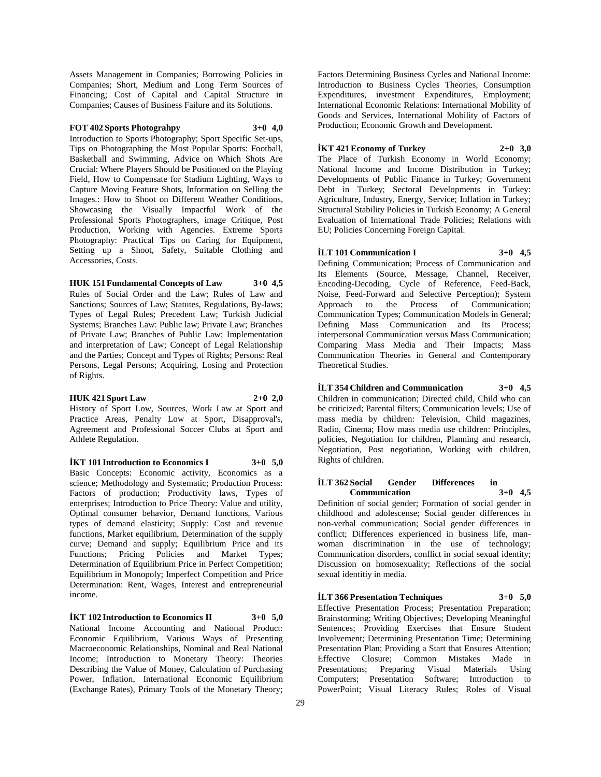Assets Management in Companies; Borrowing Policies in Companies; Short, Medium and Long Term Sources of Financing; Cost of Capital and Capital Structure in Companies; Causes of Business Failure and its Solutions.

# **FOT 402 Sports Photograhpy 3+0 4,0**

Introduction to Sports Photography; Sport Specific Set-ups, Tips on Photographing the Most Popular Sports: Football, Basketball and Swimming, Advice on Which Shots Are Crucial: Where Players Should be Positioned on the Playing Field, How to Compensate for Stadium Lighting, Ways to Capture Moving Feature Shots, Information on Selling the Images.: How to Shoot on Different Weather Conditions, Showcasing the Visually Impactful Work of the Professional Sports Photographers, image Critique, Post Production, Working with Agencies. Extreme Sports Photography: Practical Tips on Caring for Equipment, Setting up a Shoot, Safety, Suitable Clothing and Accessories, Costs.

# **HUK 151 Fundamental Concepts of Law 3+0 4,5**

Rules of Social Order and the Law; Rules of Law and Sanctions; Sources of Law; Statutes, Regulations, By-laws; Types of Legal Rules; Precedent Law; Turkish Judicial Systems; Branches Law: Public law; Private Law; Branches of Private Law; Branches of Public Law; Implementation and interpretation of Law; Concept of Legal Relationship and the Parties; Concept and Types of Rights; Persons: Real Persons, Legal Persons; Acquiring, Losing and Protection of Rights.

### **HUK 421 Sport Law 2+0 2,0**

History of Sport Low, Sources, Work Law at Sport and Practice Areas, Penalty Low at Sport, Disapproval's, Agreement and Professional Soccer Clubs at Sport and Athlete Regulation.

**İKT 101 Introduction to Economics I 3+0 5,0**

Basic Concepts: Economic activity, Economics as a science; Methodology and Systematic; Production Process: Factors of production; Productivity laws, Types of enterprises; Introduction to Price Theory: Value and utility, Optimal consumer behavior, Demand functions, Various types of demand elasticity; Supply: Cost and revenue functions, Market equilibrium, Determination of the supply curve; Demand and supply; Equilibrium Price and its Functions; Pricing Policies and Market Types; Determination of Equilibrium Price in Perfect Competition; Equilibrium in Monopoly; Imperfect Competition and Price Determination: Rent, Wages, Interest and entrepreneurial income.

**İKT 102 Introduction to Economics II 3+0 5,0** National Income Accounting and National Product: Economic Equilibrium, Various Ways of Presenting Macroeconomic Relationships, Nominal and Real National Income; Introduction to Monetary Theory: Theories Describing the Value of Money, Calculation of Purchasing Power, Inflation, International Economic Equilibrium (Exchange Rates), Primary Tools of the Monetary Theory;

Factors Determining Business Cycles and National Income: Introduction to Business Cycles Theories, Consumption Expenditures, investment Expenditures, Employment; International Economic Relations: International Mobility of Goods and Services, International Mobility of Factors of Production; Economic Growth and Development.

#### **İKT 421 Economy of Turkey 2+0 3,0**

The Place of Turkish Economy in World Economy; National Income and Income Distribution in Turkey; Developments of Public Finance in Turkey; Government Debt in Turkey; Sectoral Developments in Turkey: Agriculture, Industry, Energy, Service; Inflation in Turkey; Structural Stability Policies in Turkish Economy; A General Evaluation of International Trade Policies; Relations with EU; Policies Concerning Foreign Capital.

#### **İLT 101 Communication I 3+0 4,5**

Defining Communication; Process of Communication and Its Elements (Source, Message, Channel, Receiver, Encoding-Decoding, Cycle of Reference, Feed-Back, Noise, Feed-Forward and Selective Perception); System Approach to the Process of Communication; Communication Types; Communication Models in General; Defining Mass Communication and Its Process; interpersonal Communication versus Mass Communication; Comparing Mass Media and Their Impacts; Mass Communication Theories in General and Contemporary Theoretical Studies.

**İLT 354 Children and Communication 3+0 4,5** Children in communication; Directed child, Child who can be criticized; Parental filters; Communication levels; Use of mass media by children: Television, Child magazines, Radio, Cinema; How mass media use children: Principles, policies, Negotiation for children, Planning and research, Negotiation, Post negotiation, Working with children, Rights of children.

#### **İLT 362 Social Gender Differences in Communication 3+0 4,5**

Definition of social gender; Formation of social gender in childhood and adolescense; Social gender differences in non-verbal communication; Social gender differences in conflict; Differences experienced in business life, manwoman discrimination in the use of technology; Communication disorders, conflict in social sexual identity; Discussion on homosexuality; Reflections of the social sexual identitiy in media.

**İLT 366 Presentation Techniques 3+0 5,0** Effective Presentation Process; Presentation Preparation; Brainstorming; Writing Objectives; Developing Meaningful Sentences; Providing Exercises that Ensure Student Involvement; Determining Presentation Time; Determining Presentation Plan; Providing a Start that Ensures Attention; Effective Closure; Common Mistakes Made in Presentations; Preparing Visual Materials Using Computers; Presentation Software; Introduction to PowerPoint; Visual Literacy Rules; Roles of Visual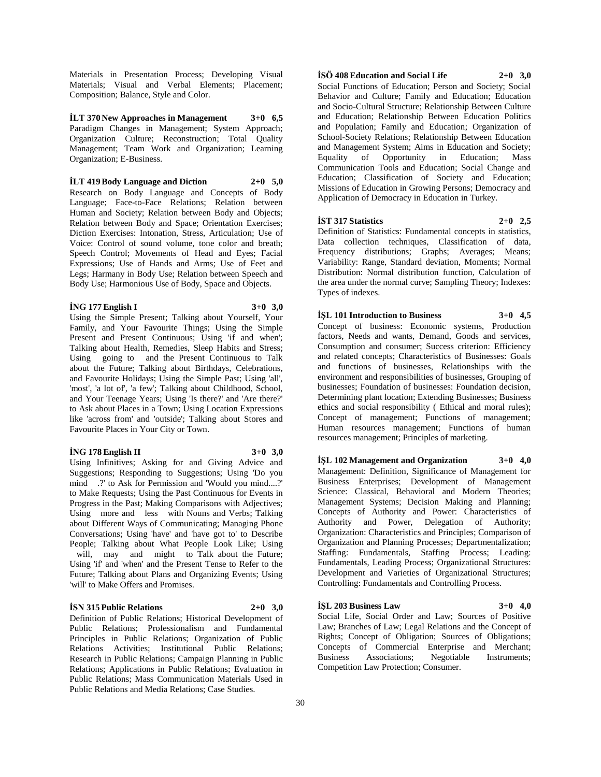Materials in Presentation Process; Developing Visual Materials; Visual and Verbal Elements; Placement; Composition; Balance, Style and Color.

**İLT 370 New Approaches in Management 3+0 6,5** Paradigm Changes in Management; System Approach; Organization Culture; Reconstruction; Total Quality Management; Team Work and Organization; Learning Organization; E-Business.

**İLT 419 Body Language and Diction 2+0 5,0**

Research on Body Language and Concepts of Body Language; Face-to-Face Relations; Relation between Human and Society; Relation between Body and Objects; Relation between Body and Space; Orientation Exercises; Diction Exercises: Intonation, Stress, Articulation; Use of Voice: Control of sound volume, tone color and breath; Speech Control; Movements of Head and Eyes; Facial Expressions; Use of Hands and Arms; Use of Feet and Legs; Harmany in Body Use; Relation between Speech and Body Use; Harmonious Use of Body, Space and Objects.

#### **İNG 177 English I 3+0 3,0**

Using the Simple Present; Talking about Yourself, Your Family, and Your Favourite Things; Using the Simple Present and Present Continuous; Using 'if and when'; Talking about Health, Remedies, Sleep Habits and Stress; Using going to and the Present Continuous to Talk about the Future; Talking about Birthdays, Celebrations, and Favourite Holidays; Using the Simple Past; Using 'all', 'most', 'a lot of', 'a few'; Talking about Childhood, School, and Your Teenage Years; Using 'Is there?' and 'Are there?' to Ask about Places in a Town; Using Location Expressions like 'across from' and 'outside'; Talking about Stores and Favourite Places in Your City or Town.

#### **İNG 178 English II 3+0 3,0**

Using Infinitives; Asking for and Giving Advice and Suggestions; Responding to Suggestions; Using 'Do you mind .?' to Ask for Permission and 'Would you mind....?' to Make Requests; Using the Past Continuous for Events in Progress in the Past; Making Comparisons with Adjectives; Using more and less with Nouns and Verbs; Talking about Different Ways of Communicating; Managing Phone Conversations; Using 'have' and 'have got to' to Describe People; Talking about What People Look Like; Using will, may and might to Talk about the Future; Using 'if' and 'when' and the Present Tense to Refer to the Future; Talking about Plans and Organizing Events; Using 'will' to Make Offers and Promises.

#### **İSN 315 Public Relations 2+0 3,0**

Definition of Public Relations; Historical Development of Public Relations; Professionalism and Fundamental Principles in Public Relations; Organization of Public Relations Activities; Institutional Public Relations; Research in Public Relations; Campaign Planning in Public Relations; Applications in Public Relations; Evaluation in Public Relations; Mass Communication Materials Used in Public Relations and Media Relations; Case Studies.

# **İSÖ 408 Education and Social Life 2+0 3,0**

Social Functions of Education; Person and Society; Social Behavior and Culture; Family and Education; Education and Socio-Cultural Structure; Relationship Between Culture and Education; Relationship Between Education Politics and Population; Family and Education; Organization of School-Society Relations; Relationship Between Education and Management System; Aims in Education and Society; Equality of Opportunity in Education; Mass Communication Tools and Education; Social Change and Education; Classification of Society and Education; Missions of Education in Growing Persons; Democracy and Application of Democracy in Education in Turkey.

#### **İST 317 Statistics 2+0 2,5**

Definition of Statistics: Fundamental concepts in statistics, Data collection techniques, Classification of data, Frequency distributions; Graphs; Averages; Means; Variability: Range, Standard deviation, Moments; Normal Distribution: Normal distribution function, Calculation of the area under the normal curve; Sampling Theory; Indexes: Types of indexes.

**İŞL 101 Introduction to Business 3+0 4,5** Concept of business: Economic systems, Production factors, Needs and wants, Demand, Goods and services, Consumption and consumer; Success criterion: Efficiency and related concepts; Characteristics of Businesses: Goals and functions of businesses, Relationships with the environment and responsibilities of businesses, Grouping of businesses; Foundation of businesses: Foundation decision, Determining plant location; Extending Businesses; Business ethics and social responsibility ( Ethical and moral rules); Concept of management; Functions of management; Human resources management; Functions of human resources management; Principles of marketing.

**İŞL 102 Management and Organization 3+0 4,0** Management: Definition, Significance of Management for Business Enterprises; Development of Management Science: Classical, Behavioral and Modern Theories; Management Systems; Decision Making and Planning; Concepts of Authority and Power: Characteristics of Authority and Power, Delegation of Authority; Organization: Characteristics and Principles; Comparison of Organization and Planning Processes; Departmentalization; Staffing: Fundamentals, Staffing Process; Leading: Fundamentals, Leading Process; Organizational Structures: Development and Varieties of Organizational Structures; Controlling: Fundamentals and Controlling Process.

#### **İŞL 203 Business Law 3+0 4,0**

Social Life, Social Order and Law; Sources of Positive Law; Branches of Law; Legal Relations and the Concept of Rights; Concept of Obligation; Sources of Obligations; Concepts of Commercial Enterprise and Merchant; Business Associations; Negotiable Instruments; Competition Law Protection; Consumer.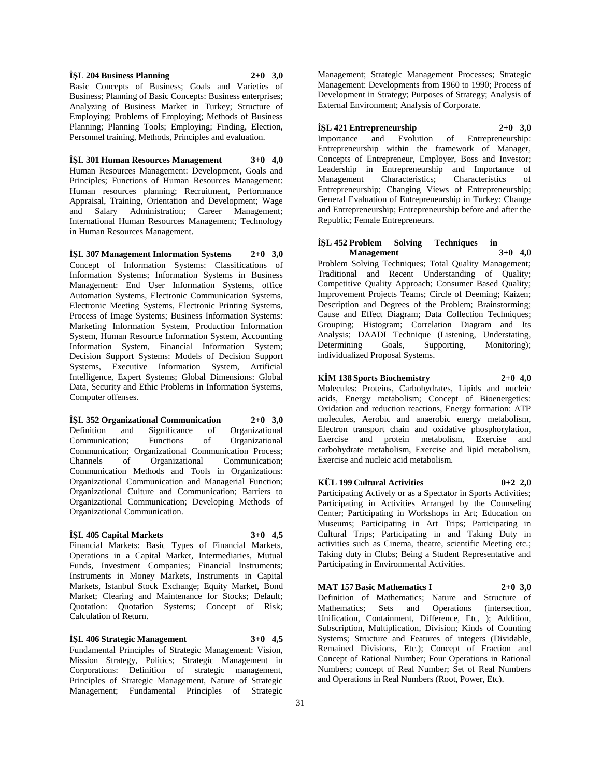**İŞL 204 Business Planning 2+0 3,0** Basic Concepts of Business; Goals and Varieties of Business; Planning of Basic Concepts: Business enterprises; Analyzing of Business Market in Turkey; Structure of Employing; Problems of Employing; Methods of Business Planning; Planning Tools; Employing; Finding, Election, Personnel training, Methods, Principles and evaluation.

**İŞL 301 Human Resources Management 3+0 4,0** Human Resources Management: Development, Goals and Principles; Functions of Human Resources Management: Human resources planning; Recruitment, Performance Appraisal, Training, Orientation and Development; Wage and Salary Administration; Career Management; International Human Resources Management; Technology in Human Resources Management.

**İŞL 307 Management Information Systems 2+0 3,0** Concept of Information Systems: Classifications of Information Systems; Information Systems in Business Management: End User Information Systems, office Automation Systems, Electronic Communication Systems, Electronic Meeting Systems, Electronic Printing Systems, Process of Image Systems; Business Information Systems: Marketing Information System, Production Information System, Human Resource Information System, Accounting Information System, Financial Information System; Decision Support Systems: Models of Decision Support Systems, Executive Information System, Artificial Intelligence, Expert Systems; Global Dimensions: Global Data, Security and Ethic Problems in Information Systems, Computer offenses.

**İŞL 352 Organizational Communication 2+0 3,0** Definition and Significance of Organizational Communication; Functions of Organizational Communication; Organizational Communication Process; Channels of Organizational Communication; Communication Methods and Tools in Organizations: Organizational Communication and Managerial Function; Organizational Culture and Communication; Barriers to Organizational Communication; Developing Methods of Organizational Communication.

#### **İŞL 405 Capital Markets 3+0 4,5**

Financial Markets: Basic Types of Financial Markets, Operations in a Capital Market, Intermediaries, Mutual Funds, Investment Companies; Financial Instruments; Instruments in Money Markets, Instruments in Capital Markets, Istanbul Stock Exchange; Equity Market, Bond Market; Clearing and Maintenance for Stocks; Default; Quotation: Quotation Systems; Concept of Risk; Calculation of Return.

# **İŞL 406 Strategic Management 3+0 4,5**

Fundamental Principles of Strategic Management: Vision, Mission Strategy, Politics; Strategic Management in Corporations: Definition of strategic management, Principles of Strategic Management, Nature of Strategic Management; Fundamental Principles of Strategic

Management; Strategic Management Processes; Strategic Management: Developments from 1960 to 1990; Process of Development in Strategy; Purposes of Strategy; Analysis of External Environment; Analysis of Corporate.

#### **İŞL 421 Entrepreneurship 2+0 3,0**

Importance and Evolution of Entrepreneurship: Entrepreneurship within the framework of Manager, Concepts of Entrepreneur, Employer, Boss and Investor; Leadership in Entrepreneurship and Importance of Management Characteristics; Characteristics of Entrepreneurship; Changing Views of Entrepreneurship; General Evaluation of Entrepreneurship in Turkey: Change and Entrepreneurship; Entrepreneurship before and after the Republic; Female Entrepreneurs.

### **İŞL 452 Problem Solving Techniques in Management 3+0 4,0**

Problem Solving Techniques; Total Quality Management; Traditional and Recent Understanding of Quality; Competitive Quality Approach; Consumer Based Quality; Improvement Projects Teams; Circle of Deeming; Kaizen; Description and Degrees of the Problem; Brainstorming; Cause and Effect Diagram; Data Collection Techniques; Grouping; Histogram; Correlation Diagram and Its Analysis; DAADI Technique (Listening, Understating, Determining Goals, Supporting, Monitoring); individualized Proposal Systems.

#### **KİM 138 Sports Biochemistry 2+0 4,0**

Molecules: Proteins, Carbohydrates, Lipids and nucleic acids, Energy metabolism; Concept of Bioenergetics: Oxidation and reduction reactions, Energy formation: ATP molecules, Aerobic and anaerobic energy metabolism, Electron transport chain and oxidative phosphorylation, Exercise and protein metabolism, Exercise and carbohydrate metabolism, Exercise and lipid metabolism, Exercise and nucleic acid metabolism.

#### **KÜL 199 Cultural Activities 0+2 2,0**

Participating Actively or as a Spectator in Sports Activities; Participating in Activities Arranged by the Counseling Center; Participating in Workshops in Art; Education on Museums; Participating in Art Trips; Participating in Cultural Trips; Participating in and Taking Duty in activities such as Cinema, theatre, scientific Meeting etc.; Taking duty in Clubs; Being a Student Representative and Participating in Environmental Activities.

#### **MAT 157 Basic Mathematics I 2+0 3,0**

Definition of Mathematics; Nature and Structure of Mathematics; Sets and Operations (intersection, Unification, Containment, Difference, Etc, ); Addition, Subscription, Multiplication, Division; Kinds of Counting Systems; Structure and Features of integers (Dividable, Remained Divisions, Etc.); Concept of Fraction and Concept of Rational Number; Four Operations in Rational Numbers; concept of Real Number; Set of Real Numbers and Operations in Real Numbers (Root, Power, Etc).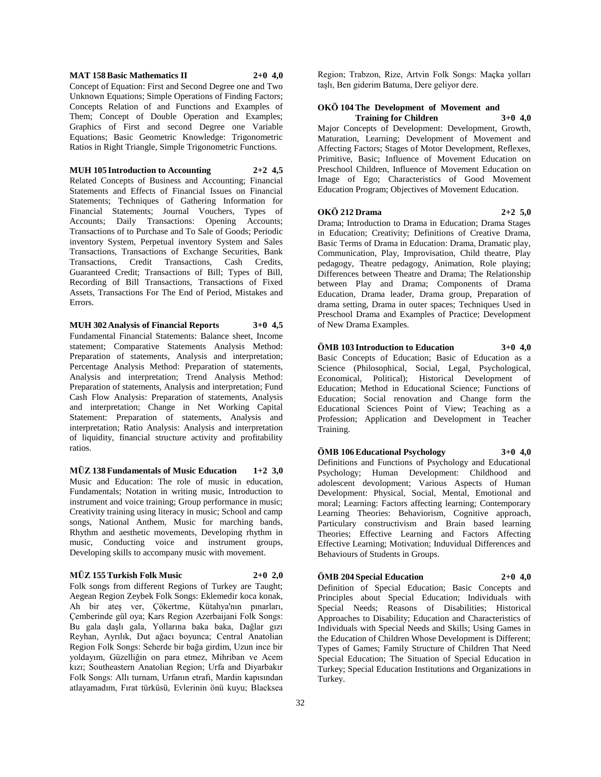#### **MAT 158 Basic Mathematics II 2+0 4,0**

Concept of Equation: First and Second Degree one and Two Unknown Equations; Simple Operations of Finding Factors; Concepts Relation of and Functions and Examples of Them; Concept of Double Operation and Examples; Graphics of First and second Degree one Variable Equations; Basic Geometric Knowledge: Trigonometric Ratios in Right Triangle, Simple Trigonometric Functions.

#### **MUH 105 Introduction to Accounting 2+2 4,5**

Related Concepts of Business and Accounting; Financial Statements and Effects of Financial Issues on Financial Statements; Techniques of Gathering Information for Financial Statements; Journal Vouchers, Types of Accounts; Daily Transactions: Opening Accounts; Transactions of to Purchase and To Sale of Goods; Periodic inventory System, Perpetual inventory System and Sales Transactions, Transactions of Exchange Securities, Bank Transactions, Credit Transactions, Cash Credits, Guaranteed Credit; Transactions of Bill; Types of Bill, Recording of Bill Transactions, Transactions of Fixed Assets, Transactions For The End of Period, Mistakes and Errors.

#### **MUH 302 Analysis of Financial Reports 3+0 4,5**

Fundamental Financial Statements: Balance sheet, Income statement; Comparative Statements Analysis Method: Preparation of statements, Analysis and interpretation; Percentage Analysis Method: Preparation of statements, Analysis and interpretation; Trend Analysis Method: Preparation of statements, Analysis and interpretation; Fund Cash Flow Analysis: Preparation of statements, Analysis and interpretation; Change in Net Working Capital Statement: Preparation of statements, Analysis and interpretation; Ratio Analysis: Analysis and interpretation of liquidity, financial structure activity and profitability ratios.

**MÜZ 138 Fundamentals of Music Education 1+2 3,0** Music and Education: The role of music in education, Fundamentals; Notation in writing music, Introduction to instrument and voice training; Group performance in music; Creativity training using literacy in music; School and camp songs, National Anthem, Music for marching bands, Rhythm and aesthetic movements, Developing rhythm in music, Conducting voice and instrument groups, Developing skills to accompany music with movement.

#### **MÜZ 155 Turkish Folk Music 2+0 2,0**

Folk songs from different Regions of Turkey are Taught; Aegean Region Zeybek Folk Songs: Eklemedir koca konak, Ah bir ateş ver, Çökertme, Kütahya'nın pınarları, Çemberinde gül oya; Kars Region Azerbaijani Folk Songs: Bu gala daşlı gala, Yollarına baka baka, Dağlar gızı Reyhan, Ayrılık, Dut ağacı boyunca; Central Anatolian Region Folk Songs: Seherde bir bağa girdim, Uzun ince bir yoldayım, Güzelliğin on para etmez, Mihriban ve Acem kızı; Southeastern Anatolian Region; Urfa and Diyarbakır Folk Songs: Allı turnam, Urfanın etrafı, Mardin kapısından atlayamadım, Fırat türküsü, Evlerinin önü kuyu; Blacksea

Region; Trabzon, Rize, Artvin Folk Songs: Maçka yolları taşlı, Ben giderim Batuma, Dere geliyor dere.

#### **OKÖ 104 The Development of Movement and Training for Children 3+0 4,0**

Major Concepts of Development: Development, Growth, Maturation, Learning; Development of Movement and Affecting Factors; Stages of Motor Development, Reflexes, Primitive, Basic; Influence of Movement Education on Preschool Children, Influence of Movement Education on Image of Ego; Characteristics of Good Movement Education Program; Objectives of Movement Education.

#### **OKÖ 212 Drama 2+2 5,0**

Drama; Introduction to Drama in Education; Drama Stages in Education; Creativity; Definitions of Creative Drama, Basic Terms of Drama in Education: Drama, Dramatic play, Communication, Play, Improvisation, Child theatre, Play pedagogy, Theatre pedagogy, Animation, Role playing; Differences between Theatre and Drama; The Relationship between Play and Drama; Components of Drama Education, Drama leader, Drama group, Preparation of drama setting, Drama in outer spaces; Techniques Used in Preschool Drama and Examples of Practice; Development of New Drama Examples.

#### **ÖMB 103 Introduction to Education 3+0 4,0**

Basic Concepts of Education; Basic of Education as a Science (Philosophical, Social, Legal, Psychological, Economical, Political); Historical Development of Education; Method in Educational Science; Functions of Education; Social renovation and Change form the Educational Sciences Point of View; Teaching as a Profession; Application and Development in Teacher Training.

#### **ÖMB 106 Educational Psychology 3+0 4,0**

Definitions and Functions of Psychology and Educational Psychology; Human Development: Childhood and adolescent devolopment; Various Aspects of Human Development: Physical, Social, Mental, Emotional and moral; Learning: Factors affecting learning; Contemporary Learning Theories: Behaviorism, Cognitive approach, Particulary constructivism and Brain based learning Theories; Effective Learning and Factors Affecting Effective Learning; Motivation; Induvidual Differences and Behaviours of Students in Groups.

#### **ÖMB 204 Special Education 2+0 4,0**

Definition of Special Education; Basic Concepts and Principles about Special Education; Individuals with Special Needs; Reasons of Disabilities; Historical Approaches to Disability; Education and Characteristics of Individuals with Special Needs and Skills; Using Games in the Education of Children Whose Development is Different; Types of Games; Family Structure of Children That Need Special Education; The Situation of Special Education in Turkey; Special Education Institutions and Organizations in Turkey.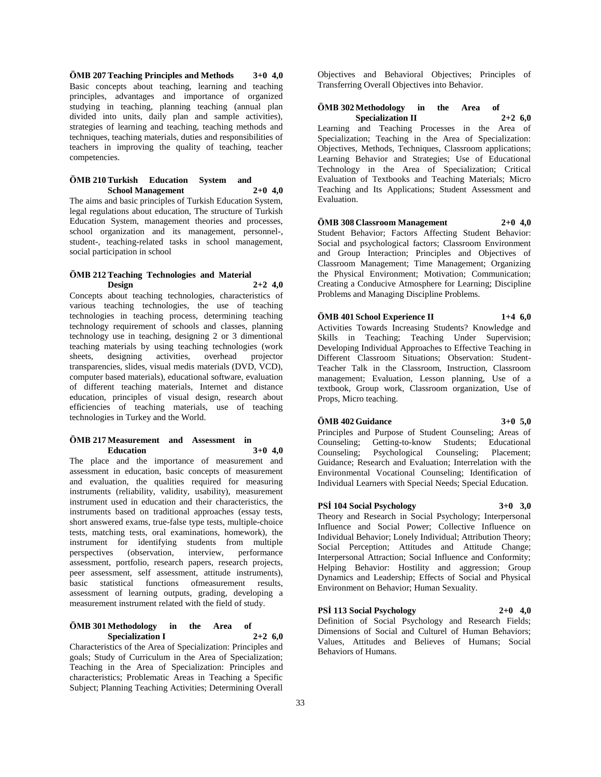**ÖMB 207 Teaching Principles and Methods 3+0 4,0** Basic concepts about teaching, learning and teaching principles, advantages and importance of organized studying in teaching, planning teaching (annual plan divided into units, daily plan and sample activities), strategies of learning and teaching, teaching methods and techniques, teaching materials, duties and responsibilities of teachers in improving the quality of teaching, teacher competencies.

### **ÖMB 210 Turkish Education** System and **School Management** 2+0 4.0 **School Management 2+0 4,0**

The aims and basic principles of Turkish Education System, legal regulations about education, The structure of Turkish Education System, management theories and processes, school organization and its management, personnel-, student-, teaching-related tasks in school management, social participation in school

# **ÖMB 212 Teaching Technologies and Material Design 2+2 4,0**

Concepts about teaching technologies, characteristics of various teaching technologies, the use of teaching technologies in teaching process, determining teaching technology requirement of schools and classes, planning technology use in teaching, designing 2 or 3 dimentional teaching materials by using teaching technologies (work<br>sheets, designing activities, overhead projector sheets, designing activities, overhead transparencies, slides, visual medis materials (DVD, VCD), computer based materials), educational software, evaluation of different teaching materials, Internet and distance education, principles of visual design, research about efficiencies of teaching materials, use of teaching technologies in Turkey and the World.

#### **ÖMB 217 Measurement and Assessment in Education 3+0 4,0**

The place and the importance of measurement and assessment in education, basic concepts of measurement and evaluation, the qualities required for measuring instruments (reliability, validity, usability), measurement instrument used in education and their characteristics, the instruments based on traditional approaches (essay tests, short answered exams, true-false type tests, multiple-choice tests, matching tests, oral examinations, homework), the instrument for identifying students from multiple perspectives (observation, interview, performance assessment, portfolio, research papers, research projects, peer assessment, self assessment, attitude instruments), basic statistical functions ofmeasurement results, assessment of learning outputs, grading, developing a measurement instrument related with the field of study.

#### **ÖMB 301 Methodology in the Area of Specialization I 2+2 6,0**

Characteristics of the Area of Specialization: Principles and goals; Study of Curriculum in the Area of Specialization; Teaching in the Area of Specialization: Principles and characteristics; Problematic Areas in Teaching a Specific Subject; Planning Teaching Activities; Determining Overall

Objectives and Behavioral Objectives; Principles of Transferring Overall Objectives into Behavior.

## **ÖMB 302 Methodology in the Area of Specialization II 2+2 6,0**

Learning and Teaching Processes in the Area of Specialization; Teaching in the Area of Specialization: Objectives, Methods, Techniques, Classroom applications; Learning Behavior and Strategies; Use of Educational Technology in the Area of Specialization; Critical Evaluation of Textbooks and Teaching Materials; Micro Teaching and Its Applications; Student Assessment and Evaluation.

#### **ÖMB 308 Classroom Management 2+0 4,0**

Student Behavior; Factors Affecting Student Behavior: Social and psychological factors; Classroom Environment and Group Interaction; Principles and Objectives of Classroom Management; Time Management; Organizing the Physical Environment; Motivation; Communication; Creating a Conducive Atmosphere for Learning; Discipline Problems and Managing Discipline Problems.

# **ÖMB 401 School Experience II 1+4 6,0**

Activities Towards Increasing Students? Knowledge and Skills in Teaching; Teaching Under Supervision; Developing Individual Approaches to Effective Teaching in Different Classroom Situations; Observation: Student-Teacher Talk in the Classroom, Instruction, Classroom management; Evaluation, Lesson planning, Use of a textbook, Group work, Classroom organization, Use of Props, Micro teaching.

#### **ÖMB 402 Guidance 3+0 5,0**

Principles and Purpose of Student Counseling; Areas of Counseling; Getting-to-know Students; Educational Counseling; Psychological Counseling; Placement; Guidance; Research and Evaluation; Interrelation with the Environmental Vocational Counseling; Identification of Individual Learners with Special Needs; Special Education.

**PSİ 104 Social Psychology 3+0 3,0** Theory and Research in Social Psychology; Interpersonal Influence and Social Power; Collective Influence on

Individual Behavior; Lonely Individual; Attribution Theory; Social Perception; Attitudes and Attitude Change; Interpersonal Attraction; Social Influence and Conformity; Helping Behavior: Hostility and aggression; Group Dynamics and Leadership; Effects of Social and Physical Environment on Behavior; Human Sexuality.

# **PSİ 113 Social Psychology 2+0 4,0**

Definition of Social Psychology and Research Fields; Dimensions of Social and Culturel of Human Behaviors; Values, Attitudes and Believes of Humans; Social Behaviors of Humans.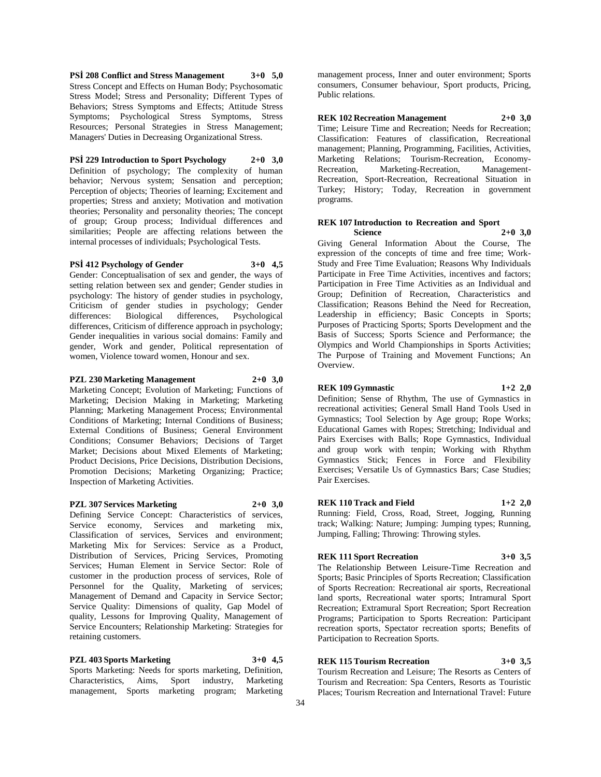**PSİ 208 Conflict and Stress Management 3+0 5,0** Stress Concept and Effects on Human Body; Psychosomatic Stress Model; Stress and Personality; Different Types of Behaviors; Stress Symptoms and Effects; Attitude Stress Symptoms; Psychological Stress Symptoms, Stress Resources; Personal Strategies in Stress Management; Managers' Duties in Decreasing Organizational Stress.

#### **PSİ 229 Introduction to Sport Psychology 2+0 3,0**

Definition of psychology; The complexity of human behavior; Nervous system; Sensation and perception; Perception of objects; Theories of learning; Excitement and properties; Stress and anxiety; Motivation and motivation theories; Personality and personality theories; The concept of group; Group process; Individual differences and similarities; People are affecting relations between the internal processes of individuals; Psychological Tests.

# **PSİ 412 Psychology of Gender 3+0 4,5**

Gender: Conceptualisation of sex and gender, the ways of setting relation between sex and gender; Gender studies in psychology: The history of gender studies in psychology, Criticism of gender studies in psychology; Gender differences: Biological differences, Psychological differences, Criticism of difference approach in psychology; Gender inequalities in various social domains: Family and gender, Work and gender, Political representation of women, Violence toward women, Honour and sex.

### **PZL 230 Marketing Management 2+0 3,0**

Marketing Concept; Evolution of Marketing; Functions of Marketing; Decision Making in Marketing; Marketing Planning; Marketing Management Process; Environmental Conditions of Marketing; Internal Conditions of Business; External Conditions of Business; General Environment Conditions; Consumer Behaviors; Decisions of Target Market; Decisions about Mixed Elements of Marketing; Product Decisions, Price Decisions, Distribution Decisions, Promotion Decisions; Marketing Organizing; Practice; Inspection of Marketing Activities.

#### **PZL 307 Services Marketing 2+0 3,0**

Defining Service Concept: Characteristics of services, Service economy, Services and marketing mix, Classification of services, Services and environment; Marketing Mix for Services: Service as a Product, Distribution of Services, Pricing Services, Promoting Services; Human Element in Service Sector: Role of customer in the production process of services, Role of Personnel for the Quality, Marketing of services; Management of Demand and Capacity in Service Sector; Service Quality: Dimensions of quality, Gap Model of quality, Lessons for Improving Quality, Management of Service Encounters; Relationship Marketing: Strategies for retaining customers.

#### **PZL 403 Sports Marketing 3+0 4,5**

Sports Marketing: Needs for sports marketing, Definition, Characteristics, Aims, Sport industry, Marketing management, Sports marketing program; Marketing

management process, Inner and outer environment; Sports consumers, Consumer behaviour, Sport products, Pricing, Public relations.

**REK 102 Recreation Management 2+0 3,0** Time; Leisure Time and Recreation; Needs for Recreation; Classification: Features of classification, Recreational management; Planning, Programming, Facilities, Activities, Marketing Relations; Tourism-Recreation, Economy-Recreation, Marketing-Recreation, Management-Recreation, Sport-Recreation, Recreational Situation in Turkey; History; Today, Recreation in government programs.

#### **REK 107 Introduction to Recreation and Sport Science 2+0 3,0**

Giving General Information About the Course, The expression of the concepts of time and free time; Work-Study and Free Time Evaluation; Reasons Why Individuals Participate in Free Time Activities, incentives and factors; Participation in Free Time Activities as an Individual and Group; Definition of Recreation, Characteristics and Classification; Reasons Behind the Need for Recreation, Leadership in efficiency; Basic Concepts in Sports; Purposes of Practicing Sports; Sports Development and the Basis of Success; Sports Science and Performance; the Olympics and World Championships in Sports Activities; The Purpose of Training and Movement Functions; An Overview.

#### **REK 109 Gymnastic 1+2 2,0**

Definition; Sense of Rhythm, The use of Gymnastics in recreational activities; General Small Hand Tools Used in Gymnastics; Tool Selection by Age group; Rope Works; Educational Games with Ropes; Stretching; Individual and Pairs Exercises with Balls; Rope Gymnastics, Individual and group work with tenpin; Working with Rhythm Gymnastics Stick; Fences in Force and Flexibility Exercises; Versatile Us of Gymnastics Bars; Case Studies; Pair Exercises.

# **REK 110 Track and Field 1+2 2,0**

Running: Field, Cross, Road, Street, Jogging, Running track; Walking: Nature; Jumping: Jumping types; Running, Jumping, Falling; Throwing: Throwing styles.

# **REK 111 Sport Recreation 3+0 3,5**

The Relationship Between Leisure-Time Recreation and Sports; Basic Principles of Sports Recreation; Classification of Sports Recreation: Recreational air sports, Recreational land sports, Recreational water sports; Intramural Sport Recreation; Extramural Sport Recreation; Sport Recreation Programs; Participation to Sports Recreation: Participant recreation sports, Spectator recreation sports; Benefits of Participation to Recreation Sports.

# **REK 115 Tourism Recreation 3+0 3,5**

Tourism Recreation and Leisure; The Resorts as Centers of Tourism and Recreation: Spa Centers, Resorts as Touristic Places; Tourism Recreation and International Travel: Future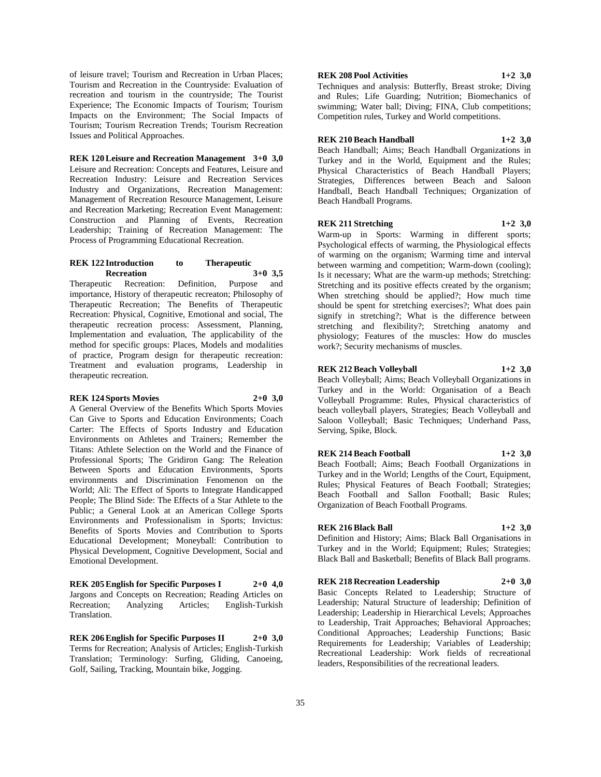of leisure travel; Tourism and Recreation in Urban Places; Tourism and Recreation in the Countryside: Evaluation of recreation and tourism in the countryside; The Tourist Experience; The Economic Impacts of Tourism; Tourism Impacts on the Environment; The Social Impacts of Tourism; Tourism Recreation Trends; Tourism Recreation Issues and Political Approaches.

#### **REK 120 Leisure and Recreation Management 3+0 3,0**

Leisure and Recreation: Concepts and Features, Leisure and Recreation Industry: Leisure and Recreation Services Industry and Organizations, Recreation Management: Management of Recreation Resource Management, Leisure and Recreation Marketing; Recreation Event Management: Construction and Planning of Events, Recreation Leadership; Training of Recreation Management: The Process of Programming Educational Recreation.

#### **REK 122 Introduction to Therapeutic Recreation 3+0 3,5**

Therapeutic Recreation: Definition, Purpose and importance, History of therapeutic recreaton; Philosophy of Therapeutic Recreation; The Benefits of Therapeutic Recreation: Physical, Cognitive, Emotional and social, The therapeutic recreation process: Assessment, Planning, Implementation and evaluation, The applicability of the method for specific groups: Places, Models and modalities of practice, Program design for therapeutic recreation: Treatment and evaluation programs, Leadership in therapeutic recreation.

#### **REK 124 Sports Movies 2+0 3,0**

A General Overview of the Benefits Which Sports Movies Can Give to Sports and Education Environments; Coach Carter: The Effects of Sports Industry and Education Environments on Athletes and Trainers; Remember the Titans: Athlete Selection on the World and the Finance of Professional Sports; The Gridiron Gang: The Releation Between Sports and Education Environments, Sports environments and Discrimination Fenomenon on the World; Ali: The Effect of Sports to Integrate Handicapped People; The Blind Side: The Effects of a Star Athlete to the Public; a General Look at an American College Sports Environments and Professionalism in Sports; Invictus: Benefits of Sports Movies and Contribution to Sports Educational Development; Moneyball: Contribution to Physical Development, Cognitive Development, Social and Emotional Development.

**REK 205 English for Specific Purposes I 2+0 4,0** Jargons and Concepts on Recreation; Reading Articles on Analyzing Articles; English-Turkish Translation.

**REK 206 English for Specific Purposes II 2+0 3,0** Terms for Recreation; Analysis of Articles; English-Turkish Translation; Terminology: Surfing, Gliding, Canoeing, Golf, Sailing, Tracking, Mountain bike, Jogging.

#### **REK 208 Pool Activities 1+2 3,0**

Techniques and analysis: Butterfly, Breast stroke; Diving and Rules; Life Guarding; Nutrition; Biomechanics of swimming; Water ball; Diving; FINA, Club competitions; Competition rules, Turkey and World competitions.

#### **REK 210 Beach Handball 1+2 3,0**

Beach Handball; Aims; Beach Handball Organizations in Turkey and in the World, Equipment and the Rules; Physical Characteristics of Beach Handball Players; Strategies, Differences between Beach and Saloon Handball, Beach Handball Techniques; Organization of Beach Handball Programs.

#### **REK 211 Stretching 1+2 3,0**

Warm-up in Sports: Warming in different sports; Psychological effects of warming, the Physiological effects of warming on the organism; Warming time and interval between warming and competition; Warm-down (cooling); Is it necessary; What are the warm-up methods; Stretching: Stretching and its positive effects created by the organism; When stretching should be applied?; How much time should be spent for stretching exercises?; What does pain signify in stretching?; What is the difference between stretching and flexibility?; Stretching anatomy and physiology; Features of the muscles: How do muscles

#### **REK 212 Beach Volleyball 1+2 3,0**

work?; Security mechanisms of muscles.

Beach Volleyball; Aims; Beach Volleyball Organizations in Turkey and in the World: Organisation of a Beach Volleyball Programme: Rules, Physical characteristics of beach volleyball players, Strategies; Beach Volleyball and Saloon Volleyball; Basic Techniques; Underhand Pass, Serving, Spike, Block.

#### **REK 214 Beach Football 1+2 3,0**

Beach Football; Aims; Beach Football Organizations in Turkey and in the World; Lengths of the Court, Equipment, Rules; Physical Features of Beach Football; Strategies; Beach Football and Sallon Football; Basic Rules; Organization of Beach Football Programs.

#### **REK 216 Black Ball 1+2 3,0**

Definition and History; Aims; Black Ball Organisations in Turkey and in the World; Equipment; Rules; Strategies; Black Ball and Basketball; Benefits of Black Ball programs.

#### **REK 218 Recreation Leadership 2+0 3,0**

Basic Concepts Related to Leadership; Structure of Leadership; Natural Structure of leadership; Definition of Leadership; Leadership in Hierarchical Levels; Approaches to Leadership, Trait Approaches; Behavioral Approaches; Conditional Approaches; Leadership Functions; Basic Requirements for Leadership; Variables of Leadership; Recreational Leadership: Work fields of recreational leaders, Responsibilities of the recreational leaders.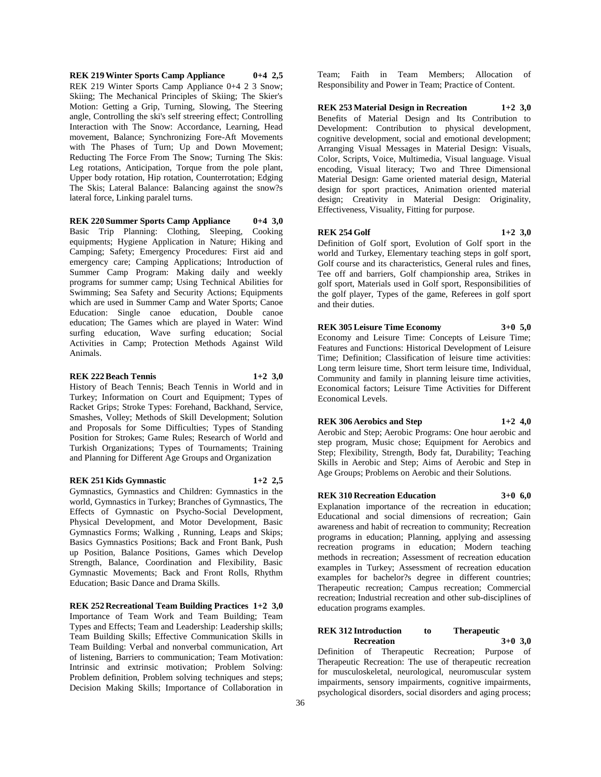**REK 219 Winter Sports Camp Appliance 0+4 2,5** REK 219 Winter Sports Camp Appliance 0+4 2 3 Snow; Skiing; The Mechanical Principles of Skiing; The Skier's Motion: Getting a Grip, Turning, Slowing, The Steering angle, Controlling the ski's self streering effect; Controlling Interaction with The Snow: Accordance, Learning, Head movement, Balance; Synchronizing Fore-Aft Movements with The Phases of Turn; Up and Down Movement; Reducting The Force From The Snow; Turning The Skis: Leg rotations, Anticipation, Torque from the pole plant, Upper body rotation, Hip rotation, Counterrotation; Edging The Skis; Lateral Balance: Balancing against the snow?s lateral force, Linking paralel turns.

#### **REK 220 Summer Sports Camp Appliance 0+4 3,0**

Basic Trip Planning: Clothing, Sleeping, Cooking equipments; Hygiene Application in Nature; Hiking and Camping; Safety; Emergency Procedures: First aid and emergency care; Camping Applications; Introduction of Summer Camp Program: Making daily and weekly programs for summer camp; Using Technical Abilities for Swimming; Sea Safety and Security Actions; Equipments which are used in Summer Camp and Water Sports; Canoe Education: Single canoe education, Double canoe education; The Games which are played in Water: Wind surfing education, Wave surfing education; Social Activities in Camp; Protection Methods Against Wild Animals.

#### **REK 222 Beach Tennis 1+2 3,0**

History of Beach Tennis; Beach Tennis in World and in Turkey; Information on Court and Equipment; Types of Racket Grips; Stroke Types: Forehand, Backhand, Service, Smashes, Volley; Methods of Skill Development; Solution and Proposals for Some Difficulties; Types of Standing Position for Strokes; Game Rules; Research of World and Turkish Organizations; Types of Tournaments; Training and Planning for Different Age Groups and Organization

#### **REK 251 Kids Gymnastic 1+2 2,5**

Gymnastics, Gymnastics and Children: Gymnastics in the world, Gymnastics in Turkey; Branches of Gymnastics, The Effects of Gymnastic on Psycho-Social Development, Physical Development, and Motor Development, Basic Gymnastics Forms; Walking , Running, Leaps and Skips; Basics Gymnastics Positions; Back and Front Bank, Push up Position, Balance Positions, Games which Develop Strength, Balance, Coordination and Flexibility, Basic Gymnastic Movements; Back and Front Rolls, Rhythm Education; Basic Dance and Drama Skills.

**REK 252 Recreational Team Building Practices 1+2 3,0** Importance of Team Work and Team Building; Team Types and Effects; Team and Leadership: Leadership skills; Team Building Skills; Effective Communication Skills in Team Building: Verbal and nonverbal communication, Art of listening, Barriers to communication; Team Motivation: Intrinsic and extrinsic motivation; Problem Solving: Problem definition, Problem solving techniques and steps; Decision Making Skills; Importance of Collaboration in

Team; Faith in Team Members; Allocation of Responsibility and Power in Team; Practice of Content.

**REK 253 Material Design in Recreation 1+2 3,0** Benefits of Material Design and Its Contribution to Development: Contribution to physical development, cognitive development, social and emotional development; Arranging Visual Messages in Material Design: Visuals, Color, Scripts, Voice, Multimedia, Visual language. Visual encoding, Visual literacy; Two and Three Dimensional Material Design: Game oriented material design, Material design for sport practices, Animation oriented material design; Creativity in Material Design: Originality, Effectiveness, Visuality, Fitting for purpose.

#### **REK 254 Golf 1+2 3,0**

Definition of Golf sport, Evolution of Golf sport in the world and Turkey, Elementary teaching steps in golf sport, Golf course and its characteristics, General rules and fines, Tee off and barriers, Golf championship area, Strikes in golf sport, Materials used in Golf sport, Responsibilities of the golf player, Types of the game, Referees in golf sport and their duties.

**REK 305 Leisure Time Economy 3+0 5,0** Economy and Leisure Time: Concepts of Leisure Time; Features and Functions: Historical Development of Leisure Time; Definition; Classification of leisure time activities: Long term leisure time, Short term leisure time, Individual, Community and family in planning leisure time activities, Economical factors; Leisure Time Activities for Different Economical Levels.

#### **REK 306 Aerobics and Step 1+2 4,0**

Aerobic and Step; Aerobic Programs: One hour aerobic and step program, Music chose; Equipment for Aerobics and Step; Flexibility, Strength, Body fat, Durability; Teaching Skills in Aerobic and Step; Aims of Aerobic and Step in Age Groups; Problems on Aerobic and their Solutions.

#### **REK 310 Recreation Education 3+0 6,0**

Explanation importance of the recreation in education; Educational and social dimensions of recreation; Gain awareness and habit of recreation to community; Recreation programs in education; Planning, applying and assessing recreation programs in education; Modern teaching methods in recreation; Assessment of recreation education examples in Turkey; Assessment of recreation education examples for bachelor?s degree in different countries; Therapeutic recreation; Campus recreation; Commercial recreation; Industrial recreation and other sub-disciplines of education programs examples.

#### **REK 312 Introduction to Therapeutic Recreation 3+0 3,0**

Definition of Therapeutic Recreation; Purpose of Therapeutic Recreation: The use of therapeutic recreation for musculoskeletal, neurological, neuromuscular system impairments, sensory impairments, cognitive impairments, psychological disorders, social disorders and aging process;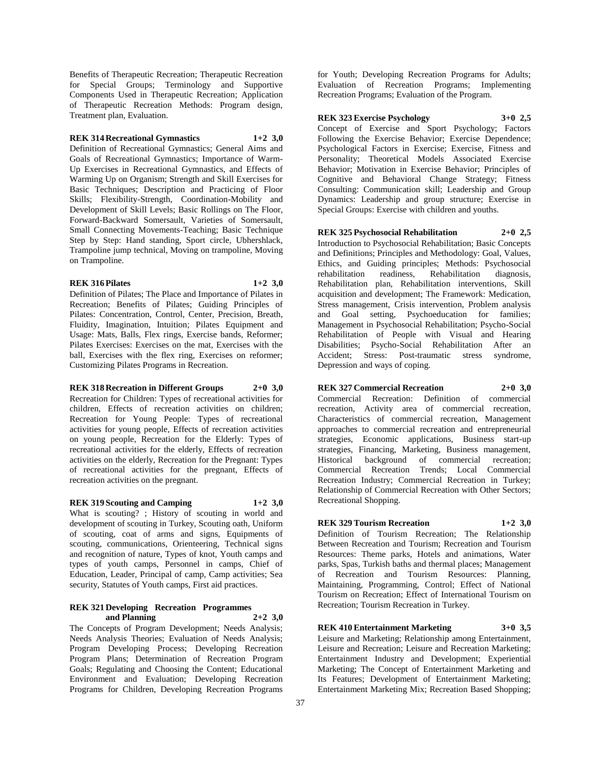Benefits of Therapeutic Recreation; Therapeutic Recreation for Special Groups; Terminology and Supportive Components Used in Therapeutic Recreation; Application of Therapeutic Recreation Methods: Program design, Treatment plan, Evaluation.

# **REK 314 Recreational Gymnastics 1+2 3,0**

Definition of Recreational Gymnastics; General Aims and Goals of Recreational Gymnastics; Importance of Warm-Up Exercises in Recreational Gymnastics, and Effects of Warming Up on Organism; Strength and Skill Exercises for Basic Techniques; Description and Practicing of Floor Skills; Flexibility-Strength, Coordination-Mobility and Development of Skill Levels; Basic Rollings on The Floor, Forward-Backward Somersault, Varieties of Somersault, Small Connecting Movements-Teaching; Basic Technique Step by Step: Hand standing, Sport circle, Ubhershlack, Trampoline jump technical, Moving on trampoline, Moving on Trampoline.

#### **REK 316 Pilates 1+2 3,0**

Definition of Pilates; The Place and Importance of Pilates in Recreation; Benefits of Pilates; Guiding Principles of Pilates: Concentration, Control, Center, Precision, Breath, Fluidity, Imagination, Intuition; Pilates Equipment and Usage: Mats, Balls, Flex rings, Exercise bands, Reformer; Pilates Exercises: Exercises on the mat, Exercises with the ball, Exercises with the flex ring, Exercises on reformer; Customizing Pilates Programs in Recreation.

# **REK 318 Recreation in Different Groups 2+0 3,0**

Recreation for Children: Types of recreational activities for children, Effects of recreation activities on children; Recreation for Young People: Types of recreational activities for young people, Effects of recreation activities on young people, Recreation for the Elderly: Types of recreational activities for the elderly, Effects of recreation activities on the elderly, Recreation for the Pregnant: Types of recreational activities for the pregnant, Effects of recreation activities on the pregnant.

#### **REK 319 Scouting and Camping 1+2 3,0**

What is scouting? ; History of scouting in world and development of scouting in Turkey, Scouting oath, Uniform of scouting, coat of arms and signs, Equipments of scouting, communications, Orienteering, Technical signs and recognition of nature, Types of knot, Youth camps and types of youth camps, Personnel in camps, Chief of Education, Leader, Principal of camp, Camp activities; Sea security, Statutes of Youth camps, First aid practices.

#### **REK 321 Developing Recreation Programmes and Planning 2+2 3,0**

The Concepts of Program Development; Needs Analysis; Needs Analysis Theories; Evaluation of Needs Analysis; Program Developing Process; Developing Recreation Program Plans; Determination of Recreation Program Goals; Regulating and Choosing the Content; Educational Environment and Evaluation; Developing Recreation Programs for Children, Developing Recreation Programs

for Youth; Developing Recreation Programs for Adults; Evaluation of Recreation Programs; Implementing Recreation Programs; Evaluation of the Program.

#### **REK 323 Exercise Psychology 3+0 2,5**

Concept of Exercise and Sport Psychology; Factors Following the Exercise Behavior; Exercise Dependence; Psychological Factors in Exercise; Exercise, Fitness and Personality; Theoretical Models Associated Exercise Behavior; Motivation in Exercise Behavior; Principles of Cognitive and Behavioral Change Strategy; Fitness Consulting: Communication skill; Leadership and Group Dynamics: Leadership and group structure; Exercise in Special Groups: Exercise with children and youths.

**REK 325 Psychosocial Rehabilitation 2+0 2,5**

Introduction to Psychosocial Rehabilitation; Basic Concepts and Definitions; Principles and Methodology: Goal, Values, Ethics, and Guiding principles; Methods: Psychosocial rehabilitation readiness, Rehabilitation diagnosis, Rehabilitation plan, Rehabilitation interventions, Skill acquisition and development; The Framework: Medication, Stress management, Crisis intervention, Problem analysis and Goal setting, Psychoeducation for families; Management in Psychosocial Rehabilitation; Psycho-Social Rehabilitation of People with Visual and Hearing Disabilities; Psycho-Social Rehabilitation After an Accident; Stress: Post-traumatic stress Depression and ways of coping.

#### **REK 327 Commercial Recreation 2+0 3,0**

Commercial Recreation: Definition of commercial recreation, Activity area of commercial recreation, Characteristics of commercial recreation, Management approaches to commercial recreation and entrepreneurial strategies, Economic applications, Business start-up strategies, Financing, Marketing, Business management, Historical background of commercial recreation; Commercial Recreation Trends; Local Commercial Recreation Industry; Commercial Recreation in Turkey; Relationship of Commercial Recreation with Other Sectors; Recreational Shopping.

#### **REK 329 Tourism Recreation 1+2 3,0**

Definition of Tourism Recreation; The Relationship Between Recreation and Tourism; Recreation and Tourism Resources: Theme parks, Hotels and animations, Water parks, Spas, Turkish baths and thermal places; Management of Recreation and Tourism Resources: Planning, Maintaining, Programming, Control; Effect of National Tourism on Recreation; Effect of International Tourism on Recreation; Tourism Recreation in Turkey.

# **REK 410 Entertainment Marketing 3+0 3,5**

Leisure and Marketing; Relationship among Entertainment, Leisure and Recreation; Leisure and Recreation Marketing; Entertainment Industry and Development; Experiential Marketing; The Concept of Entertainment Marketing and Its Features; Development of Entertainment Marketing; Entertainment Marketing Mix; Recreation Based Shopping;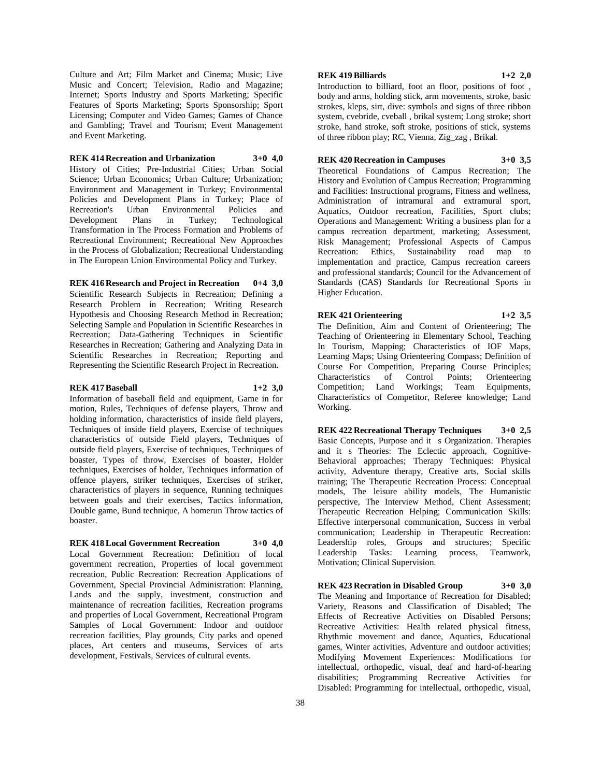Culture and Art; Film Market and Cinema; Music; Live Music and Concert; Television, Radio and Magazine; Internet; Sports Industry and Sports Marketing; Specific Features of Sports Marketing; Sports Sponsorship; Sport Licensing; Computer and Video Games; Games of Chance and Gambling; Travel and Tourism; Event Management and Event Marketing.

**REK 414 Recreation and Urbanization 3+0 4,0** History of Cities; Pre-Industrial Cities; Urban Social Science; Urban Economics; Urban Culture; Urbanization; Environment and Management in Turkey; Environmental Policies and Development Plans in Turkey; Place of Recreation's Urban Environmental Policies and Development Plans in Turkey; Technological Transformation in The Process Formation and Problems of Recreational Environment; Recreational New Approaches in the Process of Globalization; Recreational Understanding in The European Union Environmental Policy and Turkey.

**REK 416 Research and Project in Recreation 0+4 3,0** Scientific Research Subjects in Recreation; Defining a Research Problem in Recreation; Writing Research Hypothesis and Choosing Research Method in Recreation; Selecting Sample and Population in Scientific Researches in Recreation; Data-Gathering Techniques in Scientific Researches in Recreation; Gathering and Analyzing Data in Scientific Researches in Recreation; Reporting and Representing the Scientific Research Project in Recreation.

#### **REK 417 Baseball 1+2 3,0**

Working.

Information of baseball field and equipment, Game in for motion, Rules, Techniques of defense players, Throw and holding information, characteristics of inside field players, Techniques of inside field players, Exercise of techniques characteristics of outside Field players, Techniques of outside field players, Exercise of techniques, Techniques of boaster, Types of throw, Exercises of boaster, Holder techniques, Exercises of holder, Techniques information of offence players, striker techniques, Exercises of striker, characteristics of players in sequence, Running techniques between goals and their exercises, Tactics information, Double game, Bund technique, A homerun Throw tactics of boaster.

**REK 418 Local Government Recreation 3+0 4,0** Local Government Recreation: Definition of local government recreation, Properties of local government recreation, Public Recreation: Recreation Applications of Government, Special Provincial Administration: Planning, Lands and the supply, investment, construction and maintenance of recreation facilities, Recreation programs and properties of Local Government, Recreational Program Samples of Local Government: Indoor and outdoor recreation facilities, Play grounds, City parks and opened places, Art centers and museums, Services of arts

development, Festivals, Services of cultural events.

# **REK 419 Billiards 1+2 2,0**

Introduction to billiard, foot an floor, positions of foot , body and arms, holding stick, arm movements, stroke, basic strokes, kleps, sirt, dive: symbols and signs of three ribbon system, cvebride, cveball , brikal system; Long stroke; short stroke, hand stroke, soft stroke, positions of stick, systems of three ribbon play; RC, Vienna, Zig\_zag , Brikal.

#### **REK 420 Recreation in Campuses 3+0 3,5**

Theoretical Foundations of Campus Recreation; The History and Evolution of Campus Recreation; Programming and Facilities: Instructional programs, Fitness and wellness, Administration of intramural and extramural sport, Aquatics, Outdoor recreation, Facilities, Sport clubs; Operations and Management: Writing a business plan for a campus recreation department, marketing; Assessment, Risk Management; Professional Aspects of Campus Recreation: Ethics, Sustainability road map to implementation and practice, Campus recreation careers and professional standards; Council for the Advancement of Standards (CAS) Standards for Recreational Sports in Higher Education.

**REK 421 Orienteering 1+2 3,5** The Definition, Aim and Content of Orienteering; The Teaching of Orienteering in Elementary School, Teaching In Tourism, Mapping; Characteristics of IOF Maps, Learning Maps; Using Orienteering Compass; Definition of Course For Competition, Preparing Course Principles; Characteristics of Control Points; Orienteering Competition; Land Workings; Team Equipments, Characteristics of Competitor, Referee knowledge; Land

**REK 422 Recreational Therapy Techniques 3+0 2,5** Basic Concepts, Purpose and it s Organization. Therapies and its Theories: The Eclectic approach, Cognitive-Behavioral approaches; Therapy Techniques: Physical activity, Adventure therapy, Creative arts, Social skills training; The Therapeutic Recreation Process: Conceptual models, The leisure ability models, The Humanistic perspective, The Interview Method, Client Assessment; Therapeutic Recreation Helping; Communication Skills: Effective interpersonal communication, Success in verbal communication; Leadership in Therapeutic Recreation: Leadership roles, Groups and structures; Specific Leadership Tasks: Learning process, Teamwork, Motivation; Clinical Supervision.

**REK 423 Recration in Disabled Group 3+0 3,0** The Meaning and Importance of Recreation for Disabled; Variety, Reasons and Classification of Disabled; The Effects of Recreative Activities on Disabled Persons; Recreative Activities: Health related physical fitness, Rhythmic movement and dance, Aquatics, Educational games, Winter activities, Adventure and outdoor activities; Modifying Movement Experiences: Modifications for intellectual, orthopedic, visual, deaf and hard-of-hearing disabilities; Programming Recreative Activities for Disabled: Programming for intellectual, orthopedic, visual,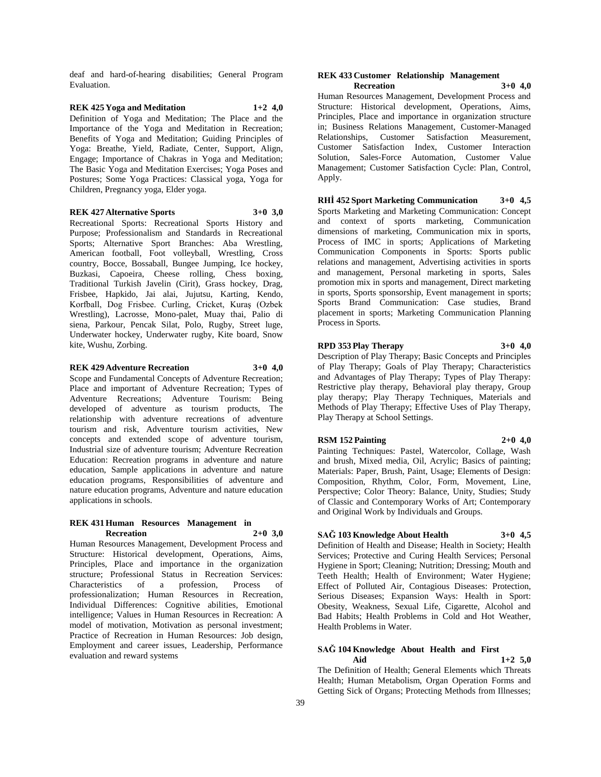deaf and hard-of-hearing disabilities; General Program Evaluation.

#### **REK 425 Yoga and Meditation 1+2 4,0** Definition of Yoga and Meditation; The Place and the Importance of the Yoga and Meditation in Recreation; Benefits of Yoga and Meditation; Guiding Principles of Yoga: Breathe, Yield, Radiate, Center, Support, Align, Engage; Importance of Chakras in Yoga and Meditation; The Basic Yoga and Meditation Exercises; Yoga Poses and Postures; Some Yoga Practices: Classical yoga, Yoga for Children, Pregnancy yoga, Elder yoga.

#### **REK 427 Alternative Sports 3+0 3,0**

Recreational Sports: Recreational Sports History and Purpose; Professionalism and Standards in Recreational Sports; Alternative Sport Branches: Aba Wrestling, American football, Foot volleyball, Wrestling, Cross country, Bocce, Bossaball, Bungee Jumping, Ice hockey, Buzkasi, Capoeira, Cheese rolling, Chess boxing, Traditional Turkish Javelin (Cirit), Grass hockey, Drag, Frisbee, Hapkido, Jai alai, Jujutsu, Karting, Kendo, Korfball, Dog Frisbee. Curling, Cricket, Kuraş (Ozbek Wrestling), Lacrosse, Mono-palet, Muay thai, Palio di siena, Parkour, Pencak Silat, Polo, Rugby, Street luge, Underwater hockey, Underwater rugby, Kite board, Snow kite, Wushu, Zorbing.

#### **REK 429 Adventure Recreation 3+0 4,0**

Scope and Fundamental Concepts of Adventure Recreation; Place and important of Adventure Recreation; Types of Adventure Recreations; Adventure Tourism: Being developed of adventure as tourism products, The relationship with adventure recreations of adventure tourism and risk, Adventure tourism activities, New concepts and extended scope of adventure tourism, Industrial size of adventure tourism; Adventure Recreation Education: Recreation programs in adventure and nature education, Sample applications in adventure and nature education programs, Responsibilities of adventure and nature education programs, Adventure and nature education applications in schools.

#### **REK 431 Human Resources Management in Recreation 2+0 3,0**

Human Resources Management, Development Process and Structure: Historical development, Operations, Aims, Principles, Place and importance in the organization structure; Professional Status in Recreation Services: Characteristics of a profession, Process of professionalization; Human Resources in Recreation, Individual Differences: Cognitive abilities, Emotional intelligence; Values in Human Resources in Recreation: A model of motivation, Motivation as personal investment; Practice of Recreation in Human Resources: Job design, Employment and career issues, Leadership, Performance evaluation and reward systems

#### **REK 433 Customer Relationship Management Recreation 3+0 4,0**

Human Resources Management, Development Process and Structure: Historical development, Operations, Aims, Principles, Place and importance in organization structure in; Business Relations Management, Customer-Managed Relationships, Customer Satisfaction Measurement, Customer Satisfaction Index, Customer Interaction Solution, Sales-Force Automation, Customer Value Management; Customer Satisfaction Cycle: Plan, Control, Apply.

**RHİ 452 Sport Marketing Communication 3+0 4,5** Sports Marketing and Marketing Communication: Concept and context of sports marketing, Communication dimensions of marketing, Communication mix in sports, Process of IMC in sports; Applications of Marketing Communication Components in Sports: Sports public relations and management, Advertising activities in sports and management, Personal marketing in sports, Sales promotion mix in sports and management, Direct marketing in sports, Sports sponsorship, Event management in sports; Sports Brand Communication: Case studies, Brand placement in sports; Marketing Communication Planning Process in Sports.

# **RPD 353 Play Therapy 3+0 4,0**

Description of Play Therapy; Basic Concepts and Principles of Play Therapy; Goals of Play Therapy; Characteristics and Advantages of Play Therapy; Types of Play Therapy: Restrictive play therapy, Behavioral play therapy, Group play therapy; Play Therapy Techniques, Materials and Methods of Play Therapy; Effective Uses of Play Therapy, Play Therapy at School Settings.

#### **RSM 152 Painting 2+0 4,0**

Painting Techniques: Pastel, Watercolor, Collage, Wash and brush, Mixed media, Oil, Acrylic; Basics of painting; Materials: Paper, Brush, Paint, Usage; Elements of Design: Composition, Rhythm, Color, Form, Movement, Line, Perspective; Color Theory: Balance, Unity, Studies; Study of Classic and Contemporary Works of Art; Contemporary and Original Work by Individuals and Groups.

# **SAĞ 103 Knowledge About Health 3+0 4,5**

Definition of Health and Disease; Health in Society; Health Services; Protective and Curing Health Services; Personal Hygiene in Sport; Cleaning; Nutrition; Dressing; Mouth and Teeth Health; Health of Environment; Water Hygiene; Effect of Polluted Air, Contagious Diseases: Protection, Serious Diseases; Expansion Ways: Health in Sport: Obesity, Weakness, Sexual Life, Cigarette, Alcohol and Bad Habits; Health Problems in Cold and Hot Weather, Health Problems in Water.

# **SAĞ 104 Knowledge About Health and First**

**Aid 1+2 5,0** The Definition of Health; General Elements which Threats Health; Human Metabolism, Organ Operation Forms and Getting Sick of Organs; Protecting Methods from Illnesses;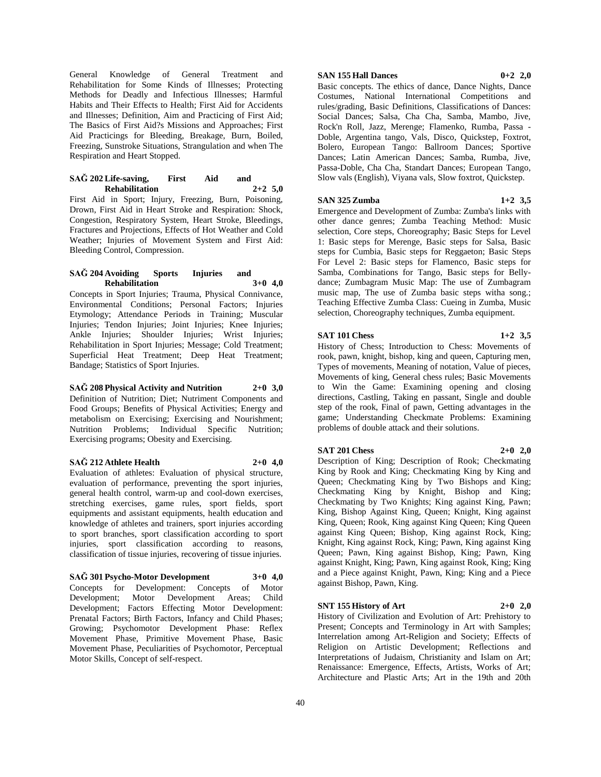General Knowledge of General Treatment and Rehabilitation for Some Kinds of Illnesses; Protecting Methods for Deadly and Infectious Illnesses; Harmful Habits and Their Effects to Health; First Aid for Accidents and Illnesses; Definition, Aim and Practicing of First Aid; The Basics of First Aid?s Missions and Approaches; First Aid Practicings for Bleeding, Breakage, Burn, Boiled, Freezing, Sunstroke Situations, Strangulation and when The Respiration and Heart Stopped.

#### **SAĞ 202 Life-saving, First Aid and Rehabilitation 2+2 5,0**

First Aid in Sport; Injury, Freezing, Burn, Poisoning, Drown, First Aid in Heart Stroke and Respiration: Shock, Congestion, Respiratory System, Heart Stroke, Bleedings, Fractures and Projections, Effects of Hot Weather and Cold Weather; Injuries of Movement System and First Aid: Bleeding Control, Compression.

#### **SAĞ 204 Avoiding Sports Injuries and Rehabilitation 3+0 4,0**

Concepts in Sport Injuries; Trauma, Physical Connivance, Environmental Conditions; Personal Factors; Injuries Etymology; Attendance Periods in Training; Muscular Injuries; Tendon Injuries; Joint Injuries; Knee Injuries; Ankle Injuries; Shoulder Injuries; Wrist Injuries; Rehabilitation in Sport Injuries; Message; Cold Treatment; Superficial Heat Treatment; Deep Heat Treatment; Bandage; Statistics of Sport Injuries.

#### **SAĞ 208 Physical Activity and Nutrition 2+0 3,0**

Definition of Nutrition; Diet; Nutriment Components and Food Groups; Benefits of Physical Activities; Energy and metabolism on Exercising; Exercising and Nourishment; Nutrition Problems; Individual Specific Nutrition; Exercising programs; Obesity and Exercising.

#### **SAĞ 212 Athlete Health 2+0 4,0**

Evaluation of athletes: Evaluation of physical structure, evaluation of performance, preventing the sport injuries, general health control, warm-up and cool-down exercises, stretching exercises, game rules, sport fields, sport equipments and assistant equipments, health education and knowledge of athletes and trainers, sport injuries according to sport branches, sport classification according to sport injuries, sport classification according to reasons, classification of tissue injuries, recovering of tissue injuries.

# **SAĞ 301 Psycho-Motor Development 3+0 4,0**

Concepts for Development: Concepts of Motor Development; Motor Development Areas; Child Development; Factors Effecting Motor Development: Prenatal Factors; Birth Factors, Infancy and Child Phases; Growing; Psychomotor Development Phase: Reflex Movement Phase, Primitive Movement Phase, Basic Movement Phase, Peculiarities of Psychomotor, Perceptual Motor Skills, Concept of self-respect.

# **SAN 155 Hall Dances 0+2 2,0**

Basic concepts. The ethics of dance, Dance Nights, Dance Costumes, National International Competitions and rules/grading, Basic Definitions, Classifications of Dances: Social Dances; Salsa, Cha Cha, Samba, Mambo, Jive, Rock'n Roll, Jazz, Merenge; Flamenko, Rumba, Passa - Doble, Argentina tango, Vals, Disco, Quickstep, Foxtrot, Bolero, European Tango: Ballroom Dances; Sportive Dances; Latin American Dances; Samba, Rumba, Jive, Passa-Doble, Cha Cha, Standart Dances; European Tango, Slow vals (English), Viyana vals, Slow foxtrot, Quickstep.

# **SAN 325 Zumba 1+2 3,5**

Emergence and Development of Zumba: Zumba's links with other dance genres; Zumba Teaching Method: Music selection, Core steps, Choreography; Basic Steps for Level 1: Basic steps for Merenge, Basic steps for Salsa, Basic steps for Cumbia, Basic steps for Reggaeton; Basic Steps For Level 2: Basic steps for Flamenco, Basic steps for Samba, Combinations for Tango, Basic steps for Bellydance; Zumbagram Music Map: The use of Zumbagram music map, The use of Zumba basic steps witha song.; Teaching Effective Zumba Class: Cueing in Zumba, Music selection, Choreography techniques, Zumba equipment.

#### **SAT 101 Chess 1+2 3,5**

History of Chess; Introduction to Chess: Movements of rook, pawn, knight, bishop, king and queen, Capturing men, Types of movements, Meaning of notation, Value of pieces, Movements of king, General chess rules; Basic Movements to Win the Game: Examining opening and closing directions, Castling, Taking en passant, Single and double step of the rook, Final of pawn, Getting advantages in the game; Understanding Checkmate Problems: Examining problems of double attack and their solutions.

#### **SAT 201 Chess 2+0 2,0**

Description of King; Description of Rook; Checkmating King by Rook and King; Checkmating King by King and Queen; Checkmating King by Two Bishops and King; Checkmating King by Knight, Bishop and King; Checkmating by Two Knights; King against King, Pawn; King, Bishop Against King, Queen; Knight, King against King, Queen; Rook, King against King Queen; King Queen against King Queen; Bishop, King against Rock, King; Knight, King against Rock, King; Pawn, King against King Queen; Pawn, King against Bishop, King; Pawn, King against Knight, King; Pawn, King against Rook, King; King and a Piece against Knight, Pawn, King; King and a Piece against Bishop, Pawn, King.

#### **SNT 155 History of Art 2+0 2,0**

History of Civilization and Evolution of Art: Prehistory to Present; Concepts and Terminology in Art with Samples; Interrelation among Art-Religion and Society; Effects of Religion on Artistic Development; Reflections and Interpretations of Judaism, Christianity and Islam on Art; Renaissance: Emergence, Effects, Artists, Works of Art; Architecture and Plastic Arts; Art in the 19th and 20th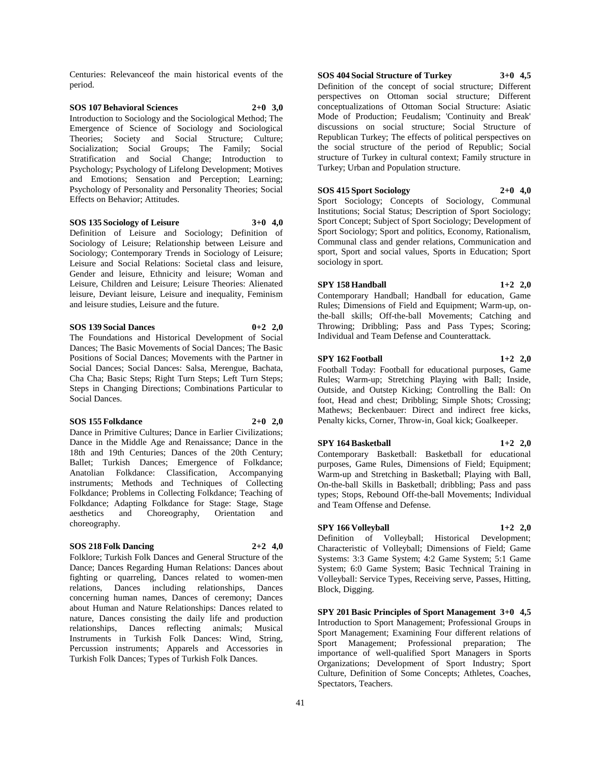Centuries: Relevanceof the main historical events of the period.

#### **SOS 107 Behavioral Sciences 2+0 3,0** Introduction to Sociology and the Sociological Method; The Emergence of Science of Sociology and Sociological Theories; Society and Social Structure; Culture; Socialization; Social Groups; The Family; Social Stratification and Social Change; Introduction to Psychology; Psychology of Lifelong Development; Motives and Emotions; Sensation and Perception; Learning; Psychology of Personality and Personality Theories; Social Effects on Behavior; Attitudes.

#### **SOS 135 Sociology of Leisure 3+0 4,0**

Definition of Leisure and Sociology; Definition of Sociology of Leisure; Relationship between Leisure and Sociology; Contemporary Trends in Sociology of Leisure; Leisure and Social Relations: Societal class and leisure, Gender and leisure, Ethnicity and leisure; Woman and Leisure, Children and Leisure; Leisure Theories: Alienated leisure, Deviant leisure, Leisure and inequality, Feminism and leisure studies, Leisure and the future.

#### **SOS 139 Social Dances 0+2 2,0**

The Foundations and Historical Development of Social Dances; The Basic Movements of Social Dances; The Basic Positions of Social Dances; Movements with the Partner in Social Dances; Social Dances: Salsa, Merengue, Bachata, Cha Cha; Basic Steps; Right Turn Steps; Left Turn Steps; Steps in Changing Directions; Combinations Particular to Social Dances.

#### **SOS 155 Folkdance 2+0 2,0**

Dance in Primitive Cultures; Dance in Earlier Civilizations; Dance in the Middle Age and Renaissance; Dance in the 18th and 19th Centuries; Dances of the 20th Century; Ballet; Turkish Dances; Emergence of Folkdance; Anatolian Folkdance: Classification, Accompanying instruments; Methods and Techniques of Collecting Folkdance; Problems in Collecting Folkdance; Teaching of Folkdance; Adapting Folkdance for Stage: Stage, Stage aesthetics and Choreography, Orientation and choreography.

#### **SOS 218 Folk Dancing 2+2 4,0**

Folklore; Turkish Folk Dances and General Structure of the Dance; Dances Regarding Human Relations: Dances about fighting or quarreling, Dances related to women-men relations, Dances including relationships, Dances concerning human names, Dances of ceremony; Dances about Human and Nature Relationships: Dances related to nature, Dances consisting the daily life and production relationships, Dances reflecting animals; Musical Instruments in Turkish Folk Dances: Wind, String, Percussion instruments; Apparels and Accessories in Turkish Folk Dances; Types of Turkish Folk Dances.

# **SOS 404 Social Structure of Turkey 3+0 4,5**

Definition of the concept of social structure; Different perspectives on Ottoman social structure; Different conceptualizations of Ottoman Social Structure: Asiatic Mode of Production; Feudalism; 'Continuity and Break' discussions on social structure; Social Structure of Republican Turkey; The effects of political perspectives on the social structure of the period of Republic; Social structure of Turkey in cultural context; Family structure in Turkey; Urban and Population structure.

# **SOS 415 Sport Sociology 2+0 4,0**

Sport Sociology; Concepts of Sociology, Communal Institutions; Social Status; Description of Sport Sociology; Sport Concept; Subject of Sport Sociology; Development of Sport Sociology; Sport and politics, Economy, Rationalism, Communal class and gender relations, Communication and sport, Sport and social values, Sports in Education; Sport sociology in sport.

#### **SPY 158 Handball 1+2 2,0**

Contemporary Handball; Handball for education, Game Rules; Dimensions of Field and Equipment; Warm-up, onthe-ball skills; Off-the-ball Movements; Catching and Throwing; Dribbling; Pass and Pass Types; Scoring; Individual and Team Defense and Counterattack.

#### **SPY 162 Football 1+2 2,0**

Football Today: Football for educational purposes, Game Rules; Warm-up; Stretching Playing with Ball; Inside, Outside, and Outstep Kicking; Controlling the Ball: On foot, Head and chest; Dribbling; Simple Shots; Crossing; Mathews; Beckenbauer: Direct and indirect free kicks, Penalty kicks, Corner, Throw-in, Goal kick; Goalkeeper.

#### **SPY 164 Basketball 1+2 2,0**

Contemporary Basketball: Basketball for educational purposes, Game Rules, Dimensions of Field; Equipment; Warm-up and Stretching in Basketball; Playing with Ball, On-the-ball Skills in Basketball; dribbling; Pass and pass types; Stops, Rebound Off-the-ball Movements; Individual and Team Offense and Defense.

#### **SPY 166 Volleyball 1+2 2,0**

Definition of Volleyball; Historical Development; Characteristic of Volleyball; Dimensions of Field; Game Systems: 3:3 Game System; 4:2 Game System; 5:1 Game System; 6:0 Game System; Basic Technical Training in Volleyball: Service Types, Receiving serve, Passes, Hitting, Block, Digging.

**SPY 201 Basic Principles of Sport Management 3+0 4,5** Introduction to Sport Management; Professional Groups in Sport Management; Examining Four different relations of Sport Management; Professional preparation; The importance of well-qualified Sport Managers in Sports Organizations; Development of Sport Industry; Sport Culture, Definition of Some Concepts; Athletes, Coaches, Spectators, Teachers.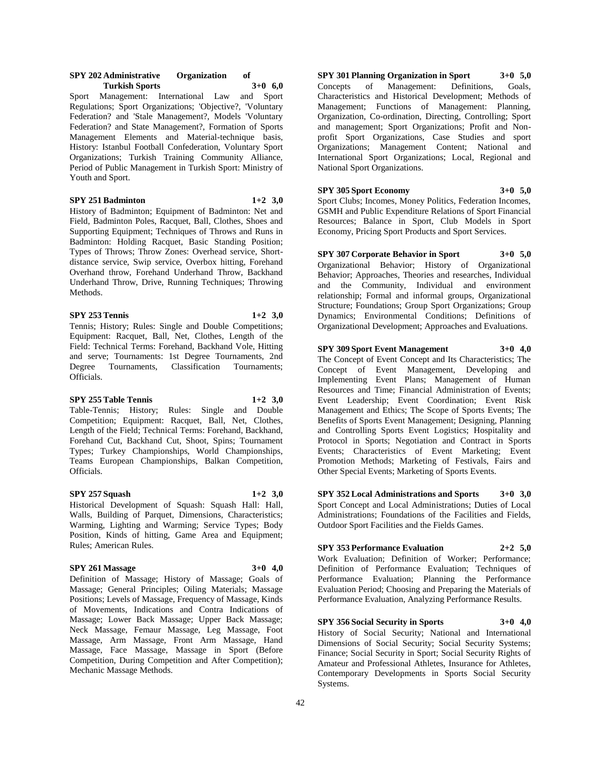#### **SPY 202 Administrative Organization of Turkish Sports 3+0 6,0**

Sport Management: International Law and Sport Regulations; Sport Organizations; 'Objective?, 'Voluntary Federation? and 'Stale Management?, Models 'Voluntary Federation? and State Management?, Formation of Sports Management Elements and Material-technique basis, History: Istanbul Football Confederation, Voluntary Sport Organizations; Turkish Training Community Alliance, Period of Public Management in Turkish Sport: Ministry of Youth and Sport.

#### **SPY 251 Badminton 1+2 3,0**

History of Badminton; Equipment of Badminton: Net and Field, Badminton Poles, Racquet, Ball, Clothes, Shoes and Supporting Equipment; Techniques of Throws and Runs in Badminton: Holding Racquet, Basic Standing Position; Types of Throws; Throw Zones: Overhead service, Shortdistance service, Swip service, Overbox hitting, Forehand Overhand throw, Forehand Underhand Throw, Backhand Underhand Throw, Drive, Running Techniques; Throwing Methods.

#### **SPY 253 Tennis 1+2 3,0**

Tennis; History; Rules: Single and Double Competitions; Equipment: Racquet, Ball, Net, Clothes, Length of the Field: Technical Terms: Forehand, Backhand Vole, Hitting and serve; Tournaments: 1st Degree Tournaments, 2nd Degree Tournaments, Classification Tournaments; Officials.

#### **SPY 255 Table Tennis 1+2 3,0**

Table-Tennis; History; Rules: Single and Double Competition; Equipment: Racquet, Ball, Net, Clothes, Length of the Field; Technical Terms: Forehand, Backhand, Forehand Cut, Backhand Cut, Shoot, Spins; Tournament Types; Turkey Championships, World Championships, Teams European Championships, Balkan Competition, Officials.

#### **SPY 257 Squash 1+2 3,0**

Historical Development of Squash: Squash Hall: Hall, Walls, Building of Parquet, Dimensions, Characteristics; Warming, Lighting and Warming; Service Types; Body Position, Kinds of hitting, Game Area and Equipment; Rules; American Rules.

# **SPY 261 Massage 3+0 4,0**

Definition of Massage; History of Massage; Goals of Massage; General Principles; Oiling Materials; Massage Positions; Levels of Massage, Frequency of Massage, Kinds of Movements, Indications and Contra Indications of Massage; Lower Back Massage; Upper Back Massage; Neck Massage, Femaur Massage, Leg Massage, Foot Massage, Arm Massage, Front Arm Massage, Hand Massage, Face Massage, Massage in Sport (Before Competition, During Competition and After Competition); Mechanic Massage Methods.

**SPY 301 Planning Organization in Sport 3+0 5,0** Concepts of Management: Definitions, Goals, Characteristics and Historical Development; Methods of Management; Functions of Management: Planning, Organization, Co-ordination, Directing, Controlling; Sport and management; Sport Organizations; Profit and Nonprofit Sport Organizations, Case Studies and sport Organizations; Management Content; National and International Sport Organizations; Local, Regional and National Sport Organizations.

**SPY 305 Sport Economy 3+0 5,0** Sport Clubs; Incomes, Money Politics, Federation Incomes, GSMH and Public Expenditure Relations of Sport Financial Resources; Balance in Sport, Club Models in Sport Economy, Pricing Sport Products and Sport Services.

**SPY 307 Corporate Behavior in Sport 3+0 5,0** Organizational Behavior; History of Organizational Behavior; Approaches, Theories and researches, Individual and the Community, Individual and environment relationship; Formal and informal groups, Organizational Structure; Foundations; Group Sport Organizations; Group Dynamics; Environmental Conditions; Definitions of Organizational Development; Approaches and Evaluations.

**SPY 309 Sport Event Management 3+0 4,0**

The Concept of Event Concept and Its Characteristics; The Concept of Event Management, Developing and Implementing Event Plans; Management of Human Resources and Time; Financial Administration of Events; Event Leadership; Event Coordination; Event Risk Management and Ethics; The Scope of Sports Events; The Benefits of Sports Event Management; Designing, Planning and Controlling Sports Event Logistics; Hospitality and Protocol in Sports; Negotiation and Contract in Sports Events; Characteristics of Event Marketing; Event Promotion Methods; Marketing of Festivals, Fairs and Other Special Events; Marketing of Sports Events.

**SPY 352 Local Administrations and Sports 3+0 3,0** Sport Concept and Local Administrations; Duties of Local Administrations; Foundations of the Facilities and Fields, Outdoor Sport Facilities and the Fields Games.

**SPY 353 Performance Evaluation 2+2 5,0** Work Evaluation; Definition of Worker; Performance; Definition of Performance Evaluation; Techniques of Performance Evaluation; Planning the Performance Evaluation Period; Choosing and Preparing the Materials of Performance Evaluation, Analyzing Performance Results.

**SPY 356 Social Security in Sports 3+0 4,0** History of Social Security; National and International Dimensions of Social Security; Social Security Systems; Finance; Social Security in Sport; Social Security Rights of Amateur and Professional Athletes, Insurance for Athletes, Contemporary Developments in Sports Social Security Systems.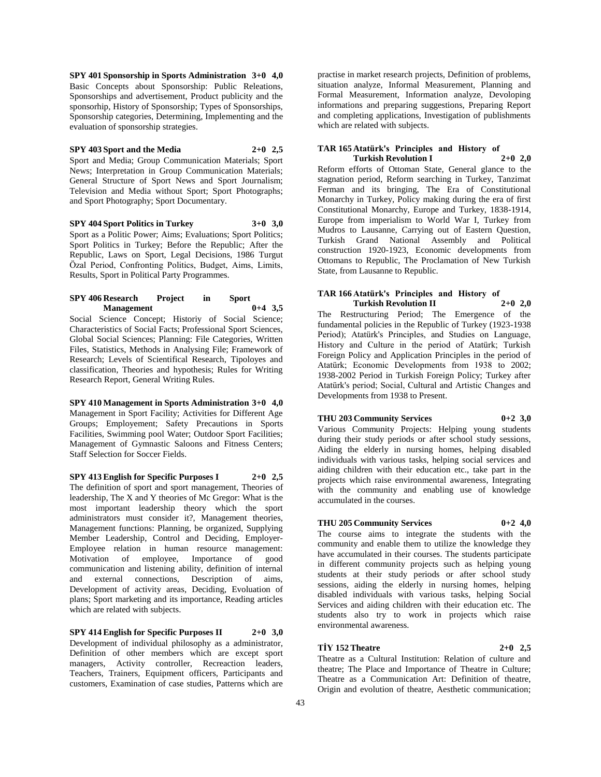**SPY 401 Sponsorship in Sports Administration 3+0 4,0** Basic Concepts about Sponsorship: Public Releations, Sponsorships and advertisement, Product publicity and the sponsorhip, History of Sponsorship; Types of Sponsorships, Sponsorship categories, Determining, Implementing and the evaluation of sponsorship strategies.

#### **SPY 403 Sport and the Media 2+0 2,5**

Sport and Media; Group Communication Materials; Sport News; Interpretation in Group Communication Materials; General Structure of Sport News and Sport Journalism; Television and Media without Sport; Sport Photographs; and Sport Photography; Sport Documentary.

**SPY 404 Sport Politics in Turkey 3+0 3,0** Sport as a Politic Power; Aims; Evaluations; Sport Politics; Sport Politics in Turkey; Before the Republic; After the Republic, Laws on Sport, Legal Decisions, 1986 Turgut Özal Period, Confronting Politics, Budget, Aims, Limits, Results, Sport in Political Party Programmes.

#### **SPY 406 Research Project in Sport Management 0+4 3,5**

Social Science Concept; Historiy of Social Science; Characteristics of Social Facts; Professional Sport Sciences, Global Social Sciences; Planning: File Categories, Written Files, Statistics, Methods in Analysing File; Framework of Research; Levels of Scientifical Research, Tipoloyes and classification, Theories and hypothesis; Rules for Writing Research Report, General Writing Rules.

**SPY 410 Management in Sports Administration 3+0 4,0** Management in Sport Facility; Activities for Different Age Groups; Employement; Safety Precautions in Sports Facilities, Swimming pool Water; Outdoor Sport Facilities; Management of Gymnastic Saloons and Fitness Centers; Staff Selection for Soccer Fields.

**SPY 413 English for Specific Purposes I 2+0 2,5** The definition of sport and sport management, Theories of leadership, The X and Y theories of Mc Gregor: What is the most important leadership theory which the sport administrators must consider it?, Management theories, Management functions: Planning, be organized, Supplying Member Leadership, Control and Deciding, Employer-Employee relation in human resource management: Motivation of employee, Importance of good communication and listening ability, definition of internal and external connections, Description of aims, Development of activity areas, Deciding, Evoluation of plans; Sport marketing and its importance, Reading articles which are related with subjects.

**SPY 414 English for Specific Purposes II 2+0 3,0** Development of individual philosophy as a administrator, Definition of other members which are except sport managers, Activity controller, Recreaction leaders, Teachers, Trainers, Equipment officers, Participants and customers, Examination of case studies, Patterns which are

practise in market research projects, Definition of problems, situation analyze, Informal Measurement, Planning and Formal Measurement, Information analyze, Devoloping informations and preparing suggestions, Preparing Report and completing applications, Investigation of publishments which are related with subjects.

#### **TAR 165 Atatürk's Principles and History of Turkish Revolution I 2+0 2,0**

Reform efforts of Ottoman State, General glance to the stagnation period, Reform searching in Turkey, Tanzimat Ferman and its bringing, The Era of Constitutional Monarchy in Turkey, Policy making during the era of first Constitutional Monarchy, Europe and Turkey, 1838-1914, Europe from imperialism to World War I, Turkey from Mudros to Lausanne, Carrying out of Eastern Question, Turkish Grand National Assembly and Political construction 1920-1923, Economic developments from Ottomans to Republic, The Proclamation of New Turkish State, from Lausanne to Republic.

#### **TAR 166 Atatürk's Principles and History of Turkish Revolution II 2+0 2,0**

The Restructuring Period; The Emergence of the fundamental policies in the Republic of Turkey (1923-1938 Period); Atatürk's Principles, and Studies on Language, History and Culture in the period of Atatürk; Turkish Foreign Policy and Application Principles in the period of Atatürk; Economic Developments from 1938 to 2002; 1938-2002 Period in Turkish Foreign Policy; Turkey after Atatürk's period; Social, Cultural and Artistic Changes and Developments from 1938 to Present.

# **THU 203 Community Services 0+2 3,0**

Various Community Projects: Helping young students during their study periods or after school study sessions, Aiding the elderly in nursing homes, helping disabled individuals with various tasks, helping social services and aiding children with their education etc., take part in the projects which raise environmental awareness, Integrating with the community and enabling use of knowledge accumulated in the courses.

#### **THU 205 Community Services 0+2 4,0**

The course aims to integrate the students with the community and enable them to utilize the knowledge they have accumulated in their courses. The students participate in different community projects such as helping young students at their study periods or after school study sessions, aiding the elderly in nursing homes, helping disabled individuals with various tasks, helping Social Services and aiding children with their education etc. The students also try to work in projects which raise environmental awareness.

# **TİY 152 Theatre 2+0 2,5**

Theatre as a Cultural Institution: Relation of culture and theatre; The Place and Importance of Theatre in Culture; Theatre as a Communication Art: Definition of theatre, Origin and evolution of theatre, Aesthetic communication;